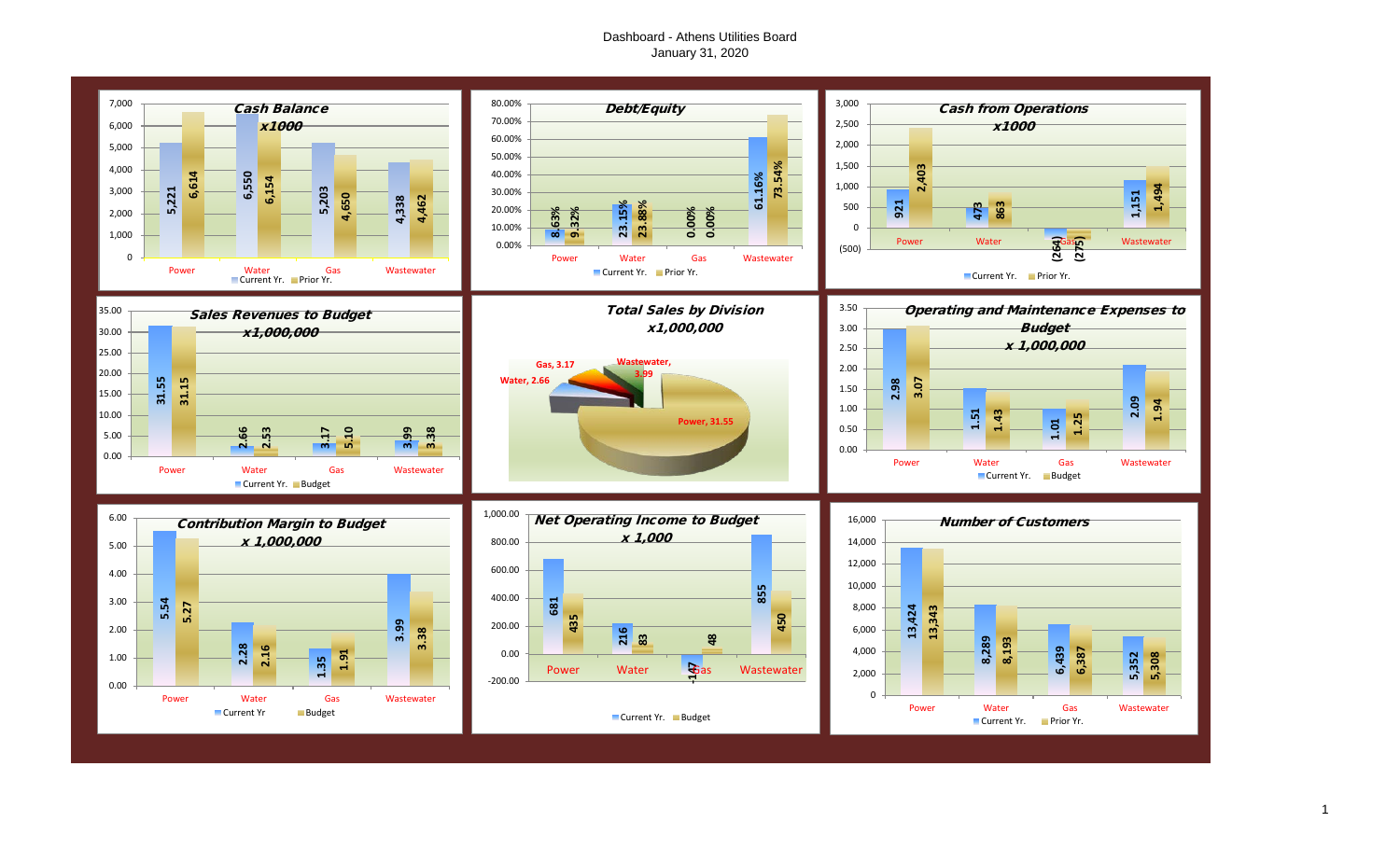# Dashboard - Athens Utilities Board January 31, 2020

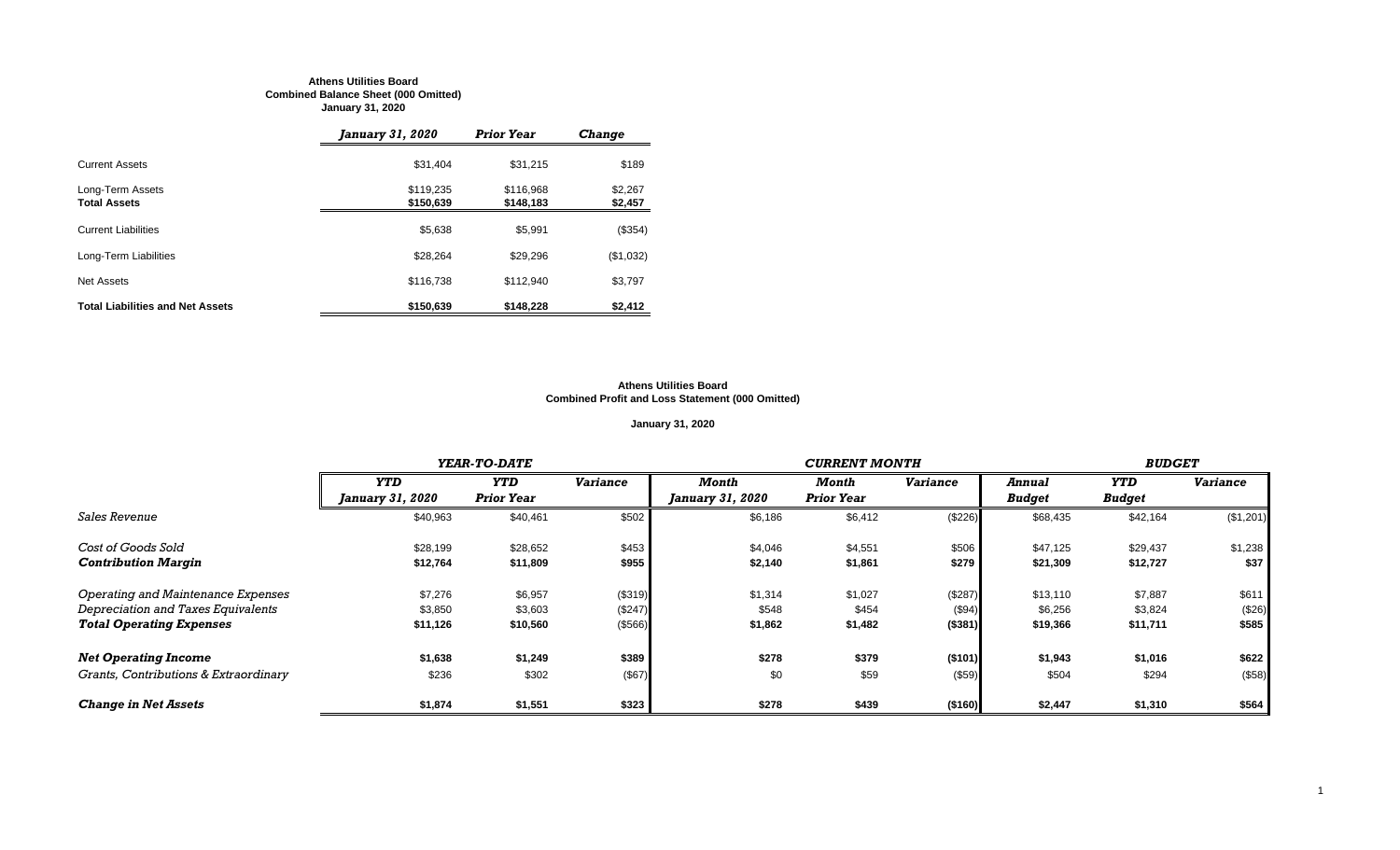#### **Athens Utilities Board Combined Balance Sheet (000 Omitted) January 31, 2020**

|                                         | <i>January 31, 2020</i> | <b>Prior Year</b>      | <b>Change</b>      |
|-----------------------------------------|-------------------------|------------------------|--------------------|
| <b>Current Assets</b>                   | \$31,404                | \$31,215               | \$189              |
| Long-Term Assets<br><b>Total Assets</b> | \$119,235<br>\$150,639  | \$116.968<br>\$148,183 | \$2,267<br>\$2,457 |
| <b>Current Liabilities</b>              | \$5,638                 | \$5.991                | (\$354)            |
| Long-Term Liabilities                   | \$28,264                | \$29.296               | (\$1,032)          |
| Net Assets                              | \$116,738               | \$112.940              | \$3,797            |
| <b>Total Liabilities and Net Assets</b> | \$150.639               | \$148,228              | \$2,412            |

#### **Athens Utilities Board Combined Profit and Loss Statement (000 Omitted)**

# **January 31, 2020**

|                                       |                                | YEAR-TO-DATE      |                 |                                | <b>CURRENT MONTH</b> |                 |               |               |                 |  |
|---------------------------------------|--------------------------------|-------------------|-----------------|--------------------------------|----------------------|-----------------|---------------|---------------|-----------------|--|
|                                       | <b>YTD</b>                     | <b>YTD</b>        | <b>Variance</b> | Month                          | Month                | <b>Variance</b> | <b>Annual</b> | <b>YTD</b>    | <b>Variance</b> |  |
|                                       | <i><b>January 31, 2020</b></i> | <b>Prior Year</b> |                 | <i><b>January 31, 2020</b></i> | <b>Prior Year</b>    |                 | <b>Budget</b> | <b>Budget</b> |                 |  |
| <i><b>Sales Revenue</b></i>           | \$40,963                       | \$40,461          | \$502           | \$6,186                        | \$6,412              | (\$226)         | \$68,435      | \$42,164      | (\$1,201)       |  |
| Cost of Goods Sold                    | \$28,199                       | \$28,652          | \$453           | \$4,046                        | \$4,551              | \$506           | \$47,125      | \$29,437      | \$1,238         |  |
| <b>Contribution Margin</b>            | \$12,764                       | \$11,809          | \$955           | \$2,140                        | \$1,861              | \$279           | \$21,309      | \$12,727      | \$37            |  |
| Operating and Maintenance Expenses    | \$7,276                        | \$6,957           | (\$319)         | \$1,314                        | \$1,027              | (\$287)         | \$13,110      | \$7,887       | \$611           |  |
| Depreciation and Taxes Equivalents    | \$3,850                        | \$3,603           | (\$247)         | \$548                          | \$454                | (\$94)          | \$6,256       | \$3,824       | (\$26)          |  |
| <b>Total Operating Expenses</b>       | \$11,126                       | \$10,560          | (\$566)         | \$1,862                        | \$1,482              | ( \$381)        | \$19,366      | \$11,711      | \$585           |  |
| <b>Net Operating Income</b>           | \$1,638                        | \$1,249           | \$389           | \$278                          | \$379                | ( \$101)        | \$1,943       | \$1,016       | \$622           |  |
| Grants, Contributions & Extraordinary | \$236                          | \$302             | (\$67)          | \$0                            | \$59                 | (\$59)          | \$504         | \$294         | (\$58)          |  |
| <b>Change in Net Assets</b>           | \$1,874                        | \$1,551           | \$323           | \$278                          | \$439                | (\$160)         | \$2,447       | \$1,310       | \$564           |  |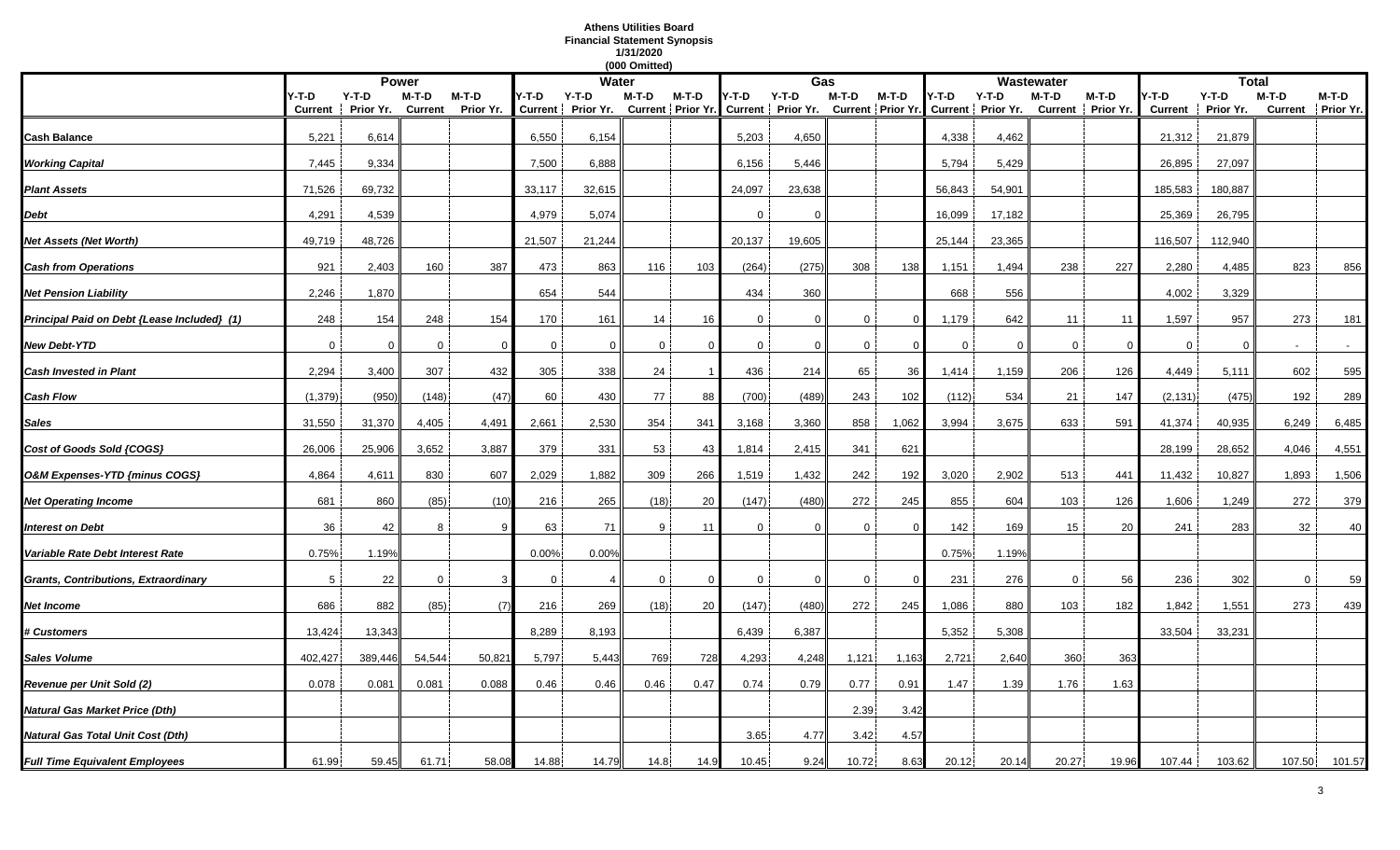# **Athens Utilities Board Financial Statement Synopsis 1/31/2020**

|                                             |                  |                      |                    |                      |             |                                                                                                              | (000 Omitted) |          |          |          |              |         |             |              |             |                              |                         |                      |         |                            |
|---------------------------------------------|------------------|----------------------|--------------------|----------------------|-------------|--------------------------------------------------------------------------------------------------------------|---------------|----------|----------|----------|--------------|---------|-------------|--------------|-------------|------------------------------|-------------------------|----------------------|---------|----------------------------|
|                                             |                  |                      | <b>Power</b>       |                      |             | <b>Water</b>                                                                                                 |               |          |          | Gas      |              |         |             |              | Wastewater  |                              |                         | <b>Total</b>         |         |                            |
|                                             | Y-T-D<br>Current | $Y-T-D$<br>Prior Yr. | $M-T-D$<br>Current | $M-T-D$<br>Prior Yr. | Y-T-D       | Y-T-D<br>Current   Prior Yr. Current   Prior Yr. Current   Prior Yr. Current   Prior Yr. Current   Prior Yr. | M-T-D         | $M-T-D$  | Y-T-D    | $Y-T-D$  | M-T-D        | $M-T-D$ | 4-T-D       | $Y-T-D$      | $M-T-D$     | $M-T-D$<br>Current Prior Yr. | Y-T-D<br><b>Current</b> | $Y-T-D$<br>Prior Yr. | $M-T-D$ | M-T-D<br>Current Prior Yr. |
| Cash Balance                                | 5,221            | 6,614                |                    |                      | 6,550       | 6,154                                                                                                        |               |          | 5,203    | 4,650    |              |         | 4,338       | 4,462        |             |                              | 21,312                  | 21,879               |         |                            |
| <b>Working Capital</b>                      | 7,445            | 9,334                |                    |                      | 7,500       | 6,888                                                                                                        |               |          | 6,156    | 5,446    |              |         | 5,794       | 5,429        |             |                              | 26,895                  | 27,097               |         |                            |
| <b>Plant Assets</b>                         | 71,526           | 69,732               |                    |                      | 33,117      | 32,615                                                                                                       |               |          | 24,097   | 23,638   |              |         | 56,843      | 54,901       |             |                              | 185,583                 | 180,887              |         |                            |
| Debt                                        | 4,291            | 4,539                |                    |                      | 4,979       | 5,074                                                                                                        |               |          | $\Omega$ | $\Omega$ |              |         | 16,099      | 17,182       |             |                              | 25,369                  | 26,795               |         |                            |
| Net Assets (Net Worth)                      | 49,719           | 48,726               |                    |                      | 21,507      | 21,244                                                                                                       |               |          | 20,137   | 19,605   |              |         | 25,144      | 23,365       |             |                              | 116,507                 | 112,940              |         |                            |
| <b>Cash from Operations</b>                 | 921              | 2,403                | 160                | 387                  | 473         | 863                                                                                                          | 116           | 103      | (264)    | (275)    | 308          | 138     | 1,151       | 1,494        | 238         | 227                          | 2,280                   | 4,485                | 823     | 856                        |
| <b>Net Pension Liability</b>                | 2,246            | 1,870                |                    |                      | 654         | 544                                                                                                          |               |          | 434      | 360      |              |         | 668         | 556          |             |                              | 4,002                   | 3,329                |         |                            |
| Principal Paid on Debt {Lease Included} (1) | 248              | 154                  | 248                | 154                  | 170         | 161                                                                                                          | 14            | 16       | $\Omega$ | $\Omega$ | $\Omega$     | 0       | 1,179       | 642          | 11          | 11                           | 1,597                   | 957                  | 273     | 181                        |
| <b>New Debt-YTD</b>                         | $\mathbf 0$      | $\Omega$             | $\mathbf 0$        | $\Omega$             | $\mathbf 0$ | $\Omega$                                                                                                     | $\mathbf 0$   | $\Omega$ | $\Omega$ | $\Omega$ | $\mathbf{0}$ |         | $\mathbf 0$ | $\mathbf{0}$ | $\mathbf 0$ | $\Omega$                     | $\mathbf 0$             | $\Omega$             | $\sim$  | $\sim$                     |
| Cash Invested in Plant                      | 2,294            | 3,400                | 307                | 432                  | 305         | 338                                                                                                          | 24            |          | 436      | 214      | 65           | 36      | 1,414       | 1,159        | 206         | 126                          | 4,449                   | 5,111                | 602     | 595                        |
| Cash Flow                                   | (1, 379)         | (950)                | (148)              | (47)                 | 60          | 430                                                                                                          | 77            | 88       | (700)    | (489)    | 243          | 102     | (112)       | 534          | 21          | 147                          | (2, 131)                | (475)                | 192     | 289                        |
| Sales                                       | 31,550           | 31,370               | 4,405              | 4,491                | 2,661       | 2,530                                                                                                        | 354           | 341      | 3,168    | 3,360    | 858          | 1,062   | 3,994       | 3,675        | 633         | 591                          | 41,374                  | 40,935               | 6,249   | 6,485                      |
| Cost of Goods Sold {COGS}                   | 26,006           | 25,906               | 3,652              | 3,887                | 379         | 331                                                                                                          | 53            | 43       | 1,814    | 2,415    | 341          | 621     |             |              |             |                              | 28,199                  | 28,652               | 4,046   | 4,551                      |
| O&M Expenses-YTD {minus COGS}               | 4,864            | 4,611                | 830                | 607                  | 2,029       | 1,882                                                                                                        | 309           | 266      | 1,519    | 1,432    | 242          | 192     | 3,020       | 2,902        | 513         | 441                          | 11,432                  | 10,827               | 1,893   | 1,506                      |
| <b>Net Operating Income</b>                 | 681              | 860                  | (85)               | (10)                 | 216         | 265                                                                                                          | (18)          | 20       | (147)    | (480)    | 272          | 245     | 855         | 604          | 103         | 126                          | 1,606                   | 1,249                | 272     | 379                        |
| Interest on Debt                            | 36               | 42                   | 8                  | q                    | 63          | 71                                                                                                           | 9             | 11       | $\Omega$ | $\Omega$ | 0            |         | 142         | 169          | 15          | 20                           | 241                     | 283                  | 32      | 40                         |
| Variable Rate Debt Interest Rate            | 0.75%            | 1.19%                |                    |                      | 0.00%       | 0.00%                                                                                                        |               |          |          |          |              |         | 0.75%       | 1.19%        |             |                              |                         |                      |         |                            |
| Grants, Contributions, Extraordinary        | 5                | 22                   | 0                  | 3                    | $\mathbf 0$ |                                                                                                              | $\mathbf{0}$  | $\Omega$ | 0        | $\Omega$ | 0            | -0      | 231         | 276          | $\mathbf 0$ | 56                           | 236                     | 302                  | 0       | 59                         |
| Net Income                                  | 686              | 882                  | (85)               | (7)                  | 216         | 269                                                                                                          | (18)          | 20       | (147)    | (480)    | 272          | 245     | 1,086       | 880          | 103         | 182                          | 1,842                   | 1,551                | 273     | 439                        |
| <b>‡ Customers</b>                          | 13,424           | 13,343               |                    |                      | 8,289       | 8,193                                                                                                        |               |          | 6,439    | 6,387    |              |         | 5,352       | 5,308        |             |                              | 33,504                  | 33,231               |         |                            |
| Sales Volume                                | 402,427          | 389,446              | 54,544             | 50,82'               | 5,797       | 5,443                                                                                                        | 769           | 728      | 4,293    | 4,248    | 1,121        | 1,163   | 2,721       | 2,640        | 360         | 363                          |                         |                      |         |                            |
| Revenue per Unit Sold (2)                   | 0.078            | 0.081                | 0.081              | 0.088                | 0.46        | 0.46                                                                                                         | 0.46          | 0.47     | 0.74     | 0.79     | 0.77         | 0.91    | 1.47        | 1.39         | 1.76        | 1.63                         |                         |                      |         |                            |
| Natural Gas Market Price (Dth)              |                  |                      |                    |                      |             |                                                                                                              |               |          |          |          | 2.39         | 3.42    |             |              |             |                              |                         |                      |         |                            |
| Natural Gas Total Unit Cost (Dth)           |                  |                      |                    |                      |             |                                                                                                              |               |          | 3.65     | 4.77     | 3.42         | 4.57    |             |              |             |                              |                         |                      |         |                            |
| <b>Full Time Equivalent Employees</b>       | 61.99            | 59.45                | 61.71              | 58.08                | 14.88       | 14.79                                                                                                        | 14.8          | 14.9     | 10.45    | 9.24     | 10.72        | 8.63    | 20.12       | 20.14        | 20.27       | 19.96                        | 107.44                  | 103.62               | 107.50  | 101.57                     |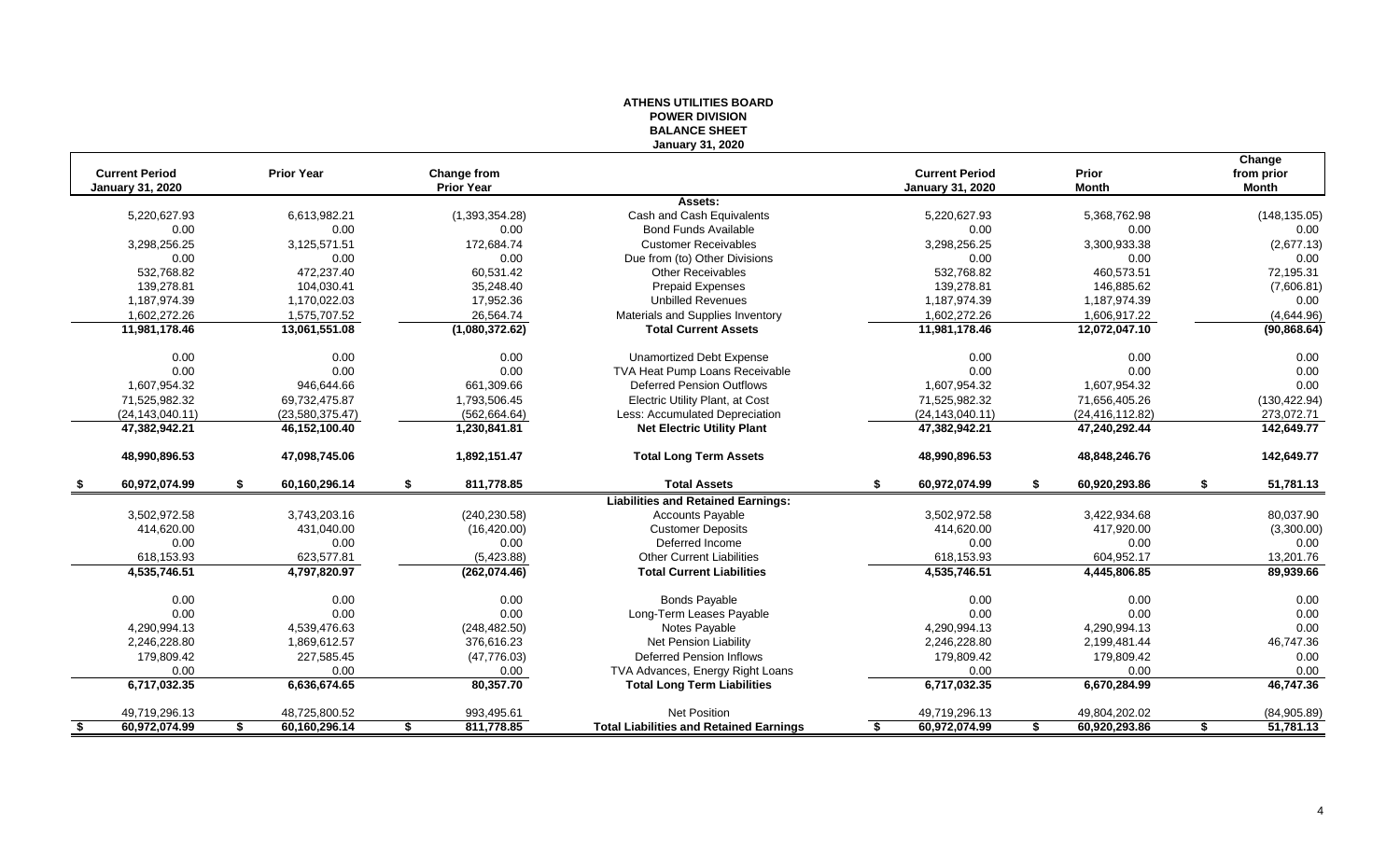|                         |                     |                    | ייטוטו זו דום אז ט<br><b>BALANCE SHEET</b>     |                         |                     |                 |
|-------------------------|---------------------|--------------------|------------------------------------------------|-------------------------|---------------------|-----------------|
|                         |                     |                    | <b>January 31, 2020</b>                        |                         |                     |                 |
|                         |                     |                    |                                                |                         |                     | Change          |
| <b>Current Period</b>   | <b>Prior Year</b>   | <b>Change from</b> |                                                | <b>Current Period</b>   | Prior               | from prior      |
| <b>January 31, 2020</b> |                     | <b>Prior Year</b>  |                                                | <b>January 31, 2020</b> | <b>Month</b>        | <b>Month</b>    |
|                         |                     |                    | Assets:                                        |                         |                     |                 |
| 5,220,627.93            | 6,613,982.21        | (1,393,354.28)     | Cash and Cash Equivalents                      | 5,220,627.93            | 5,368,762.98        | (148, 135.05)   |
| 0.00                    | 0.00                | 0.00               | <b>Bond Funds Available</b>                    | 0.00                    | 0.00                | 0.00            |
| 3,298,256.25            | 3,125,571.51        | 172,684.74         | <b>Customer Receivables</b>                    | 3,298,256.25            | 3,300,933.38        | (2,677.13)      |
| 0.00                    | 0.00                | 0.00               | Due from (to) Other Divisions                  | 0.00                    | 0.00                | 0.00            |
| 532.768.82              | 472.237.40          | 60,531.42          | <b>Other Receivables</b>                       | 532,768.82              | 460,573.51          | 72,195.31       |
| 139,278.81              | 104,030.41          | 35,248.40          | <b>Prepaid Expenses</b>                        | 139,278.81              | 146,885.62          | (7,606.81)      |
| 1,187,974.39            | 1,170,022.03        | 17,952.36          | <b>Unbilled Revenues</b>                       | 1,187,974.39            | 1,187,974.39        | 0.00            |
| 1,602,272.26            | 1,575,707.52        | 26,564.74          | Materials and Supplies Inventory               | 1,602,272.26            | 1,606,917.22        | (4,644.96)      |
| 11,981,178.46           | 13,061,551.08       | (1,080,372.62)     | <b>Total Current Assets</b>                    | 11,981,178.46           | 12,072,047.10       | (90, 868.64)    |
| 0.00                    | 0.00                | 0.00               | <b>Unamortized Debt Expense</b>                | 0.00                    | 0.00                | 0.00            |
| 0.00                    | 0.00                | 0.00               | TVA Heat Pump Loans Receivable                 | 0.00                    | 0.00                | 0.00            |
| 1,607,954.32            | 946,644.66          | 661,309.66         | <b>Deferred Pension Outflows</b>               | 1,607,954.32            | 1,607,954.32        | 0.00            |
| 71,525,982.32           | 69,732,475.87       | 1,793,506.45       | Electric Utility Plant, at Cost                | 71,525,982.32           | 71,656,405.26       | (130, 422.94)   |
| (24, 143, 040.11)       | (23,580,375.47)     | (562, 664.64)      | Less: Accumulated Depreciation                 | (24, 143, 040.11)       | (24, 416, 112.82)   | 273,072.71      |
| 47,382,942.21           | 46,152,100.40       | 1,230,841.81       | <b>Net Electric Utility Plant</b>              | 47,382,942.21           | 47,240,292.44       | 142,649.77      |
| 48,990,896.53           | 47,098,745.06       | 1,892,151.47       | <b>Total Long Term Assets</b>                  | 48,990,896.53           | 48,848,246.76       | 142,649.77      |
| 60,972,074.99           | 60,160,296.14<br>S  | 811,778.85<br>-S   | <b>Total Assets</b>                            | 60,972,074.99<br>\$     | 60,920,293.86<br>£. | 51,781.13<br>\$ |
|                         |                     |                    | <b>Liabilities and Retained Earnings:</b>      |                         |                     |                 |
| 3,502,972.58            | 3,743,203.16        | (240, 230.58)      | <b>Accounts Payable</b>                        | 3,502,972.58            | 3,422,934.68        | 80,037.90       |
| 414,620.00              | 431,040.00          | (16, 420.00)       | <b>Customer Deposits</b>                       | 414.620.00              | 417,920.00          | (3,300.00)      |
| 0.00                    | 0.00                | 0.00               | Deferred Income                                | 0.00                    | 0.00                | 0.00            |
| 618,153.93              | 623,577.81          | (5,423.88)         | <b>Other Current Liabilities</b>               | 618,153.93              | 604,952.17          | 13,201.76       |
| 4,535,746.51            | 4,797,820.97        | (262,074.46)       | <b>Total Current Liabilities</b>               | 4,535,746.51            | 4,445,806.85        | 89,939.66       |
| 0.00                    | 0.00                | 0.00               | <b>Bonds Payable</b>                           | 0.00                    | 0.00                | 0.00            |
| 0.00                    | 0.00                | 0.00               | Long-Term Leases Payable                       | 0.00                    | 0.00                | 0.00            |
| 4,290,994.13            | 4,539,476.63        | (248, 482.50)      | Notes Payable                                  | 4,290,994.13            | 4,290,994.13        | 0.00            |
| 2,246,228.80            | 1,869,612.57        | 376,616.23         | Net Pension Liability                          | 2,246,228.80            | 2,199,481.44        | 46,747.36       |
| 179,809.42              | 227,585.45          | (47, 776.03)       | <b>Deferred Pension Inflows</b>                | 179,809.42              | 179,809.42          | 0.00            |
| 0.00                    | 0.00                | 0.00               | TVA Advances, Energy Right Loans               | 0.00                    | 0.00                | 0.00            |
| 6,717,032.35            | 6,636,674.65        | 80,357.70          | <b>Total Long Term Liabilities</b>             | 6,717,032.35            | 6,670,284.99        | 46,747.36       |
| 49,719,296.13           | 48,725,800.52       | 993,495.61         | Net Position                                   | 49,719,296.13           | 49,804,202.02       | (84,905.89)     |
| 60,972,074.99<br>- \$   | 60,160,296.14<br>\$ | 811,778.85<br>\$   | <b>Total Liabilities and Retained Earnings</b> | 60,972,074.99<br>S      | 60,920,293.86<br>\$ | 51,781.13<br>\$ |
|                         |                     |                    |                                                |                         |                     |                 |

# **ATHENS UTILITIES BOARD POWER DIVISION**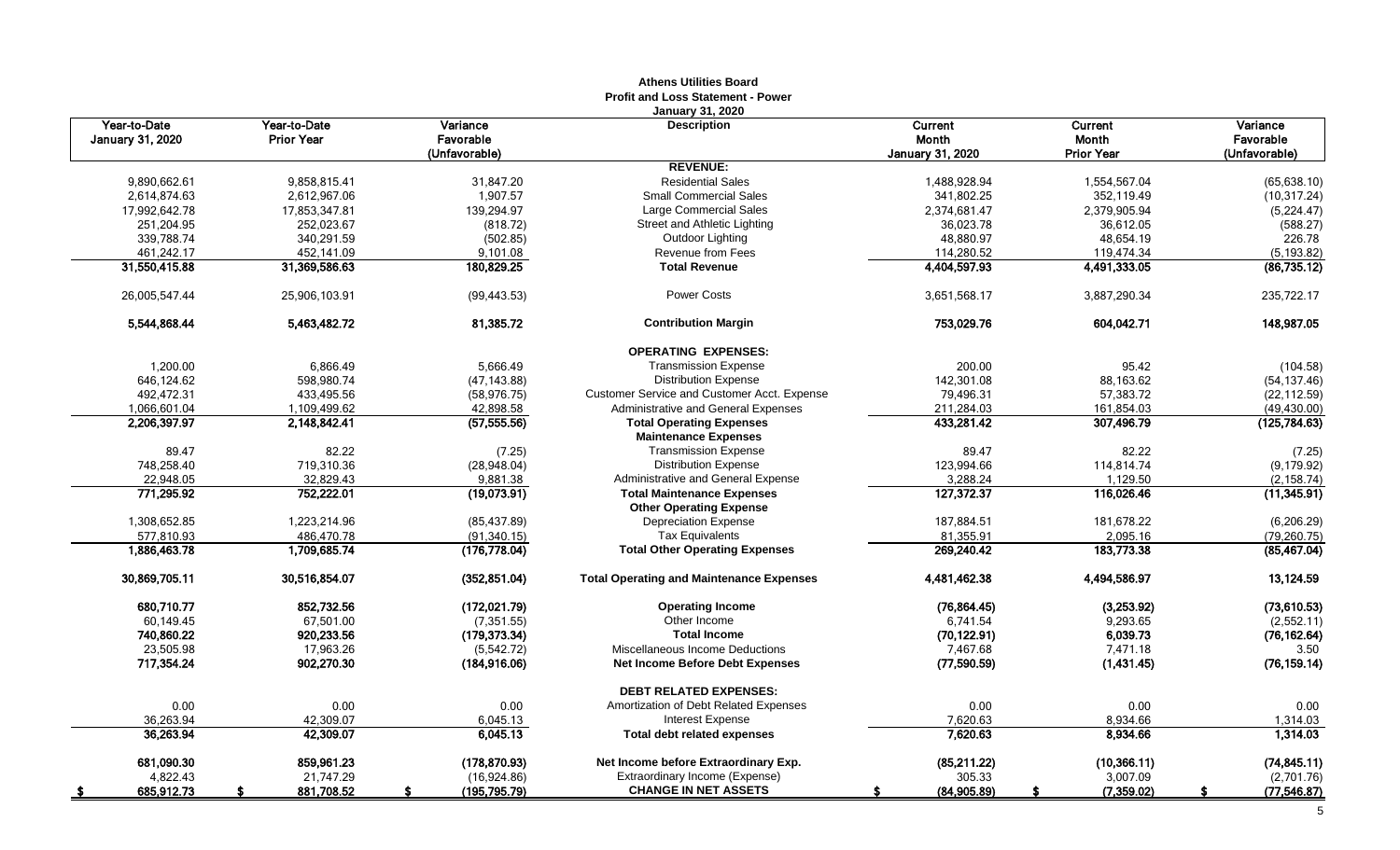|                                         |                                   |                       | AUICIIS UUIIUCS DUAIU<br><b>Profit and Loss Statement - Power</b> |                         |                   |                       |
|-----------------------------------------|-----------------------------------|-----------------------|-------------------------------------------------------------------|-------------------------|-------------------|-----------------------|
| Year-to-Date<br><b>January 31, 2020</b> | Year-to-Date<br><b>Prior Year</b> | Variance<br>Favorable | <b>January 31, 2020</b><br><b>Description</b>                     | Current<br>Month        | Current<br>Month  | Variance<br>Favorable |
|                                         |                                   | (Unfavorable)         | <b>REVENUE:</b>                                                   | <b>January 31, 2020</b> | Prior Year        | (Unfavorable)         |
| 9,890,662.61                            | 9,858,815.41                      | 31,847.20             | <b>Residential Sales</b>                                          | 1,488,928.94            | 1,554,567.04      | (65, 638.10)          |
| 2,614,874.63                            | 2,612,967.06                      | 1,907.57              | <b>Small Commercial Sales</b>                                     | 341,802.25              | 352,119.49        | (10, 317.24)          |
| 17,992,642.78                           | 17,853,347.81                     | 139,294.97            | <b>Large Commercial Sales</b>                                     | 2,374,681.47            | 2,379,905.94      | (5,224.47)            |
| 251,204.95                              | 252,023.67                        | (818.72)              | Street and Athletic Lighting                                      | 36,023.78               | 36,612.05         | (588.27)              |
| 339,788.74                              | 340,291.59                        | (502.85)              | Outdoor Lighting                                                  | 48,880.97               | 48,654.19         | 226.78                |
| 461,242.17                              | 452,141.09                        | 9,101.08              | <b>Revenue from Fees</b>                                          | 114,280.52              | 119,474.34        | (5, 193.82)           |
| 31,550,415.88                           | 31,369,586.63                     | 180,829.25            | <b>Total Revenue</b>                                              | 4,404,597.93            | 4,491,333.05      | (86, 735.12)          |
|                                         |                                   |                       |                                                                   |                         |                   |                       |
| 26,005,547.44                           | 25,906,103.91                     | (99, 443.53)          | <b>Power Costs</b>                                                | 3,651,568.17            | 3,887,290.34      | 235,722.17            |
| 5.544.868.44                            | 5.463.482.72                      | 81,385.72             | <b>Contribution Margin</b>                                        | 753,029.76              | 604.042.71        | 148,987.05            |
|                                         |                                   |                       | <b>OPERATING EXPENSES:</b>                                        |                         |                   |                       |
| 1,200.00                                | 6,866.49                          | 5,666.49              | <b>Transmission Expense</b>                                       | 200.00                  | 95.42             | (104.58)              |
| 646,124.62                              | 598,980.74                        | (47, 143.88)          | <b>Distribution Expense</b>                                       | 142,301.08              | 88,163.62         | (54, 137.46)          |
| 492,472.31                              | 433,495.56                        | (58, 976.75)          | Customer Service and Customer Acct. Expense                       | 79,496.31               | 57,383.72         | (22, 112.59)          |
| 1,066,601.04                            | 1,109,499.62                      | 42,898.58             | Administrative and General Expenses                               | 211,284.03              | 161,854.03        | (49, 430.00)          |
| 2,206,397.97                            | 2,148,842.41                      | (57, 555.56)          | <b>Total Operating Expenses</b><br><b>Maintenance Expenses</b>    | 433,281.42              | 307,496.79        | (125, 784.63)         |
| 89.47                                   | 82.22                             | (7.25)                | <b>Transmission Expense</b>                                       | 89.47                   | 82.22             | (7.25)                |
| 748,258.40                              | 719,310.36                        | (28,948.04)           | <b>Distribution Expense</b>                                       | 123,994.66              | 114,814.74        | (9, 179.92)           |
| 22,948.05                               | 32,829.43                         | 9,881.38              | Administrative and General Expense                                | 3,288.24                | 1,129.50          | (2, 158.74)           |
| 771,295.92                              | 752,222.01                        | (19,073.91)           | <b>Total Maintenance Expenses</b>                                 | 127,372.37              | 116,026.46        | (11,345.91)           |
|                                         |                                   |                       | <b>Other Operating Expense</b>                                    |                         |                   |                       |
| 1,308,652.85                            | 1,223,214.96                      | (85, 437.89)          | Depreciation Expense                                              | 187,884.51              | 181,678.22        | (6, 206.29)           |
| 577,810.93                              | 486,470.78                        | (91, 340.15)          | <b>Tax Equivalents</b>                                            | 81,355.91               | 2,095.16          | (79, 260.75)          |
| 1,886,463.78                            | 1,709,685.74                      | (176, 778.04)         | <b>Total Other Operating Expenses</b>                             | 269,240.42              | 183,773.38        | (85, 467.04)          |
| 30,869,705.11                           | 30,516,854.07                     | (352, 851.04)         | <b>Total Operating and Maintenance Expenses</b>                   | 4,481,462.38            | 4,494,586.97      | 13,124.59             |
| 680,710.77                              | 852,732.56                        | (172, 021.79)         | <b>Operating Income</b>                                           | (76, 864.45)            | (3,253.92)        | (73,610.53)           |
| 60,149.45                               | 67,501.00                         | (7, 351.55)           | Other Income                                                      | 6,741.54                | 9,293.65          | (2,552.11)            |
| 740,860.22                              | 920,233.56                        | (179, 373.34)         | <b>Total Income</b>                                               | (70, 122.91)            | 6,039.73          | (76, 162.64)          |
| 23,505.98                               | 17,963.26                         | (5,542.72)            | Miscellaneous Income Deductions                                   | 7,467.68                | 7,471.18          | 3.50                  |
| 717,354.24                              | 902,270.30                        | (184, 916.06)         | Net Income Before Debt Expenses                                   | (77,590.59)             | (1,431.45)        | (76, 159.14)          |
|                                         |                                   |                       | <b>DEBT RELATED EXPENSES:</b>                                     |                         |                   |                       |
| 0.00                                    | 0.00                              | 0.00                  | Amortization of Debt Related Expenses                             | 0.00                    | 0.00              | 0.00                  |
| 36,263.94                               | 42,309.07                         | 6,045.13              | Interest Expense                                                  | 7,620.63                | 8,934.66          | 1,314.03              |
| 36,263.94                               | 42,309.07                         | 6,045.13              | <b>Total debt related expenses</b>                                | 7,620.63                | 8,934.66          | 1,314.03              |
| 681,090.30                              | 859,961.23                        | (178, 870.93)         | Net Income before Extraordinary Exp.                              | (85,211.22)             | (10, 366.11)      | (74, 845.11)          |
| 4,822.43                                | 21,747.29                         | (16,924.86)           | Extraordinary Income (Expense)                                    | 305.33                  | 3,007.09          | (2,701.76)            |
| 685,912.73<br>- \$                      | 881,708.52                        | (195,795.79)          | <b>CHANGE IN NET ASSETS</b>                                       | (84,905.89)             | (7, 359.02)<br>£. | (77, 546.87)<br>S     |

# **Athens Utilities Board**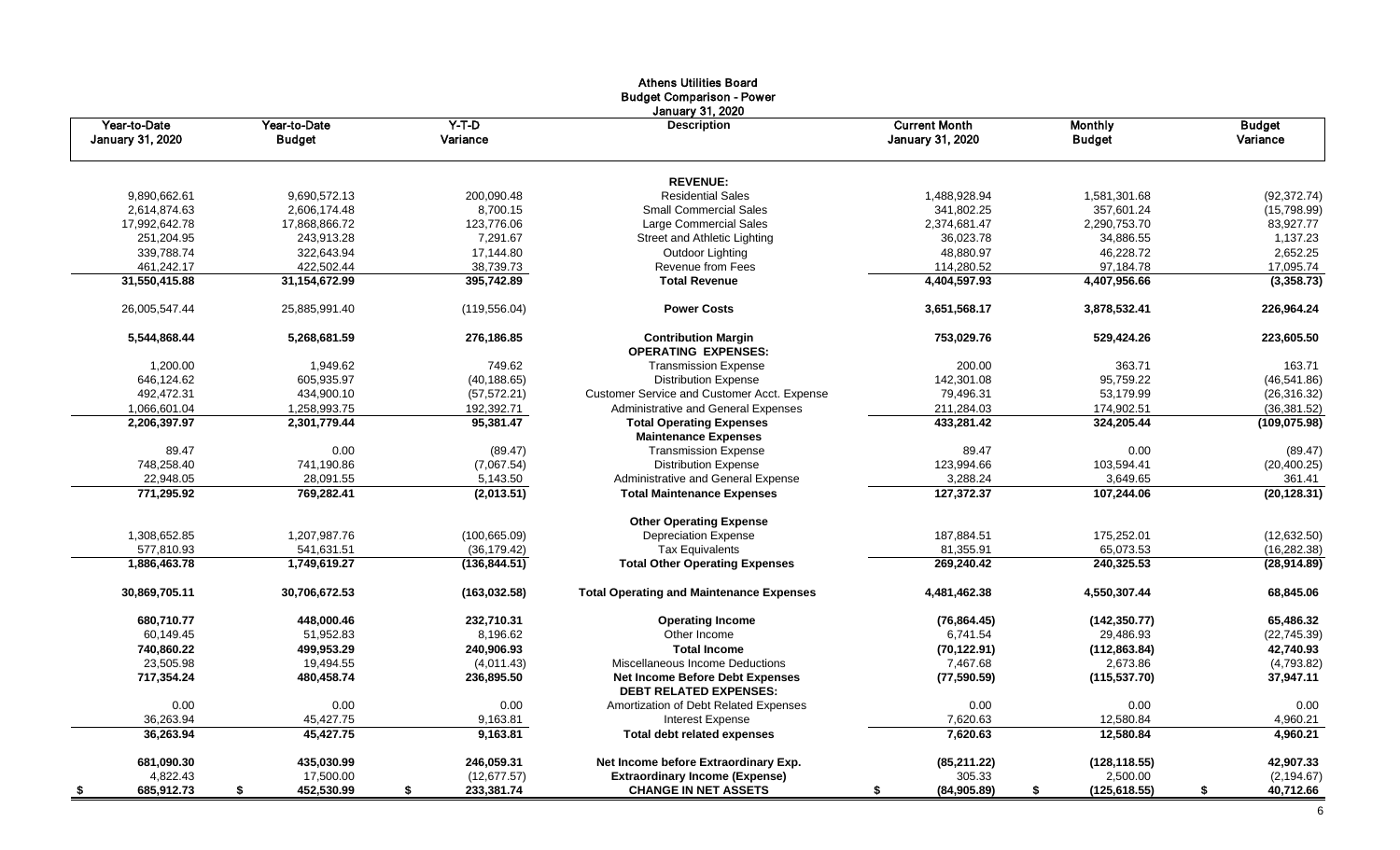|                                         |                               |                     | Athens Utilities board<br><b>Budget Comparison - Power</b>       |                                                 |                                 |                           |
|-----------------------------------------|-------------------------------|---------------------|------------------------------------------------------------------|-------------------------------------------------|---------------------------------|---------------------------|
| Year-to-Date<br><b>January 31, 2020</b> | Year-to-Date<br><b>Budget</b> | $Y-T-D$<br>Variance | January 31, 2020<br><b>Description</b>                           | <b>Current Month</b><br><b>January 31, 2020</b> | <b>Monthly</b><br><b>Budget</b> | <b>Budget</b><br>Variance |
|                                         |                               |                     | <b>REVENUE:</b>                                                  |                                                 |                                 |                           |
| 9,890,662.61                            | 9.690.572.13                  | 200,090.48          | <b>Residential Sales</b>                                         | 1,488,928.94                                    | 1,581,301.68                    | (92, 372.74)              |
| 2,614,874.63                            | 2,606,174.48                  | 8,700.15            | <b>Small Commercial Sales</b>                                    | 341,802.25                                      | 357,601.24                      | (15,798.99)               |
| 17,992,642.78                           | 17,868,866.72                 | 123,776.06          | Large Commercial Sales                                           | 2,374,681.47                                    | 2,290,753.70                    | 83,927.77                 |
| 251,204.95                              | 243,913.28                    | 7,291.67            | Street and Athletic Lighting                                     | 36,023.78                                       | 34,886.55                       | 1,137.23                  |
| 339,788.74                              | 322,643.94                    | 17,144.80           | Outdoor Lighting                                                 | 48,880.97                                       | 46,228.72                       | 2,652.25                  |
| 461,242.17                              | 422,502.44                    | 38,739.73           | <b>Revenue from Fees</b>                                         | 114,280.52                                      | 97,184.78                       | 17,095.74                 |
| 31,550,415.88                           | 31, 154, 672.99               | 395,742.89          | <b>Total Revenue</b>                                             | 4,404,597.93                                    | 4,407,956.66                    | (3,358.73)                |
| 26,005,547.44                           | 25,885,991.40                 | (119, 556.04)       | <b>Power Costs</b>                                               | 3,651,568.17                                    | 3,878,532.41                    | 226,964.24                |
| 5,544,868.44                            | 5,268,681.59                  | 276,186.85          | <b>Contribution Margin</b><br><b>OPERATING EXPENSES:</b>         | 753,029.76                                      | 529,424.26                      | 223,605.50                |
| 1,200.00                                | 1,949.62                      | 749.62              | <b>Transmission Expense</b>                                      | 200.00                                          | 363.71                          | 163.71                    |
| 646,124.62                              | 605,935.97                    | (40, 188.65)        | <b>Distribution Expense</b>                                      | 142,301.08                                      | 95,759.22                       | (46, 541.86)              |
| 492,472.31                              | 434,900.10                    | (57, 572.21)        | <b>Customer Service and Customer Acct. Expense</b>               | 79,496.31                                       | 53,179.99                       | (26, 316.32)              |
| 1,066,601.04                            | 1,258,993.75                  | 192,392.71          | Administrative and General Expenses                              | 211,284.03                                      | 174,902.51                      | (36, 381.52)              |
| 2,206,397.97                            | 2,301,779.44                  | 95,381.47           | <b>Total Operating Expenses</b><br><b>Maintenance Expenses</b>   | 433,281.42                                      | 324,205.44                      | (109, 075.98)             |
| 89.47                                   | 0.00                          | (89.47)             | <b>Transmission Expense</b>                                      | 89.47                                           | 0.00                            | (89.47)                   |
| 748,258.40                              | 741,190.86                    | (7,067.54)          | <b>Distribution Expense</b>                                      | 123,994.66                                      | 103,594.41                      | (20, 400.25)              |
| 22,948.05                               | 28,091.55                     | 5,143.50            | Administrative and General Expense                               | 3,288.24                                        | 3,649.65                        | 361.41                    |
| 771,295.92                              | 769,282.41                    | (2,013.51)          | <b>Total Maintenance Expenses</b>                                | 127,372.37                                      | 107,244.06                      | (20, 128.31)              |
|                                         |                               |                     | <b>Other Operating Expense</b>                                   |                                                 |                                 |                           |
| 1,308,652.85                            | 1,207,987.76                  | (100, 665.09)       | <b>Depreciation Expense</b>                                      | 187,884.51                                      | 175,252.01                      | (12,632.50)               |
| 577,810.93                              | 541,631.51                    | (36, 179.42)        | <b>Tax Equivalents</b>                                           | 81,355.91                                       | 65,073.53                       | (16, 282.38)              |
| 1,886,463.78                            | 1,749,619.27                  | (136, 844.51)       | <b>Total Other Operating Expenses</b>                            | 269,240.42                                      | 240,325.53                      | (28, 914.89)              |
| 30,869,705.11                           | 30,706,672.53                 | (163, 032.58)       | <b>Total Operating and Maintenance Expenses</b>                  | 4,481,462.38                                    | 4,550,307.44                    | 68,845.06                 |
| 680,710.77                              | 448,000.46                    | 232,710.31          | <b>Operating Income</b>                                          | (76, 864.45)                                    | (142, 350.77)                   | 65,486.32                 |
| 60,149.45                               | 51,952.83                     | 8,196.62            | Other Income                                                     | 6,741.54                                        | 29,486.93                       | (22, 745.39)              |
| 740,860.22                              | 499,953.29                    | 240,906.93          | <b>Total Income</b>                                              | (70, 122.91)                                    | (112, 863.84)                   | 42,740.93                 |
| 23.505.98                               | 19,494.55                     | (4,011.43)          | Miscellaneous Income Deductions                                  | 7,467.68                                        | 2,673.86                        | (4,793.82)                |
| 717,354.24                              | 480,458.74                    | 236,895.50          | Net Income Before Debt Expenses<br><b>DEBT RELATED EXPENSES:</b> | (77, 590.59)                                    | (115, 537.70)                   | 37,947.11                 |
| 0.00                                    | 0.00                          | 0.00                | Amortization of Debt Related Expenses                            | 0.00                                            | 0.00                            | 0.00                      |
| 36,263.94                               | 45,427.75                     | 9,163.81            | <b>Interest Expense</b>                                          | 7,620.63                                        | 12,580.84                       | 4,960.21                  |
| 36,263.94                               | 45,427.75                     | 9,163.81            | <b>Total debt related expenses</b>                               | 7,620.63                                        | 12,580.84                       | 4,960.21                  |
| 681,090.30                              | 435,030.99                    | 246,059.31          | Net Income before Extraordinary Exp.                             | (85, 211.22)                                    | (128, 118.55)                   | 42,907.33                 |
| 4,822.43                                | 17,500.00                     | (12, 677.57)        | <b>Extraordinary Income (Expense)</b>                            | 305.33                                          | 2,500.00                        | (2, 194.67)               |
| 685,912.73<br>- \$                      | 452,530.99<br>\$              | 233,381.74<br>\$    | <b>CHANGE IN NET ASSETS</b>                                      | (84,905.89)<br>S                                | (125, 618.55)<br>\$             | 40,712.66<br>\$           |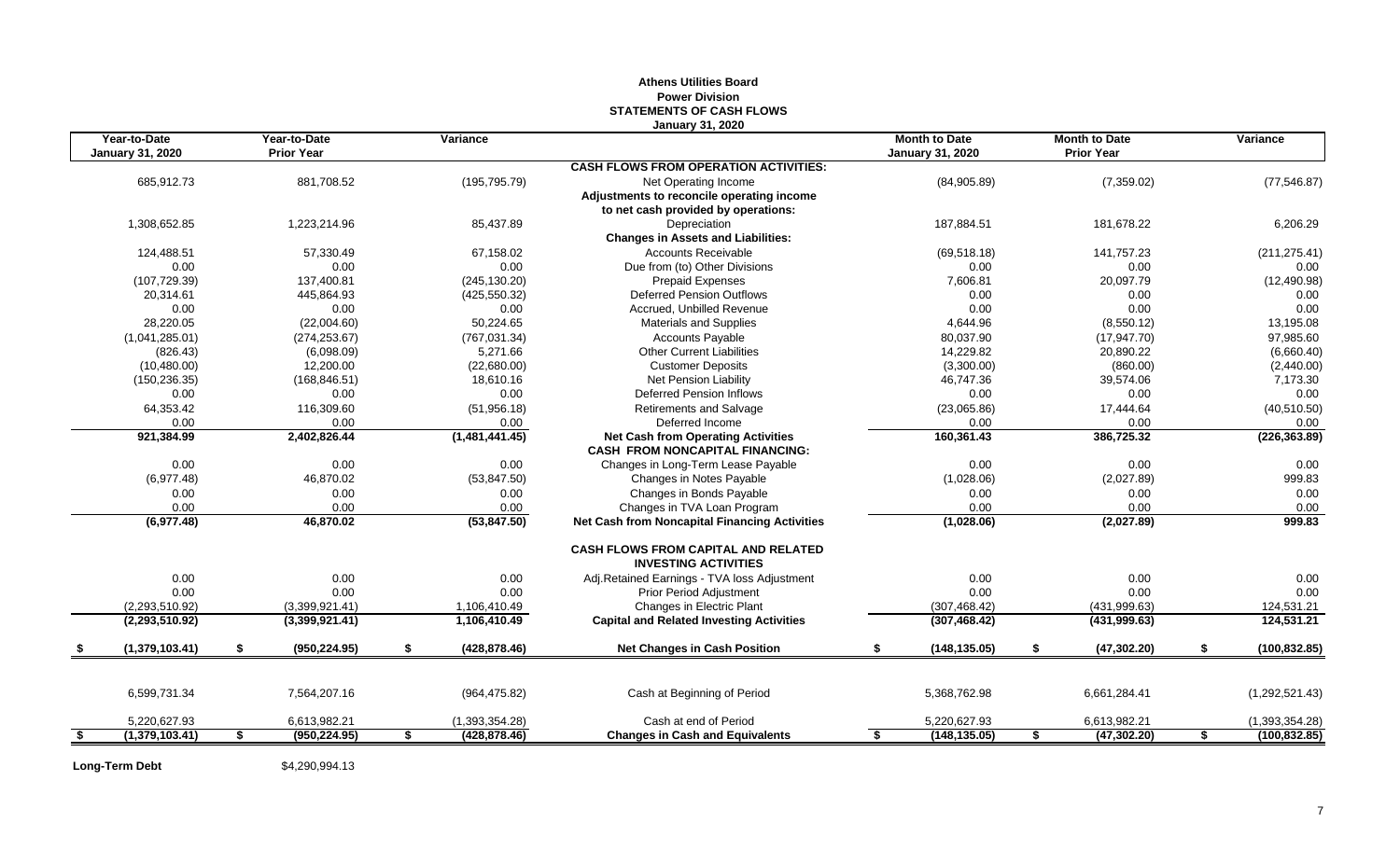# **Athens Utilities Board Power Division STATEMENTS OF CASH FLOWS January 31, 2020**

| Year-to-Date<br><b>January 31, 2020</b> | Year-to-Date<br><b>Prior Year</b> | Variance            |                                                                           | <b>Month to Date</b><br><b>January 31, 2020</b> | <b>Month to Date</b><br><b>Prior Year</b> | Variance            |
|-----------------------------------------|-----------------------------------|---------------------|---------------------------------------------------------------------------|-------------------------------------------------|-------------------------------------------|---------------------|
|                                         |                                   |                     | <b>CASH FLOWS FROM OPERATION ACTIVITIES:</b>                              |                                                 |                                           |                     |
| 685,912.73                              | 881,708.52                        | (195, 795.79)       | Net Operating Income                                                      | (84,905.89)                                     | (7,359.02)                                | (77, 546.87)        |
|                                         |                                   |                     | Adjustments to reconcile operating income                                 |                                                 |                                           |                     |
|                                         |                                   |                     | to net cash provided by operations:                                       |                                                 |                                           |                     |
| 1,308,652.85                            | 1,223,214.96                      | 85,437.89           | Depreciation                                                              | 187,884.51                                      | 181,678.22                                | 6,206.29            |
|                                         |                                   |                     | <b>Changes in Assets and Liabilities:</b>                                 |                                                 |                                           |                     |
| 124,488.51                              | 57,330.49                         | 67,158.02           | <b>Accounts Receivable</b>                                                | (69, 518.18)                                    | 141,757.23                                | (211, 275.41)       |
| 0.00                                    | 0.00                              | 0.00                | Due from (to) Other Divisions                                             | 0.00                                            | 0.00                                      | 0.00                |
| (107, 729.39)                           | 137,400.81                        | (245, 130.20)       | <b>Prepaid Expenses</b>                                                   | 7,606.81                                        | 20,097.79                                 | (12, 490.98)        |
| 20,314.61                               | 445,864.93                        | (425, 550.32)       | <b>Deferred Pension Outflows</b>                                          | 0.00                                            | 0.00                                      | 0.00                |
| 0.00                                    | 0.00                              | 0.00                | Accrued, Unbilled Revenue                                                 | 0.00                                            | 0.00                                      | 0.00                |
| 28,220.05                               | (22,004.60)                       | 50,224.65           | <b>Materials and Supplies</b>                                             | 4,644.96                                        | (8,550.12)                                | 13,195.08           |
| (1,041,285.01)                          | (274, 253.67)                     | (767, 031.34)       | <b>Accounts Payable</b>                                                   | 80,037.90                                       | (17, 947.70)                              | 97,985.60           |
| (826.43)                                | (6,098.09)                        | 5,271.66            | <b>Other Current Liabilities</b>                                          | 14,229.82                                       | 20,890.22                                 | (6,660.40)          |
| (10, 480.00)                            | 12,200.00                         | (22,680.00)         | <b>Customer Deposits</b>                                                  | (3,300.00)                                      | (860.00)                                  | (2,440.00)          |
| (150, 236.35)                           | (168, 846.51)                     | 18,610.16           | Net Pension Liability                                                     | 46,747.36                                       | 39,574.06                                 | 7,173.30            |
| 0.00                                    | 0.00                              | 0.00                | Deferred Pension Inflows                                                  | 0.00                                            | 0.00                                      | 0.00                |
| 64,353.42                               | 116,309.60                        | (51, 956.18)        | <b>Retirements and Salvage</b>                                            | (23,065.86)                                     | 17,444.64                                 | (40, 510.50)        |
| 0.00                                    | 0.00                              | 0.00                | Deferred Income                                                           | 0.00                                            | 0.00                                      | 0.00                |
| 921,384.99                              | 2,402,826.44                      | (1,481,441.45)      | <b>Net Cash from Operating Activities</b>                                 | 160,361.43                                      | 386,725.32                                | (226, 363.89)       |
|                                         |                                   |                     | <b>CASH FROM NONCAPITAL FINANCING:</b>                                    |                                                 |                                           |                     |
| 0.00                                    | 0.00                              | 0.00                | Changes in Long-Term Lease Payable                                        | 0.00                                            | 0.00                                      | 0.00                |
| (6,977.48)                              | 46,870.02                         | (53, 847.50)        | Changes in Notes Payable                                                  | (1,028.06)                                      | (2,027.89)                                | 999.83              |
| 0.00                                    | 0.00                              | 0.00                | Changes in Bonds Payable                                                  | 0.00                                            | 0.00                                      | 0.00                |
| 0.00                                    | 0.00                              | 0.00                | Changes in TVA Loan Program                                               | 0.00                                            | 0.00                                      | 0.00                |
| (6,977.48)                              | 46,870.02                         | (53, 847.50)        | <b>Net Cash from Noncapital Financing Activities</b>                      | (1,028.06)                                      | (2,027.89)                                | 999.83              |
|                                         |                                   |                     | <b>CASH FLOWS FROM CAPITAL AND RELATED</b><br><b>INVESTING ACTIVITIES</b> |                                                 |                                           |                     |
| 0.00                                    | 0.00                              | 0.00                | Adj.Retained Earnings - TVA loss Adjustment                               | 0.00                                            | 0.00                                      | 0.00                |
| 0.00                                    | 0.00                              | 0.00                | <b>Prior Period Adjustment</b>                                            | 0.00                                            | 0.00                                      | 0.00                |
| (2,293,510.92)                          | (3,399,921.41)                    | 1,106,410.49        | Changes in Electric Plant                                                 | (307, 468.42)                                   | (431, 999.63)                             | 124,531.21          |
| (2,293,510.92)                          | (3,399,921.41)                    | 1,106,410.49        | <b>Capital and Related Investing Activities</b>                           | (307, 468.42)                                   | (431, 999.63)                             | 124,531.21          |
| \$<br>(1,379,103.41)                    | \$<br>(950, 224.95)               | \$<br>(428, 878.46) | <b>Net Changes in Cash Position</b>                                       | \$<br>(148, 135.05)                             | \$<br>(47, 302.20)                        | \$<br>(100, 832.85) |
|                                         |                                   |                     |                                                                           |                                                 |                                           |                     |
| 6,599,731.34                            | 7,564,207.16                      | (964, 475.82)       | Cash at Beginning of Period                                               | 5,368,762.98                                    | 6,661,284.41                              | (1,292,521.43)      |
| 5,220,627.93                            | 6,613,982.21                      | (1,393,354.28)      | Cash at end of Period                                                     | 5,220,627.93                                    | 6,613,982.21                              | (1,393,354.28)      |
| \$<br>(1,379,103.41)                    | \$<br>(950, 224.95)               | \$<br>(428, 878.46) | <b>Changes in Cash and Equivalents</b>                                    | \$<br>(148, 135.05)                             | \$<br>(47, 302.20)                        | \$<br>(100, 832.85) |

**Long-Term Debt** \$4,290,994.13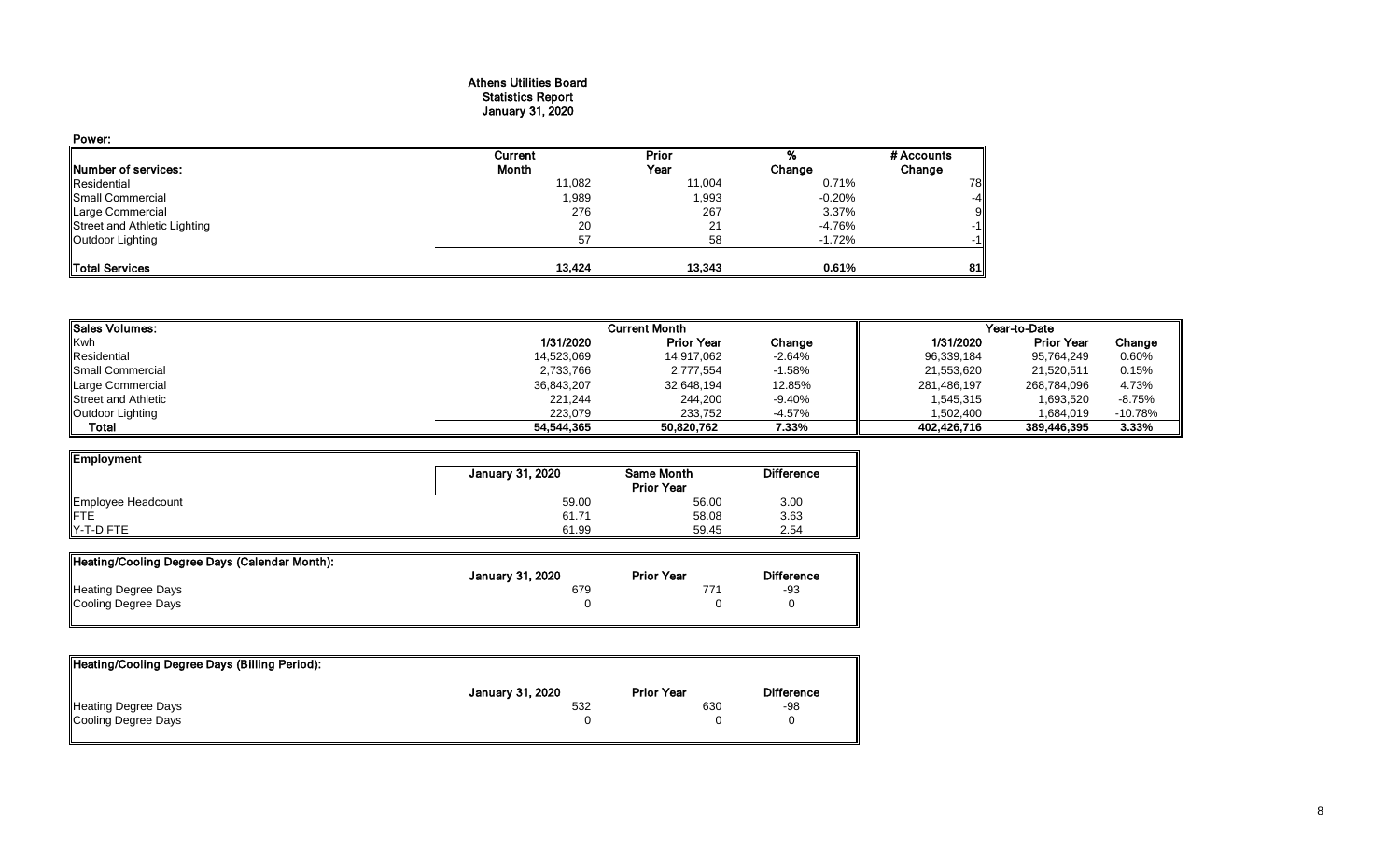# Athens Utilities Board Statistics Report January 31, 2020

| Power:                       |         |        |           |            |
|------------------------------|---------|--------|-----------|------------|
|                              | Current | Prior  |           | # Accounts |
| Number of services:          | Month   | Year   | Change    | Change     |
| Residential                  | 11,082  | 11,004 | 0.71%     | 78         |
| Small Commercial             | 1,989   | 1,993  | $-0.20\%$ | $-4$       |
| Large Commercial             | 276     | 267    | 3.37%     | 9          |
| Street and Athletic Lighting | 20      | 21     | -4.76%    | $-1$       |
| Outdoor Lighting             | 57      | 58     | $-1.72%$  | $-1$       |
| Total Services               | 13,424  | 13,343 | 0.61%     | 81         |

| <b>I</b> Sales Volumes:    |            | <b>Current Month</b> |          | Year-to-Date |                   |           |  |
|----------------------------|------------|----------------------|----------|--------------|-------------------|-----------|--|
| <b>Kwh</b>                 | 1/31/2020  | <b>Prior Year</b>    | Change   | 1/31/2020    | <b>Prior Year</b> | Change    |  |
| Residential                | 14,523,069 | 14,917,062           | $-2.64%$ | 96,339,184   | 95,764,249        | 0.60%     |  |
| <b>I</b> Small Commercial  | 2,733,766  | 2,777,554            | $-1.58%$ | 21,553,620   | 21,520,511        | 0.15%     |  |
| Large Commercial           | 36,843,207 | 32,648,194           | 12.85%   | 281,486,197  | 268,784,096       | 4.73%     |  |
| <b>Street and Athletic</b> | 221,244    | 244,200              | -9.40%   | 1,545,315    | 1,693,520         | $-8.75%$  |  |
| Outdoor Lighting           | 223.079    | 233.752              | -4.57%   | 1.502.400    | 1,684,019         | $-10.78%$ |  |
| Total                      | 54.544.365 | 50.820.762           | 7.33%    | 402.426.716  | 389,446,395       | 3.33%     |  |

| Employment         |                  |                   |                   |
|--------------------|------------------|-------------------|-------------------|
|                    | January 31, 2020 | Same Month        | <b>Difference</b> |
|                    |                  | <b>Prior Year</b> |                   |
| Employee Headcount | 59.00            | 56.00             | 3.00              |
| <b>IFTE</b>        | 61.71            | 58.08             | 3.63              |
| $Y-T-D$ FTE        | 61.99            | 59.45             | 2.54              |

| Heating/Cooling Degree Days (Calendar Month): |                  |                   |                   |
|-----------------------------------------------|------------------|-------------------|-------------------|
|                                               | January 31, 2020 | <b>Prior Year</b> | <b>Difference</b> |
| Heating Degree Days                           | 679              |                   | -93               |
| Cooling Degree Days                           |                  |                   |                   |
|                                               |                  |                   |                   |

| Heating/Cooling Degree Days (Billing Period): |                  |                   |                   |
|-----------------------------------------------|------------------|-------------------|-------------------|
|                                               | January 31, 2020 | <b>Prior Year</b> | <b>Difference</b> |
| <b>Heating Degree Days</b>                    | 532              | 630               | -98               |
| Cooling Degree Days                           |                  |                   |                   |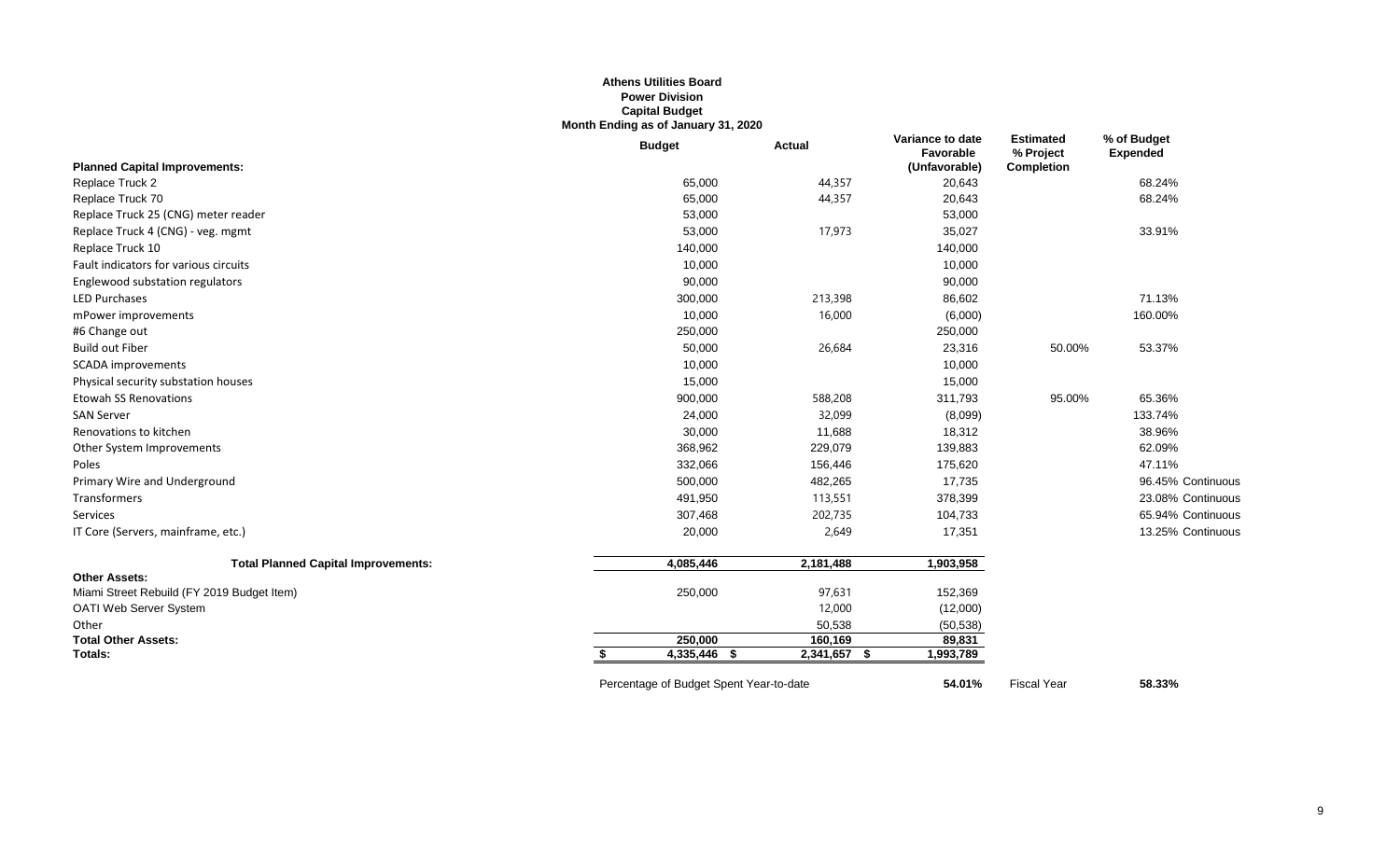# **Athens Utilities Board Power Division Capital Budget Month Ending as of January 31, 2020**

|                                            | <b>Budget</b>                           | <b>Actual</b> | Variance to date<br>Favorable | <b>Estimated</b><br>% Project | % of Budget<br><b>Expended</b> |
|--------------------------------------------|-----------------------------------------|---------------|-------------------------------|-------------------------------|--------------------------------|
| <b>Planned Capital Improvements:</b>       |                                         |               | (Unfavorable)                 | <b>Completion</b>             |                                |
| Replace Truck 2                            | 65,000                                  | 44,357        | 20,643                        |                               | 68.24%                         |
| Replace Truck 70                           | 65,000                                  | 44,357        | 20,643                        |                               | 68.24%                         |
| Replace Truck 25 (CNG) meter reader        | 53,000                                  |               | 53,000                        |                               |                                |
| Replace Truck 4 (CNG) - veg. mgmt          | 53,000                                  | 17,973        | 35,027                        |                               | 33.91%                         |
| Replace Truck 10                           | 140,000                                 |               | 140,000                       |                               |                                |
| Fault indicators for various circuits      | 10,000                                  |               | 10,000                        |                               |                                |
| Englewood substation regulators            | 90,000                                  |               | 90,000                        |                               |                                |
| <b>LED Purchases</b>                       | 300,000                                 | 213,398       | 86,602                        |                               | 71.13%                         |
| mPower improvements                        | 10,000                                  | 16,000        | (6,000)                       |                               | 160.00%                        |
| #6 Change out                              | 250,000                                 |               | 250,000                       |                               |                                |
| <b>Build out Fiber</b>                     | 50,000                                  | 26,684        | 23,316                        | 50.00%                        | 53.37%                         |
| <b>SCADA</b> improvements                  | 10,000                                  |               | 10,000                        |                               |                                |
| Physical security substation houses        | 15,000                                  |               | 15,000                        |                               |                                |
| <b>Etowah SS Renovations</b>               | 900,000                                 | 588,208       | 311,793                       | 95.00%                        | 65.36%                         |
| <b>SAN Server</b>                          | 24,000                                  | 32,099        | (8,099)                       |                               | 133.74%                        |
| Renovations to kitchen                     | 30,000                                  | 11,688        | 18,312                        |                               | 38.96%                         |
| Other System Improvements                  | 368,962                                 | 229,079       | 139,883                       |                               | 62.09%                         |
| Poles                                      | 332,066                                 | 156,446       | 175,620                       |                               | 47.11%                         |
| Primary Wire and Underground               | 500,000                                 | 482,265       | 17,735                        |                               | 96.45% Continuous              |
| Transformers                               | 491,950                                 | 113,551       | 378,399                       |                               | 23.08% Continuous              |
| Services                                   | 307,468                                 | 202,735       | 104,733                       |                               | 65.94% Continuous              |
| IT Core (Servers, mainframe, etc.)         | 20,000                                  | 2,649         | 17,351                        |                               | 13.25% Continuous              |
| <b>Total Planned Capital Improvements:</b> | 4,085,446                               | 2,181,488     | 1,903,958                     |                               |                                |
| <b>Other Assets:</b>                       |                                         |               |                               |                               |                                |
| Miami Street Rebuild (FY 2019 Budget Item) | 250,000                                 | 97,631        | 152,369                       |                               |                                |
| <b>OATI Web Server System</b>              |                                         | 12,000        | (12,000)                      |                               |                                |
| Other                                      |                                         | 50,538        | (50, 538)                     |                               |                                |
| <b>Total Other Assets:</b>                 | 250,000                                 | 160,169       | 89,831                        |                               |                                |
| Totals:                                    | 4,335,446 \$                            | 2,341,657 \$  | 1,993,789                     |                               |                                |
|                                            | Percentage of Budget Spent Year-to-date |               | 54.01%                        | <b>Fiscal Year</b>            | 58.33%                         |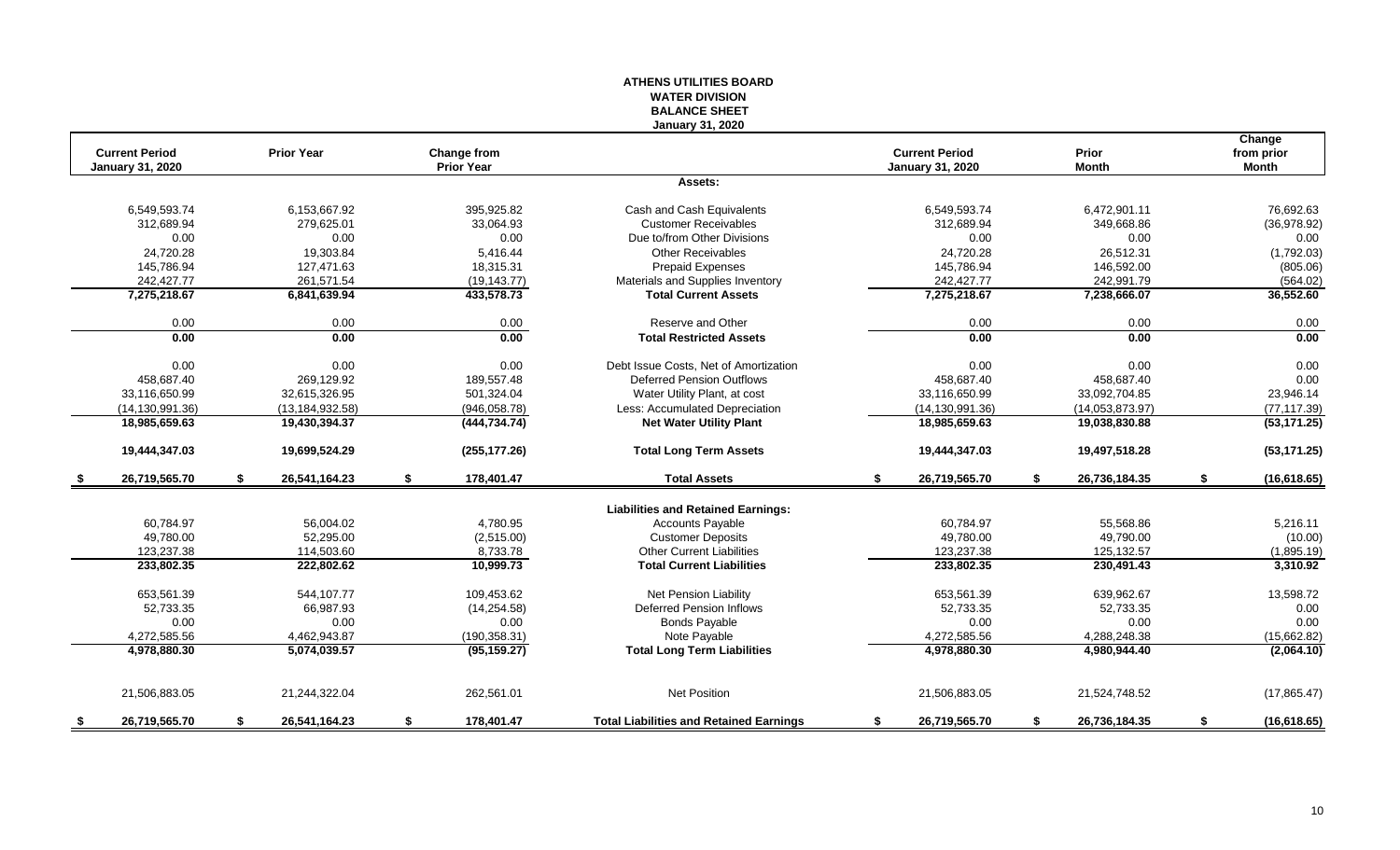# **WATER DIVISION BALANCE SHEET January 31, 2020 Change Current Period Prior Year Change from Current Period Prior from prior January 31, 2020 Prior Year January 31, 2020 Month Month Assets:** 6,549,593.74 6,153,667.92 395,925.82 Cash and Cash Equivalents 6,549,593.74 6,472,901.11 76,692.63 312,689.94 279,625.01 33,064.93 Customer Receivables 312,689.94 349,668.86 (36,978.92) 0.00 0.00 0.00 Due to/from Other Divisions 0.00 0.00 0.00 24,720.28 19,303.84 5,416.44 Other Receivables 24,720.28 26,512.31 (1,792.03) 145,786.94 127,471.63 18,315.31 Prepaid Expenses 145,786.94 146,592.00 (805.06) 242,427.77 261,571.54 (19,143.77) Materials and Supplies Inventory 242,427.77 242,991.79 242,991.79 (564.02)<br>275,218.67 6,841,639.94 433,578.73 Total Current Assets 7,275,218.67 7,275,318.666.07 36,552.60 **7,275,218.67 6,841,639.94 433,578.73 Total Current Assets 7,275,218.67 7,238,666.07 36,552.60** 0.00 0.00 0.00 Reserve and Other 0.00 0.00 0.00 **0.00 0.00 0.00 Total Restricted Assets 0.00 0.00 0.00** 0.00 0.00 0.00 Debt Issue Costs, Net of Amortization 0.00 0.00 0.00 458,687.40 269,129.92 189,557.48 Deferred Pension Outflows 458,687.40 458,687.40 0.00 33,116,650.99 32,615,326.95 501,324.04 Water Utility Plant, at cost 33,116,650.99 33,092,704.85 23,946.14 (14,130,991.36) (13,184,932.58) (946,058.78) Less: Accumulated Depreciation (14,130,991.36) (14,053,873.97) (77,117.39)<br>
18,985,659.63 19,430,394.37 (444,734.74) Net Water Utility Plant 18,985,659.63 19,038,830.88 (53,171. **18,985,659.63 19,430,394.37 (444,734.74) Net Water Utility Plant 18,985,659.63 19,038,830.88 (53,171.25) 19,444,347.03 19,699,524.29 (255,177.26) Total Long Term Assets 19,444,347.03 19,497,518.28 (53,171.25) \$ 26,719,565.70 \$ 26,541,164.23 \$ 178,401.47 Total Assets \$ 26,719,565.70 \$ 26,736,184.35 \$ (16,618.65) Liabilities and Retained Earnings:** 60,784.97 56,004.02 4,780.95 Cccounts Payable 60,784.97 55,568.86 5,216.11 49,780.00 52,295.00 (2,515.00) Customer Deposits 49,780.00 49,790.00 (10.00) 123,237.38 114,503.60 8,733.78 Other Current Liabilities 123,237.38 125,132.57 (1,895.19) **233,802.35 222,802.62 10,999.73 Total Current Liabilities 233,802.35 230,491.43 3,310.92** 653,561.39 544,107.77 109,453.62 Net Pension Liability 653,561.39 639,962.67 13,598.72 52,733.35 66,987.93 (14,254.58) Deferred Pension Inflows 52,733.35 52,733.35 0.00 0.00 0.00 0.00 Bonds Payable 0.00 0.00 0.00 4,272,585.56 4,462,943.87 (190,358.31) Note Payable 4,272,585.56 4,288,248.38 (15,662.82) **4,978,880.30 5,074,039.57 (95,159.27) Total Long Term Liabilities 4,978,880.30 4,980,944.40 (2,064.10)** 21,506,883.05 21,244,322.04 262,561.01 Net Position 21,506,883.05 21,524,748.52 (17,865.47)

**\$ 26,719,565.70 \$ 26,541,164.23 \$ 178,401.47 Total Liabilities and Retained Earnings \$ 26,719,565.70 \$ 26,736,184.35 \$ (16,618.65)**

**ATHENS UTILITIES BOARD**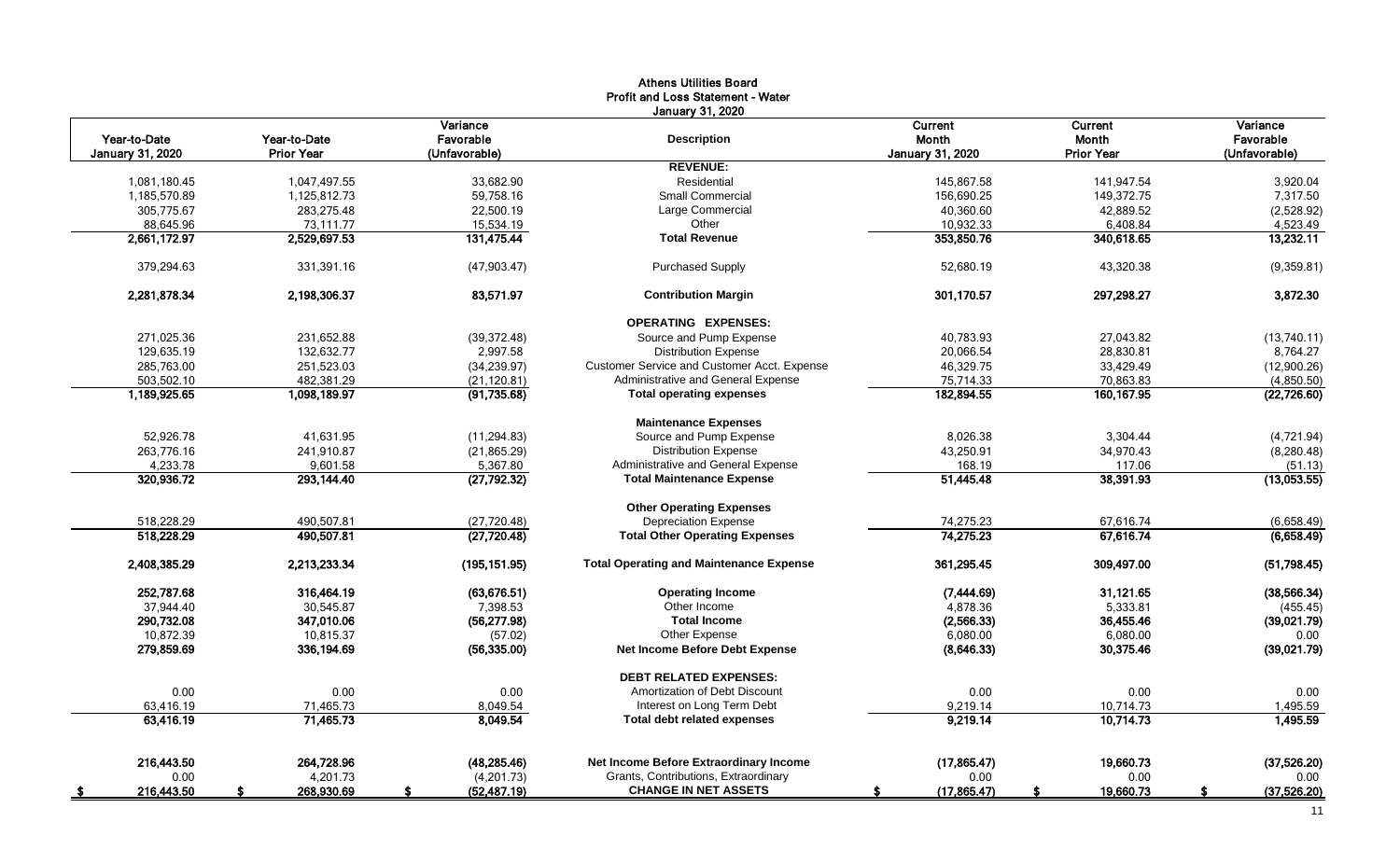|                         |                   |               | <b>Athens Utilities Board</b><br>Profit and Loss Statement - Water |                         |                   |               |
|-------------------------|-------------------|---------------|--------------------------------------------------------------------|-------------------------|-------------------|---------------|
|                         |                   |               | <b>January 31, 2020</b>                                            |                         |                   |               |
|                         |                   | Variance      |                                                                    | Current                 | <b>Current</b>    | Variance      |
| Year-to-Date            | Year-to-Date      | Favorable     | <b>Description</b>                                                 | <b>Month</b>            | <b>Month</b>      | Favorable     |
| <b>January 31, 2020</b> | <b>Prior Year</b> | (Unfavorable) |                                                                    | <b>January 31, 2020</b> | <b>Prior Year</b> | (Unfavorable) |
|                         |                   |               | <b>REVENUE:</b>                                                    |                         |                   |               |
| 1,081,180.45            | 1,047,497.55      | 33.682.90     | Residential                                                        | 145,867.58              | 141,947.54        | 3,920.04      |
| 1,185,570.89            | 1,125,812.73      | 59,758.16     | <b>Small Commercial</b>                                            | 156,690.25              | 149,372.75        | 7,317.50      |
| 305,775.67              | 283,275.48        | 22,500.19     | Large Commercial                                                   | 40,360.60               | 42,889.52         | (2,528.92)    |
| 88,645.96               | 73,111.77         | 15,534.19     | Other                                                              | 10,932.33               | 6,408.84          | 4,523.49      |
| 2,661,172.97            | 2,529,697.53      | 131,475.44    | <b>Total Revenue</b>                                               | 353,850.76              | 340,618.65        | 13,232.11     |
| 379,294.63              | 331,391.16        | (47,903.47)   | <b>Purchased Supply</b>                                            | 52,680.19               | 43,320.38         | (9,359.81)    |
| 2,281,878.34            | 2,198,306.37      | 83,571.97     | <b>Contribution Margin</b>                                         | 301,170.57              | 297,298.27        | 3,872.30      |
|                         |                   |               | <b>OPERATING EXPENSES:</b>                                         |                         |                   |               |
| 271,025.36              | 231,652.88        | (39, 372.48)  | Source and Pump Expense                                            | 40.783.93               | 27.043.82         | (13,740.11)   |
| 129,635.19              | 132,632.77        | 2,997.58      | <b>Distribution Expense</b>                                        | 20,066.54               | 28,830.81         | 8,764.27      |
| 285,763.00              | 251,523.03        | (34, 239.97)  | Customer Service and Customer Acct. Expense                        | 46,329.75               | 33,429.49         | (12,900.26)   |
| 503,502.10              | 482,381.29        | (21, 120.81)  | Administrative and General Expense                                 | 75,714.33               | 70,863.83         | (4,850.50)    |
| 1.189.925.65            | 1.098.189.97      | (91, 735.68)  | <b>Total operating expenses</b>                                    | 182,894.55              | 160, 167.95       | (22, 726.60)  |
|                         |                   |               | <b>Maintenance Expenses</b>                                        |                         |                   |               |
| 52.926.78               | 41.631.95         | (11, 294.83)  | Source and Pump Expense                                            | 8.026.38                | 3.304.44          | (4,721.94)    |
| 263.776.16              | 241.910.87        | (21, 865.29)  | <b>Distribution Expense</b>                                        | 43,250.91               | 34,970.43         | (8, 280.48)   |
| 4,233.78                | 9,601.58          | 5,367.80      | Administrative and General Expense                                 | 168.19                  | 117.06            | (51.13)       |
| 320,936.72              | 293,144.40        | (27, 792.32)  | <b>Total Maintenance Expense</b>                                   | 51,445.48               | 38,391.93         | (13,053.55)   |
|                         |                   |               | <b>Other Operating Expenses</b>                                    |                         |                   |               |
| 518,228.29              | 490,507.81        | (27, 720.48)  | <b>Depreciation Expense</b>                                        | 74,275.23               | 67,616.74         | (6,658.49)    |
| 518,228.29              | 490,507.81        | (27, 720.48)  | <b>Total Other Operating Expenses</b>                              | 74,275.23               | 67,616.74         | (6,658.49)    |
| 2,408,385.29            | 2,213,233.34      | (195, 151.95) | <b>Total Operating and Maintenance Expense</b>                     | 361,295.45              | 309,497.00        | (51,798.45)   |
| 252,787.68              | 316,464.19        | (63, 676.51)  | <b>Operating Income</b>                                            | (7,444.69)              | 31,121.65         | (38, 566.34)  |
| 37,944.40               | 30,545.87         | 7,398.53      | Other Income                                                       | 4,878.36                | 5,333.81          | (455.45)      |
| 290,732.08              | 347,010.06        | (56, 277.98)  | <b>Total Income</b>                                                | (2,566.33)              | 36,455.46         | (39,021.79)   |
| 10,872.39               | 10,815.37         | (57.02)       | Other Expense                                                      | 6,080.00                | 6,080.00          | 0.00          |
| 279,859.69              | 336,194.69        | (56, 335.00)  | Net Income Before Debt Expense                                     | (8,646.33)              | 30,375.46         | (39,021.79)   |
|                         |                   |               | <b>DEBT RELATED EXPENSES:</b>                                      |                         |                   |               |
| 0.00                    | 0.00              | 0.00          | Amortization of Debt Discount                                      | 0.00                    | 0.00              | 0.00          |
| 63.416.19               | 71,465.73         | 8,049.54      | Interest on Long Term Debt                                         | 9,219.14                | 10,714.73         | 1,495.59      |
| 63,416.19               | 71,465.73         | 8,049.54      | <b>Total debt related expenses</b>                                 | 9,219.14                | 10,714.73         | 1,495.59      |
| 216.443.50              | 264,728.96        | (48.285.46)   | Net Income Before Extraordinary Income                             | (17, 865.47)            | 19.660.73         | (37,526.20)   |
| 0.00                    | 4,201.73          | (4,201.73)    | Grants, Contributions, Extraordinary                               | 0.00                    | 0.00              | 0.00          |
|                         | 268,930.69        | (52, 487.19)  | <b>CHANGE IN NET ASSETS</b>                                        |                         |                   | (37,526.20)   |
| 216,443.50              | -S                | S.            |                                                                    | (17, 865.47)<br>s.      | 19,660.73<br>£.   | -S            |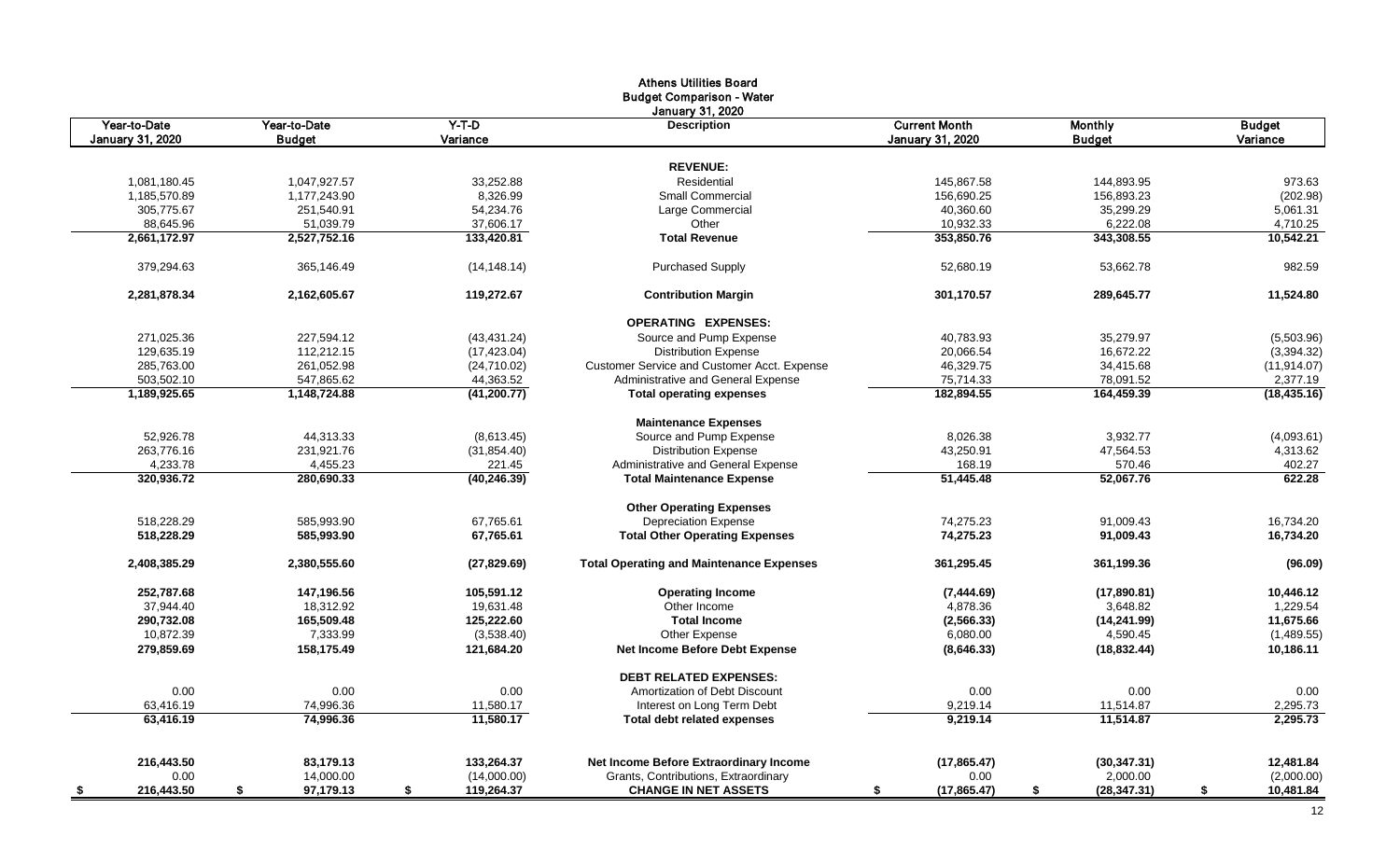|                  |                 |                  | <b>Athens Utilities Board</b>                   |                         |                    |                 |
|------------------|-----------------|------------------|-------------------------------------------------|-------------------------|--------------------|-----------------|
|                  |                 |                  | <b>Budget Comparison - Water</b>                |                         |                    |                 |
|                  |                 |                  | <b>January 31, 2020</b>                         |                         |                    |                 |
| Year-to-Date     | Year-to-Date    | $Y-T-D$          | <b>Description</b>                              | <b>Current Month</b>    | <b>Monthly</b>     | <b>Budget</b>   |
| January 31, 2020 | <b>Budget</b>   | Variance         |                                                 | <b>January 31, 2020</b> | <b>Budget</b>      | Variance        |
|                  |                 |                  |                                                 |                         |                    |                 |
|                  |                 |                  | <b>REVENUE:</b>                                 |                         |                    |                 |
| 1,081,180.45     | 1,047,927.57    | 33,252.88        | Residential                                     | 145,867.58              | 144,893.95         | 973.63          |
| 1,185,570.89     | 1,177,243.90    | 8,326.99         | Small Commercial                                | 156,690.25              | 156,893.23         | (202.98)        |
| 305,775.67       | 251,540.91      | 54,234.76        | Large Commercial                                | 40,360.60               | 35,299.29          | 5,061.31        |
| 88,645.96        | 51,039.79       | 37,606.17        | Other                                           | 10,932.33               | 6,222.08           | 4,710.25        |
| 2,661,172.97     | 2,527,752.16    | 133,420.81       | <b>Total Revenue</b>                            | 353,850.76              | 343,308.55         | 10.542.21       |
| 379,294.63       | 365,146.49      | (14, 148.14)     | <b>Purchased Supply</b>                         | 52,680.19               | 53,662.78          | 982.59          |
| 2.281.878.34     | 2.162.605.67    | 119.272.67       | <b>Contribution Margin</b>                      | 301,170.57              | 289.645.77         | 11,524.80       |
|                  |                 |                  | <b>OPERATING EXPENSES:</b>                      |                         |                    |                 |
| 271,025.36       | 227,594.12      | (43, 431.24)     | Source and Pump Expense                         | 40,783.93               | 35,279.97          | (5,503.96)      |
| 129,635.19       | 112,212.15      | (17, 423.04)     | <b>Distribution Expense</b>                     | 20,066.54               | 16,672.22          | (3,394.32)      |
| 285,763.00       | 261,052.98      | (24,710.02)      | Customer Service and Customer Acct. Expense     | 46,329.75               | 34,415.68          | (11, 914.07)    |
| 503,502.10       | 547,865.62      | 44,363.52        | Administrative and General Expense              | 75,714.33               | 78,091.52          | 2,377.19        |
| 1,189,925.65     | 1,148,724.88    | (41, 200.77)     | <b>Total operating expenses</b>                 | 182,894.55              | 164,459.39         | (18, 435.16)    |
|                  |                 |                  | <b>Maintenance Expenses</b>                     |                         |                    |                 |
| 52,926.78        | 44,313.33       | (8,613.45)       | Source and Pump Expense                         | 8,026.38                | 3,932.77           | (4,093.61)      |
| 263,776.16       | 231,921.76      | (31, 854.40)     | <b>Distribution Expense</b>                     | 43,250.91               | 47,564.53          | 4,313.62        |
| 4,233.78         | 4,455.23        | 221.45           | Administrative and General Expense              | 168.19                  | 570.46             | 402.27          |
| 320.936.72       | 280,690.33      | (40, 246.39)     | <b>Total Maintenance Expense</b>                | 51,445.48               | 52,067.76          | 622.28          |
|                  |                 |                  | <b>Other Operating Expenses</b>                 |                         |                    |                 |
| 518,228.29       | 585,993.90      | 67,765.61        | <b>Depreciation Expense</b>                     | 74,275.23               | 91,009.43          | 16,734.20       |
| 518,228.29       | 585,993.90      | 67,765.61        | <b>Total Other Operating Expenses</b>           | 74,275.23               | 91,009.43          | 16,734.20       |
| 2,408,385.29     | 2,380,555.60    | (27, 829.69)     | <b>Total Operating and Maintenance Expenses</b> | 361,295.45              | 361,199.36         | (96.09)         |
| 252,787.68       | 147,196.56      | 105,591.12       | <b>Operating Income</b>                         | (7,444.69)              | (17,890.81)        | 10,446.12       |
| 37,944.40        | 18,312.92       | 19,631.48        | Other Income                                    | 4,878.36                | 3,648.82           | 1,229.54        |
| 290,732.08       | 165,509.48      | 125,222.60       | <b>Total Income</b>                             | (2, 566.33)             | (14, 241.99)       | 11,675.66       |
| 10,872.39        | 7,333.99        | (3,538.40)       | Other Expense                                   | 6,080.00                | 4,590.45           | (1,489.55)      |
| 279,859.69       | 158,175.49      | 121,684.20       | <b>Net Income Before Debt Expense</b>           | (8,646.33)              | (18, 832.44)       | 10,186.11       |
|                  |                 |                  | <b>DEBT RELATED EXPENSES:</b>                   |                         |                    |                 |
| 0.00             | 0.00            | 0.00             | Amortization of Debt Discount                   | 0.00                    | 0.00               | 0.00            |
| 63,416.19        | 74,996.36       | 11,580.17        | Interest on Long Term Debt                      | 9,219.14                | 11,514.87          | 2,295.73        |
| 63,416.19        | 74,996.36       | 11.580.17        | <b>Total debt related expenses</b>              | 9,219.14                | 11,514.87          | 2,295.73        |
| 216,443.50       | 83,179.13       | 133,264.37       | Net Income Before Extraordinary Income          | (17, 865.47)            | (30, 347.31)       | 12,481.84       |
| 0.00             | 14,000.00       | (14,000.00)      | Grants, Contributions, Extraordinary            | 0.00                    | 2,000.00           | (2,000.00)      |
| 216,443.50       | 97,179.13<br>\$ | 119,264.37<br>\$ | <b>CHANGE IN NET ASSETS</b>                     | \$<br>(17, 865.47)      | \$<br>(28, 347.31) | \$<br>10,481.84 |
| <u>\$</u>        |                 |                  |                                                 |                         |                    |                 |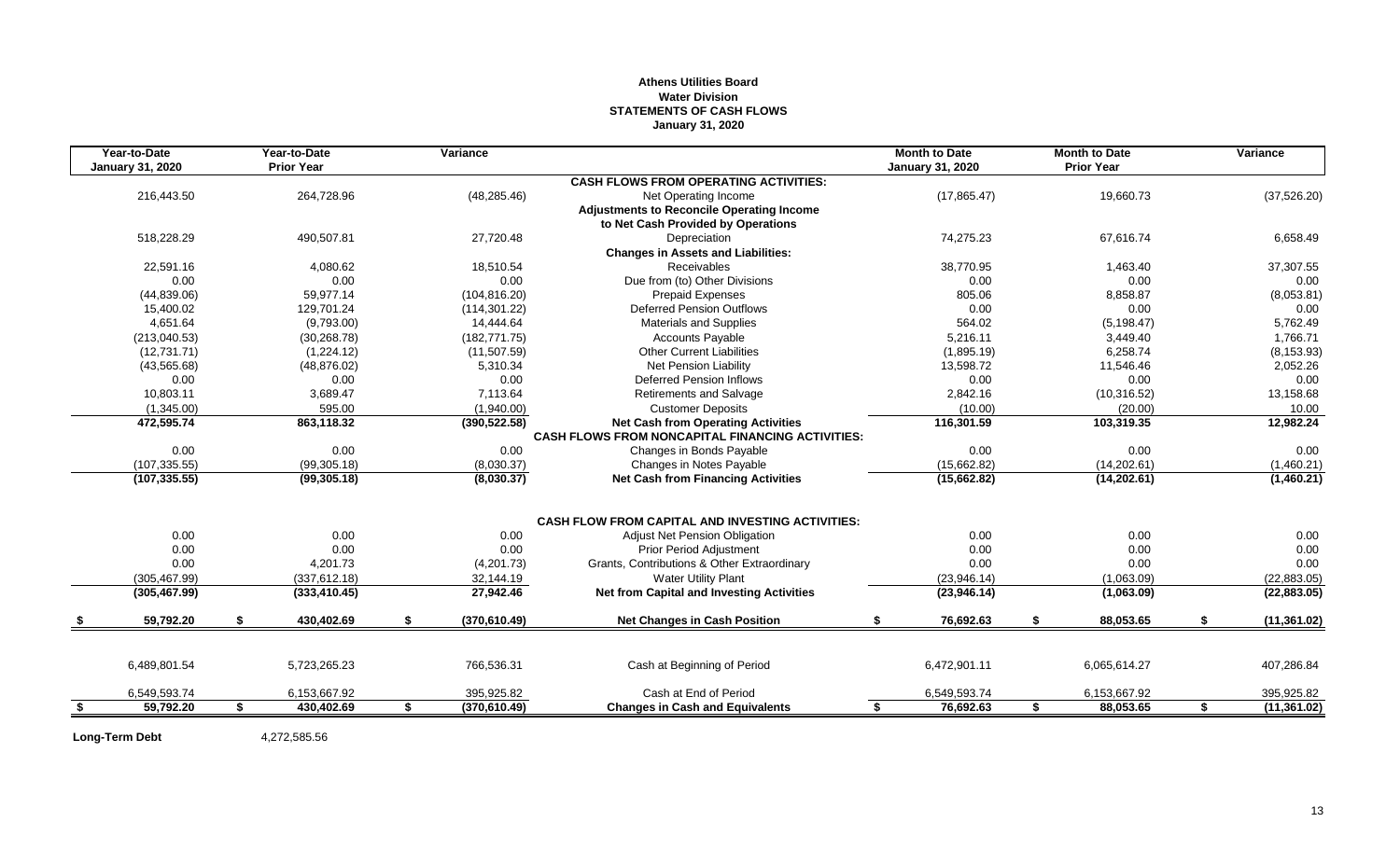# **Athens Utilities Board Water Division STATEMENTS OF CASH FLOWS January 31, 2020**

|      | Year-to-Date            | Year-to-Date      | Variance            |                                                         | <b>Month to Date</b>    | <b>Month to Date</b> |    | Variance     |
|------|-------------------------|-------------------|---------------------|---------------------------------------------------------|-------------------------|----------------------|----|--------------|
|      | <b>January 31, 2020</b> | <b>Prior Year</b> |                     |                                                         | <b>January 31, 2020</b> | <b>Prior Year</b>    |    |              |
|      |                         |                   |                     | <b>CASH FLOWS FROM OPERATING ACTIVITIES:</b>            |                         |                      |    |              |
|      | 216,443.50              | 264,728.96        | (48, 285.46)        | Net Operating Income                                    | (17, 865.47)            | 19,660.73            |    | (37, 526.20) |
|      |                         |                   |                     | <b>Adjustments to Reconcile Operating Income</b>        |                         |                      |    |              |
|      |                         |                   |                     | to Net Cash Provided by Operations                      |                         |                      |    |              |
|      | 518,228.29              | 490,507.81        | 27,720.48           | Depreciation                                            | 74,275.23               | 67,616.74            |    | 6,658.49     |
|      |                         |                   |                     | <b>Changes in Assets and Liabilities:</b>               |                         |                      |    |              |
|      | 22,591.16               | 4,080.62          | 18,510.54           | <b>Receivables</b>                                      | 38,770.95               | 1,463.40             |    | 37,307.55    |
|      | 0.00                    | 0.00              | 0.00                | Due from (to) Other Divisions                           | 0.00                    | 0.00                 |    | 0.00         |
|      | (44, 839.06)            | 59,977.14         | (104, 816.20)       | <b>Prepaid Expenses</b>                                 | 805.06                  | 8,858.87             |    | (8,053.81)   |
|      | 15,400.02               | 129,701.24        | (114, 301.22)       | <b>Deferred Pension Outflows</b>                        | 0.00                    | 0.00                 |    | 0.00         |
|      | 4.651.64                | (9,793.00)        | 14,444.64           | <b>Materials and Supplies</b>                           | 564.02                  | (5, 198.47)          |    | 5,762.49     |
|      | (213,040.53)            | (30, 268.78)      | (182, 771.75)       | <b>Accounts Payable</b>                                 | 5,216.11                | 3,449.40             |    | 1,766.71     |
|      | (12,731.71)             | (1,224.12)        | (11,507.59)         | <b>Other Current Liabilities</b>                        | (1,895.19)              | 6,258.74             |    | (8, 153.93)  |
|      | (43, 565.68)            | (48, 876.02)      | 5,310.34            | Net Pension Liability                                   | 13,598.72               | 11,546.46            |    | 2,052.26     |
|      | 0.00                    | 0.00              | 0.00                | <b>Deferred Pension Inflows</b>                         | 0.00                    | 0.00                 |    | 0.00         |
|      | 10,803.11               | 3,689.47          | 7,113.64            | <b>Retirements and Salvage</b>                          | 2,842.16                | (10, 316.52)         |    | 13,158.68    |
|      | (1,345.00)              | 595.00            | (1,940.00)          | <b>Customer Deposits</b>                                | (10.00)                 | (20.00)              |    | 10.00        |
|      | 472,595.74              | 863,118.32        | (390, 522.58)       | <b>Net Cash from Operating Activities</b>               | 116,301.59              | 103,319.35           |    | 12,982.24    |
|      |                         |                   |                     | <b>CASH FLOWS FROM NONCAPITAL FINANCING ACTIVITIES:</b> |                         |                      |    |              |
|      | 0.00                    | 0.00              | 0.00                | Changes in Bonds Payable                                | 0.00                    | 0.00                 |    | 0.00         |
|      | (107, 335.55)           | (99, 305.18)      | (8,030.37)          | Changes in Notes Payable                                | (15,662.82)             | (14, 202.61)         |    | (1,460.21)   |
|      | (107, 335.55)           | (99, 305.18)      | (8,030.37)          | <b>Net Cash from Financing Activities</b>               | (15,662.82)             | (14, 202.61)         |    | (1,460.21)   |
|      |                         |                   |                     | <b>CASH FLOW FROM CAPITAL AND INVESTING ACTIVITIES:</b> |                         |                      |    |              |
|      | 0.00                    | 0.00              | 0.00                | <b>Adjust Net Pension Obligation</b>                    | 0.00                    | 0.00                 |    | 0.00         |
|      | 0.00                    | 0.00              | 0.00                | Prior Period Adjustment                                 | 0.00                    | 0.00                 |    | 0.00         |
|      | 0.00                    | 4,201.73          | (4,201.73)          | Grants, Contributions & Other Extraordinary             | 0.00                    | 0.00                 |    | 0.00         |
|      |                         | (337, 612.18)     |                     | <b>Water Utility Plant</b>                              |                         | (1,063.09)           |    | (22, 883.05) |
|      | (305, 467.99)           |                   | 32,144.19           | <b>Net from Capital and Investing Activities</b>        | (23,946.14)             |                      |    |              |
|      | (305, 467.99)           | (333, 410.45)     | 27,942.46           |                                                         | (23, 946.14)            | (1,063.09)           |    | (22,883.05)  |
|      | 59,792.20               | \$<br>430,402.69  | \$<br>(370, 610.49) | <b>Net Changes in Cash Position</b>                     | \$<br>76,692.63         | \$<br>88,053.65      | S. | (11, 361.02) |
|      |                         |                   |                     |                                                         |                         |                      |    |              |
|      | 6,489,801.54            | 5,723,265.23      | 766,536.31          | Cash at Beginning of Period                             | 6,472,901.11            | 6.065.614.27         |    | 407,286.84   |
|      | 6,549,593.74            | 6,153,667.92      | 395,925.82          | Cash at End of Period                                   | 6,549,593.74            | 6,153,667.92         |    | 395,925.82   |
| - \$ | 59.792.20               | \$<br>430,402.69  | \$<br>(370, 610.49) | <b>Changes in Cash and Equivalents</b>                  | \$<br>76,692.63         | \$<br>88,053.65      | \$ | (11, 361.02) |
|      |                         |                   |                     |                                                         |                         |                      |    |              |

Long-Term Debt 4,272,585.56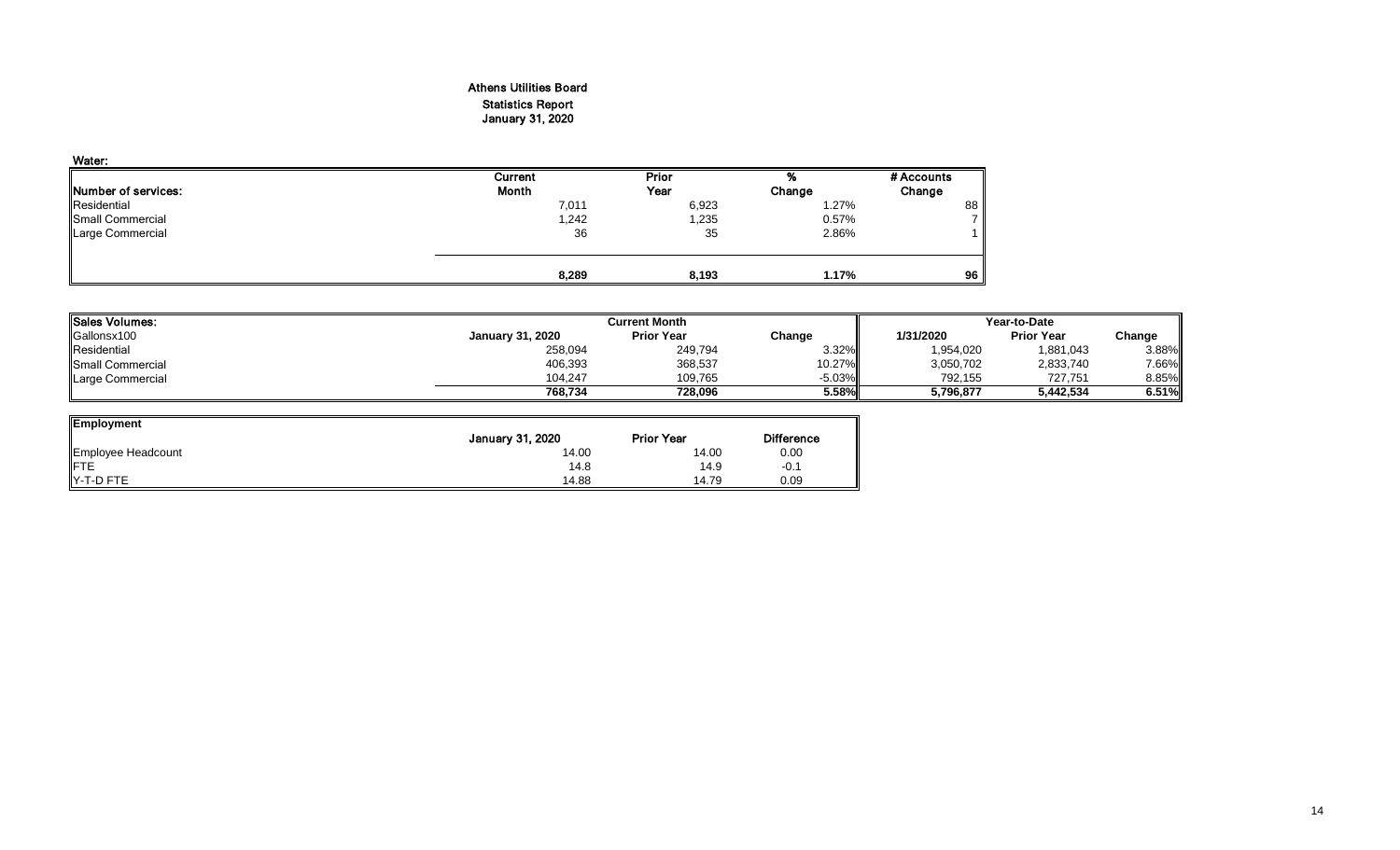# Athens Utilities Board Statistics Report January 31, 2020

| Water:                      |         |       |        |            |
|-----------------------------|---------|-------|--------|------------|
|                             | Current | Prior | %      | # Accounts |
| <b>INumber of services:</b> | Month   | Year  | Change | Change     |
| Residential                 | 7,011   | 6,923 | 1.27%  | 88         |
| Small Commercial            | 1,242   | 1,235 | 0.57%  |            |
| Large Commercial            | 36      | 35    | 2.86%  |            |
|                             |         |       |        |            |
|                             | 8,289   | 8,193 | 1.17%  | 96         |

| <b>Sales Volumes:</b> |                         | <b>Current Month</b> |           | Year-to-Date |                   |        |  |
|-----------------------|-------------------------|----------------------|-----------|--------------|-------------------|--------|--|
| Gallonsx100           | <b>January 31, 2020</b> | <b>Prior Year</b>    | Change    | 1/31/2020    | <b>Prior Year</b> | Change |  |
| Residential           | 258,094                 | 249.794              | 3.32%     | 1,954,020    | 1,881,043         | 3.88%  |  |
| Small Commercial      | 406,393                 | 368,537              | 10.27%    | 3,050,702    | 2,833,740         | 7.66%  |  |
| Large Commercial      | 104.247                 | 109,765              | $-5.03\%$ | 792.155      | 727.751           | 8.85%  |  |
|                       | 768.734                 | 728,096              | 5.58%     | 5,796,877    | 5,442,534         | 6.51%  |  |

| <b>Employment</b>  |                  |                   |                   |
|--------------------|------------------|-------------------|-------------------|
|                    | January 31, 2020 | <b>Prior Year</b> | <b>Difference</b> |
| Employee Headcount | 14.00            | 14.00             | 0.00              |
| <b>FTE</b>         | 14.8             | 14.9              | $-0.1$            |
| Y-T-D FTE          | 14.88            | 14.79             | 0.09              |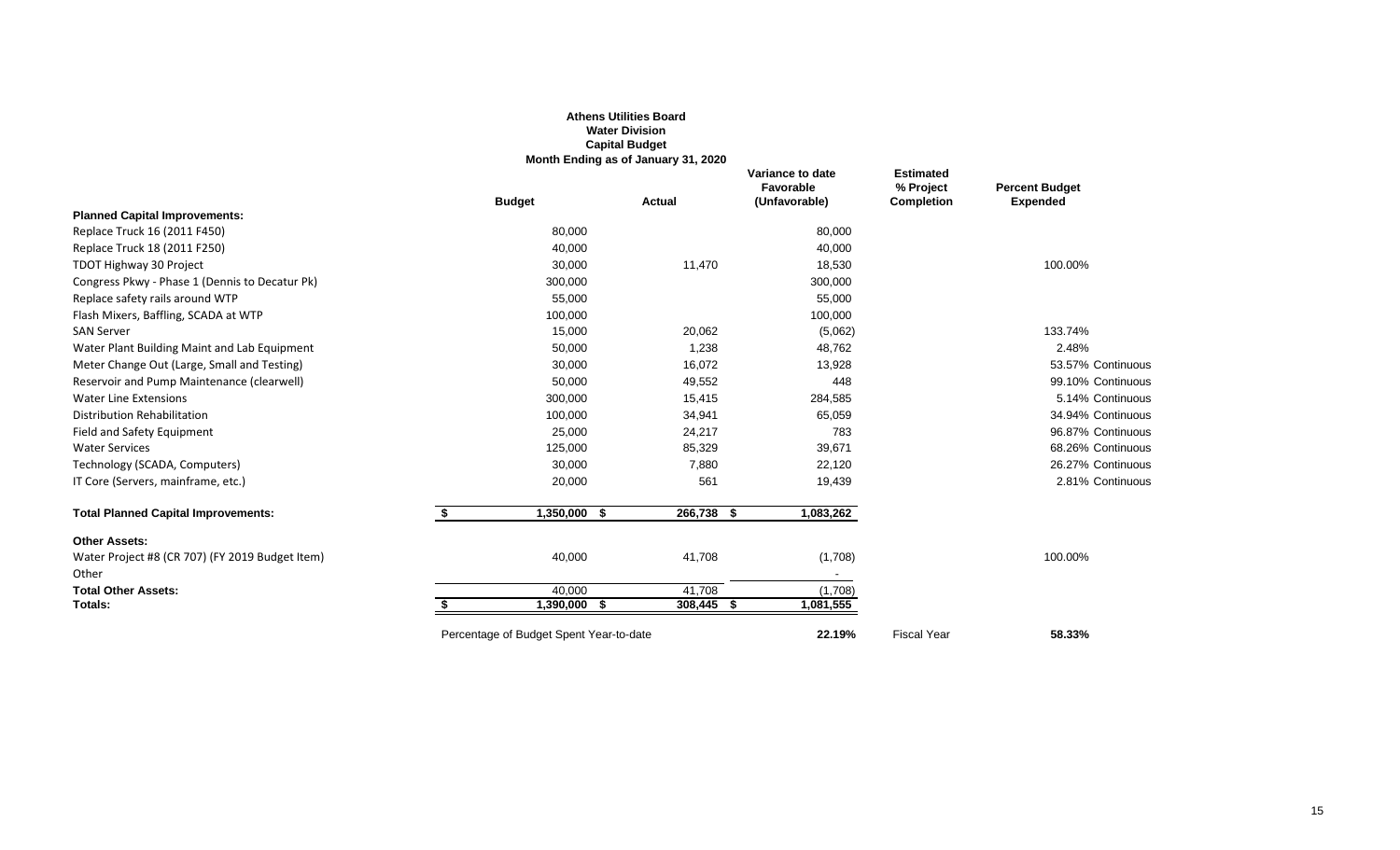|                                                 |                                         | <b>Water Division</b><br><b>Capital Budget</b><br>Month Ending as of January 31, 2020 |                                                |                                                    |                                          |
|-------------------------------------------------|-----------------------------------------|---------------------------------------------------------------------------------------|------------------------------------------------|----------------------------------------------------|------------------------------------------|
|                                                 | <b>Budget</b>                           | Actual                                                                                | Variance to date<br>Favorable<br>(Unfavorable) | <b>Estimated</b><br>% Project<br><b>Completion</b> | <b>Percent Budget</b><br><b>Expended</b> |
| <b>Planned Capital Improvements:</b>            |                                         |                                                                                       |                                                |                                                    |                                          |
| Replace Truck 16 (2011 F450)                    | 80,000                                  |                                                                                       | 80,000                                         |                                                    |                                          |
| Replace Truck 18 (2011 F250)                    | 40,000                                  |                                                                                       | 40,000                                         |                                                    |                                          |
| TDOT Highway 30 Project                         | 30,000                                  | 11,470                                                                                | 18,530                                         |                                                    | 100.00%                                  |
| Congress Pkwy - Phase 1 (Dennis to Decatur Pk)  | 300,000                                 |                                                                                       | 300,000                                        |                                                    |                                          |
| Replace safety rails around WTP                 | 55,000                                  |                                                                                       | 55,000                                         |                                                    |                                          |
| Flash Mixers, Baffling, SCADA at WTP            | 100,000                                 |                                                                                       | 100,000                                        |                                                    |                                          |
| <b>SAN Server</b>                               | 15,000                                  | 20,062                                                                                | (5,062)                                        |                                                    | 133.74%                                  |
| Water Plant Building Maint and Lab Equipment    | 50,000                                  | 1,238                                                                                 | 48,762                                         |                                                    | 2.48%                                    |
| Meter Change Out (Large, Small and Testing)     | 30,000                                  | 16,072                                                                                | 13,928                                         |                                                    | 53.57% Continuous                        |
| Reservoir and Pump Maintenance (clearwell)      | 50,000                                  | 49,552                                                                                | 448                                            |                                                    | 99.10% Continuous                        |
| <b>Water Line Extensions</b>                    | 300,000                                 | 15,415                                                                                | 284,585                                        |                                                    | 5.14% Continuous                         |
| Distribution Rehabilitation                     | 100,000                                 | 34,941                                                                                | 65,059                                         |                                                    | 34.94% Continuous                        |
| Field and Safety Equipment                      | 25,000                                  | 24,217                                                                                | 783                                            |                                                    | 96.87% Continuous                        |
| <b>Water Services</b>                           | 125,000                                 | 85,329                                                                                | 39,671                                         |                                                    | 68.26% Continuous                        |
| Technology (SCADA, Computers)                   | 30,000                                  | 7,880                                                                                 | 22,120                                         |                                                    | 26.27% Continuous                        |
| IT Core (Servers, mainframe, etc.)              | 20,000                                  | 561                                                                                   | 19,439                                         |                                                    | 2.81% Continuous                         |
| <b>Total Planned Capital Improvements:</b>      | \$<br>1,350,000<br>- 56                 | 266,738 \$                                                                            | 1,083,262                                      |                                                    |                                          |
| <b>Other Assets:</b>                            |                                         |                                                                                       |                                                |                                                    |                                          |
| Water Project #8 (CR 707) (FY 2019 Budget Item) | 40,000                                  | 41,708                                                                                | (1,708)                                        |                                                    | 100.00%                                  |
| Other                                           |                                         |                                                                                       |                                                |                                                    |                                          |
| <b>Total Other Assets:</b>                      | 40,000                                  | 41,708                                                                                | (1,708)                                        |                                                    |                                          |
| Totals:                                         | 1,390,000 \$                            | 308,445 \$                                                                            | 1,081,555                                      |                                                    |                                          |
|                                                 | Percentage of Budget Spent Year-to-date |                                                                                       | 22.19%                                         | <b>Fiscal Year</b>                                 | 58.33%                                   |

**Athens Utilities Board**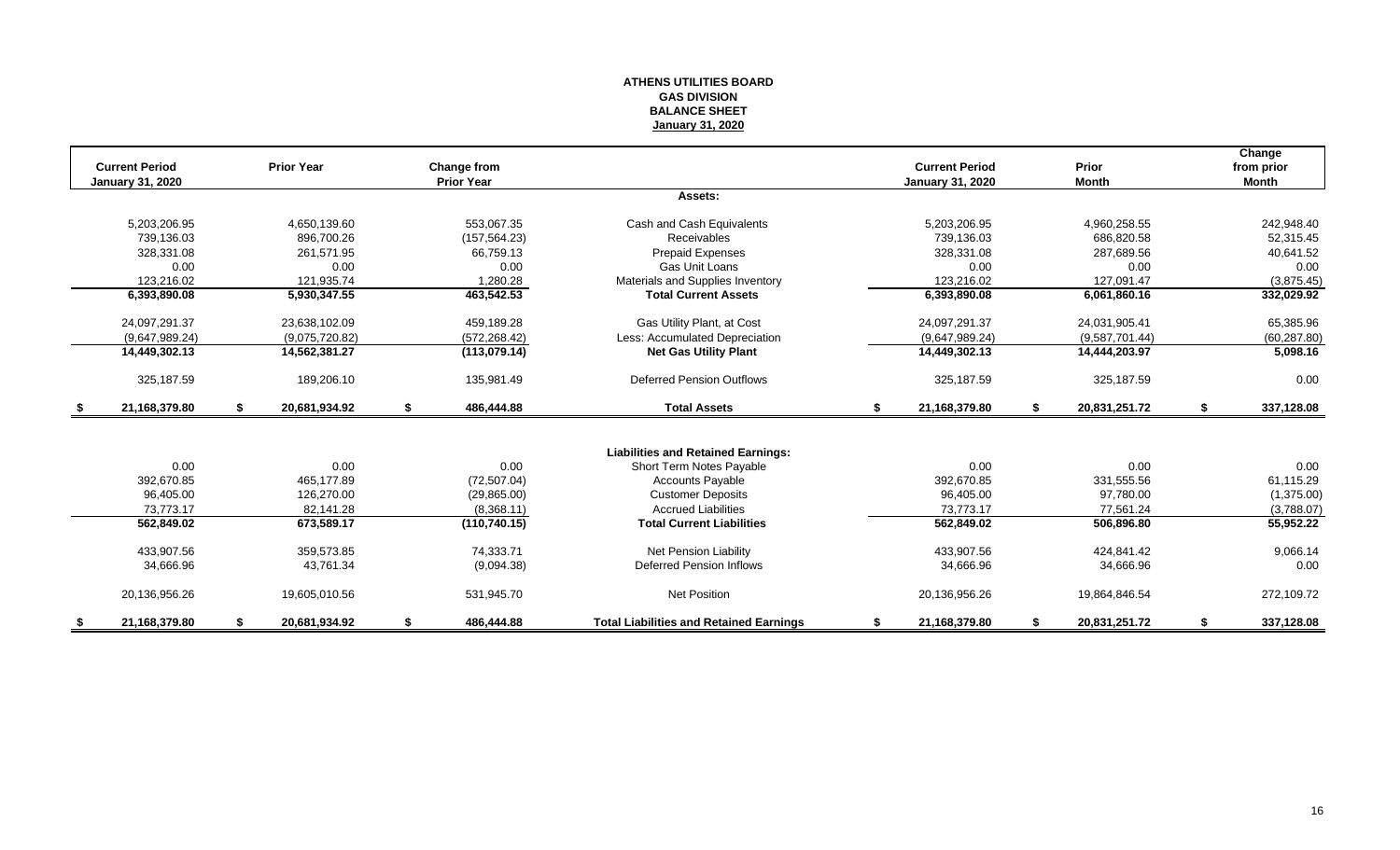#### **ATHENS UTILITIES BOARD GAS DIVISION BALANCE SHEET January 31, 2020**

|                      | <b>Current Period</b>   | <b>Prior Year</b>   | Change from       |                                                |    | <b>Current Period</b>   | Prior               | Change<br>from prior |
|----------------------|-------------------------|---------------------|-------------------|------------------------------------------------|----|-------------------------|---------------------|----------------------|
|                      | <b>January 31, 2020</b> |                     | <b>Prior Year</b> |                                                |    | <b>January 31, 2020</b> | <b>Month</b>        | <b>Month</b>         |
|                      |                         |                     |                   | Assets:                                        |    |                         |                     |                      |
|                      | 5,203,206.95            | 4,650,139.60        | 553,067.35        | Cash and Cash Equivalents                      |    | 5,203,206.95            | 4,960,258.55        | 242,948.40           |
|                      | 739.136.03              | 896.700.26          | (157, 564.23)     | Receivables                                    |    | 739.136.03              | 686,820.58          | 52,315.45            |
|                      | 328,331.08              | 261,571.95          | 66,759.13         | <b>Prepaid Expenses</b>                        |    | 328,331.08              | 287,689.56          | 40,641.52            |
|                      | 0.00                    | 0.00                | 0.00              | Gas Unit Loans                                 |    | 0.00                    | 0.00                | 0.00                 |
|                      | 123,216.02              | 121,935.74          | 1,280.28          | Materials and Supplies Inventory               |    | 123,216.02              | 127,091.47          | (3,875.45)           |
|                      | 6,393,890.08            | 5,930,347.55        | 463,542.53        | <b>Total Current Assets</b>                    |    | 6,393,890.08            | 6,061,860.16        | 332,029.92           |
|                      | 24,097,291.37           | 23,638,102.09       | 459,189.28        | Gas Utility Plant, at Cost                     |    | 24,097,291.37           | 24,031,905.41       | 65,385.96            |
|                      | (9,647,989.24)          | (9.075, 720.82)     | (572, 268.42)     | Less: Accumulated Depreciation                 |    | (9,647,989.24)          | (9,587,701.44)      | (60, 287.80)         |
|                      | 14,449,302.13           | 14,562,381.27       | (113,079.14)      | <b>Net Gas Utility Plant</b>                   |    | 14,449,302.13           | 14,444,203.97       | 5,098.16             |
|                      | 325,187.59              | 189,206.10          | 135,981.49        | <b>Deferred Pension Outflows</b>               |    | 325, 187.59             | 325,187.59          | 0.00                 |
| - \$                 | 21,168,379.80           | \$<br>20,681,934.92 | \$<br>486,444.88  | <b>Total Assets</b>                            | s. | 21,168,379.80           | \$<br>20,831,251.72 | \$<br>337,128.08     |
|                      |                         |                     |                   |                                                |    |                         |                     |                      |
|                      |                         |                     |                   | <b>Liabilities and Retained Earnings:</b>      |    |                         |                     |                      |
|                      | 0.00                    | 0.00                | 0.00              | Short Term Notes Payable                       |    | 0.00                    | 0.00                | 0.00                 |
|                      | 392.670.85              | 465.177.89          | (72, 507.04)      | <b>Accounts Payable</b>                        |    | 392,670.85              | 331,555.56          | 61,115.29            |
|                      | 96,405.00               | 126.270.00          | (29, 865.00)      | <b>Customer Deposits</b>                       |    | 96,405.00               | 97,780.00           | (1,375.00)           |
|                      | 73,773.17               | 82,141.28           | (8,368.11)        | <b>Accrued Liabilities</b>                     |    | 73,773.17               | 77,561.24           | (3,788.07)           |
|                      | 562,849.02              | 673,589.17          | (110, 740.15)     | <b>Total Current Liabilities</b>               |    | 562,849.02              | 506,896.80          | 55,952.22            |
|                      | 433,907.56              | 359,573.85          | 74,333.71         | Net Pension Liability                          |    | 433,907.56              | 424,841.42          | 9,066.14             |
|                      | 34,666.96               | 43,761.34           | (9,094.38)        | Deferred Pension Inflows                       |    | 34,666.96               | 34,666.96           | 0.00                 |
|                      | 20,136,956.26           | 19,605,010.56       | 531.945.70        | <b>Net Position</b>                            |    | 20,136,956.26           | 19,864,846.54       | 272,109.72           |
| $\overline{\bullet}$ | 21,168,379.80           | 20,681,934.92       | 486,444.88        | <b>Total Liabilities and Retained Earnings</b> | S  | 21,168,379.80           | 20,831,251.72       | 337,128.08           |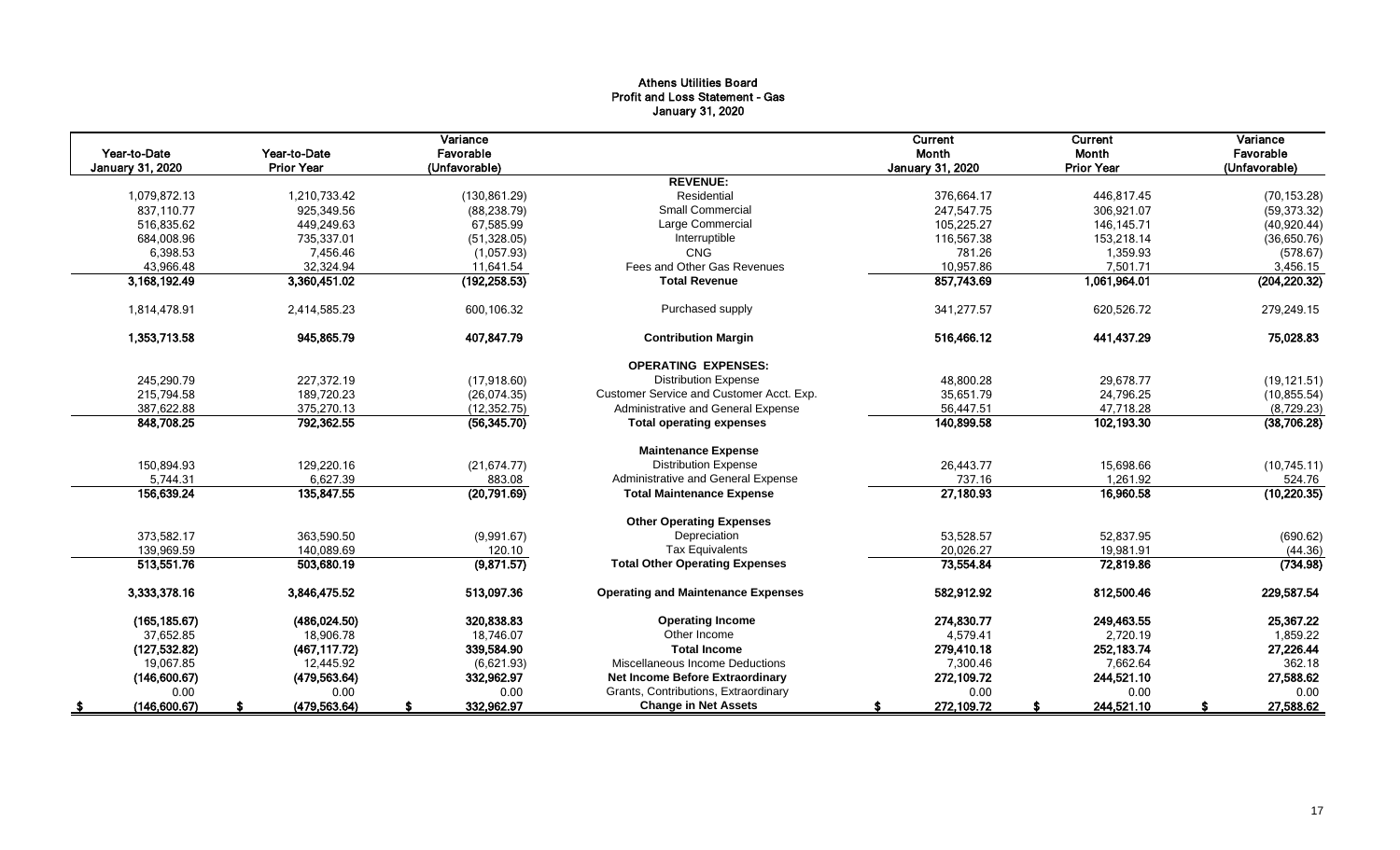# Athens Utilities Board Profit and Loss Statement - Gas January 31, 2020

|                  |                   | Variance      |                                           | Current                 | Current           | Variance      |
|------------------|-------------------|---------------|-------------------------------------------|-------------------------|-------------------|---------------|
| Year-to-Date     | Year-to-Date      | Favorable     |                                           | Month                   | Month             | Favorable     |
| January 31, 2020 | <b>Prior Year</b> | (Unfavorable) |                                           | <b>January 31, 2020</b> | <b>Prior Year</b> | (Unfavorable) |
|                  |                   |               | <b>REVENUE:</b>                           |                         |                   |               |
| 1,079,872.13     | 1.210.733.42      | (130, 861.29) | Residential                               | 376.664.17              | 446.817.45        | (70, 153.28)  |
| 837.110.77       | 925,349.56        | (88, 238.79)  | <b>Small Commercial</b>                   | 247,547.75              | 306,921.07        | (59, 373.32)  |
| 516,835.62       | 449,249.63        | 67,585.99     | Large Commercial                          | 105,225.27              | 146, 145. 71      | (40,920.44)   |
| 684,008.96       | 735,337.01        | (51, 328.05)  | Interruptible                             | 116,567.38              | 153,218.14        | (36,650.76)   |
| 6,398.53         | 7.456.46          | (1,057.93)    | CNG                                       | 781.26                  | 1,359.93          | (578.67)      |
| 43,966.48        | 32,324.94         | 11,641.54     | Fees and Other Gas Revenues               | 10,957.86               | 7,501.71          | 3,456.15      |
| 3,168,192.49     | 3,360,451.02      | (192, 258.53) | <b>Total Revenue</b>                      | 857,743.69              | 1,061,964.01      | (204, 220.32) |
| 1,814,478.91     | 2,414,585.23      | 600,106.32    | Purchased supply                          | 341,277.57              | 620,526.72        | 279,249.15    |
| 1,353,713.58     | 945,865.79        | 407,847.79    | <b>Contribution Margin</b>                | 516,466.12              | 441,437.29        | 75,028.83     |
|                  |                   |               | <b>OPERATING EXPENSES:</b>                |                         |                   |               |
| 245,290.79       | 227,372.19        | (17, 918.60)  | <b>Distribution Expense</b>               | 48,800.28               | 29,678.77         | (19, 121.51)  |
| 215,794.58       | 189,720.23        | (26,074.35)   | Customer Service and Customer Acct. Exp.  | 35,651.79               | 24,796.25         | (10, 855.54)  |
| 387,622.88       | 375,270.13        | (12, 352.75)  | Administrative and General Expense        | 56,447.51               | 47,718.28         | (8,729.23)    |
| 848,708.25       | 792,362.55        | (56, 345.70)  | <b>Total operating expenses</b>           | 140,899.58              | 102,193.30        | (38,706.28)   |
|                  |                   |               | <b>Maintenance Expense</b>                |                         |                   |               |
| 150,894.93       | 129,220.16        | (21, 674.77)  | <b>Distribution Expense</b>               | 26,443.77               | 15,698.66         | (10, 745.11)  |
| 5.744.31         | 6,627.39          | 883.08        | Administrative and General Expense        | 737.16                  | 1,261.92          | 524.76        |
| 156,639.24       | 135,847.55        | (20, 791.69)  | <b>Total Maintenance Expense</b>          | 27,180.93               | 16,960.58         | (10, 220.35)  |
|                  |                   |               | <b>Other Operating Expenses</b>           |                         |                   |               |
| 373,582.17       | 363,590.50        | (9,991.67)    | Depreciation                              | 53,528.57               | 52,837.95         | (690.62)      |
| 139,969.59       | 140.089.69        | 120.10        | <b>Tax Equivalents</b>                    | 20,026.27               | 19,981.91         | (44.36)       |
| 513,551.76       | 503,680.19        | (9,871.57)    | <b>Total Other Operating Expenses</b>     | 73,554.84               | 72,819.86         | (734.98)      |
| 3,333,378.16     | 3,846,475.52      | 513,097.36    | <b>Operating and Maintenance Expenses</b> | 582,912.92              | 812,500.46        | 229,587.54    |
| (165, 185.67)    | (486, 024.50)     | 320,838.83    | <b>Operating Income</b>                   | 274,830.77              | 249,463.55        | 25,367.22     |
| 37,652.85        | 18,906.78         | 18,746.07     | Other Income                              | 4,579.41                | 2,720.19          | 1,859.22      |
| (127, 532.82)    | (467, 117.72)     | 339,584.90    | <b>Total Income</b>                       | 279,410.18              | 252,183.74        | 27,226.44     |
| 19,067.85        | 12,445.92         | (6,621.93)    | Miscellaneous Income Deductions           | 7,300.46                | 7.662.64          | 362.18        |
| (146, 600.67)    | (479, 563.64)     | 332,962.97    | <b>Net Income Before Extraordinary</b>    | 272,109.72              | 244,521.10        | 27,588.62     |
| 0.00             | 0.00              | 0.00          | Grants, Contributions, Extraordinary      | 0.00                    | 0.00              | 0.00          |
| (146,600.67)     | (479, 563.64)     | 332,962.97    | <b>Change in Net Assets</b>               | 272,109.72              | 244,521.10        | 27,588.62     |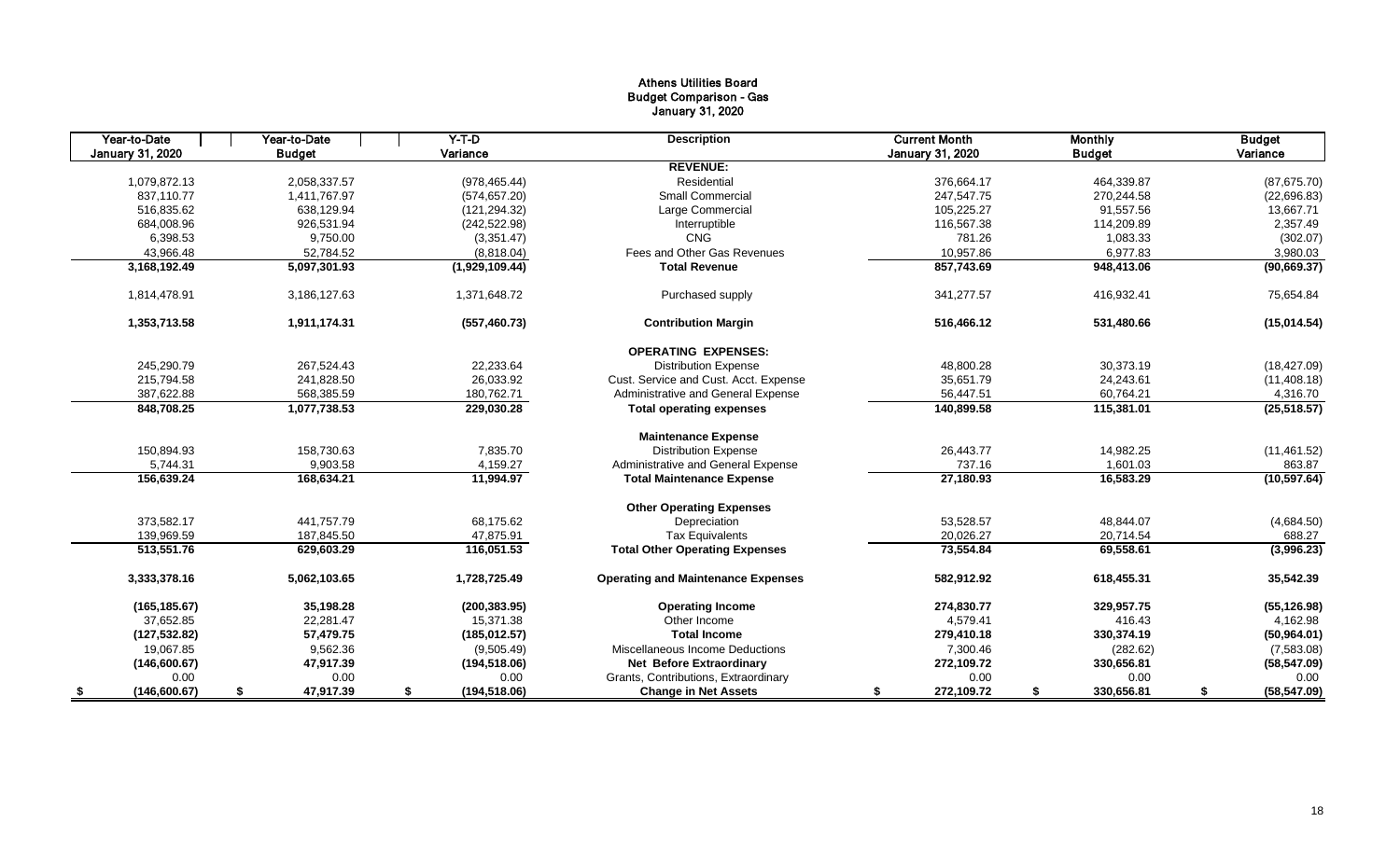# Athens Utilities Board Budget Comparison - Gas January 31, 2020

| Year-to-Date     | Year-to-Date    | $Y-T-D$             | <b>Description</b>                        | <b>Current Month</b> | <b>Monthly</b>   | <b>Budget</b>      |
|------------------|-----------------|---------------------|-------------------------------------------|----------------------|------------------|--------------------|
| January 31, 2020 | <b>Budget</b>   | Variance            |                                           | January 31, 2020     | <b>Budget</b>    | Variance           |
|                  |                 |                     | <b>REVENUE:</b>                           |                      |                  |                    |
| 1,079,872.13     | 2.058.337.57    | (978, 465.44)       | Residential                               | 376.664.17           | 464.339.87       | (87, 675.70)       |
| 837,110.77       | 1,411,767.97    | (574, 657.20)       | <b>Small Commercial</b>                   | 247,547.75           | 270,244.58       | (22,696.83)        |
| 516,835.62       | 638,129.94      | (121, 294.32)       | Large Commercial                          | 105,225.27           | 91,557.56        | 13,667.71          |
| 684,008.96       | 926,531.94      | (242, 522.98)       | Interruptible                             | 116,567.38           | 114,209.89       | 2,357.49           |
| 6,398.53         | 9,750.00        | (3,351.47)          | CNG                                       | 781.26               | 1,083.33         | (302.07)           |
| 43,966.48        | 52,784.52       | (8,818.04)          | Fees and Other Gas Revenues               | 10,957.86            | 6,977.83         | 3,980.03           |
| 3,168,192.49     | 5,097,301.93    | (1,929,109.44)      | <b>Total Revenue</b>                      | 857,743.69           | 948,413.06       | (90, 669.37)       |
| 1,814,478.91     | 3,186,127.63    | 1,371,648.72        | Purchased supply                          | 341,277.57           | 416,932.41       | 75,654.84          |
| 1,353,713.58     | 1,911,174.31    | (557, 460.73)       | <b>Contribution Margin</b>                | 516,466.12           | 531,480.66       | (15,014.54)        |
|                  |                 |                     | <b>OPERATING EXPENSES:</b>                |                      |                  |                    |
| 245,290.79       | 267.524.43      | 22,233.64           | <b>Distribution Expense</b>               | 48,800.28            | 30,373.19        | (18, 427.09)       |
| 215,794.58       | 241,828.50      | 26,033.92           | Cust. Service and Cust. Acct. Expense     | 35,651.79            | 24,243.61        | (11, 408.18)       |
| 387,622.88       | 568,385.59      | 180,762.71          | Administrative and General Expense        | 56,447.51            | 60,764.21        | 4,316.70           |
| 848,708.25       | 1,077,738.53    | 229,030.28          | <b>Total operating expenses</b>           | 140,899.58           | 115,381.01       | (25, 518.57)       |
|                  |                 |                     | <b>Maintenance Expense</b>                |                      |                  |                    |
| 150,894.93       | 158,730.63      | 7,835.70            | <b>Distribution Expense</b>               | 26,443.77            | 14,982.25        | (11, 461.52)       |
| 5,744.31         | 9,903.58        | 4,159.27            | Administrative and General Expense        | 737.16               | 1,601.03         | 863.87             |
| 156,639.24       | 168,634.21      | 11,994.97           | <b>Total Maintenance Expense</b>          | 27,180.93            | 16,583.29        | (10, 597.64)       |
|                  |                 |                     | <b>Other Operating Expenses</b>           |                      |                  |                    |
| 373,582.17       | 441.757.79      | 68,175.62           | Depreciation                              | 53,528.57            | 48,844.07        | (4,684.50)         |
| 139,969.59       | 187,845.50      | 47,875.91           | <b>Tax Equivalents</b>                    | 20,026.27            | 20,714.54        | 688.27             |
| 513,551.76       | 629,603.29      | 116,051.53          | <b>Total Other Operating Expenses</b>     | 73,554.84            | 69,558.61        | (3,996.23)         |
| 3,333,378.16     | 5,062,103.65    | 1,728,725.49        | <b>Operating and Maintenance Expenses</b> | 582,912.92           | 618,455.31       | 35,542.39          |
| (165, 185.67)    | 35,198.28       | (200, 383.95)       | <b>Operating Income</b>                   | 274,830.77           | 329,957.75       | (55, 126.98)       |
| 37,652.85        | 22,281.47       | 15,371.38           | Other Income                              | 4,579.41             | 416.43           | 4,162.98           |
| (127, 532.82)    | 57,479.75       | (185, 012.57)       | <b>Total Income</b>                       | 279,410.18           | 330,374.19       | (50, 964.01)       |
| 19,067.85        | 9,562.36        | (9,505.49)          | Miscellaneous Income Deductions           | 7,300.46             | (282.62)         | (7,583.08)         |
| (146,600.67)     | 47,917.39       | (194, 518.06)       | <b>Net Before Extraordinary</b>           | 272,109.72           | 330,656.81       | (58, 547.09)       |
| 0.00             | 0.00            | 0.00                | Grants, Contributions, Extraordinary      | 0.00                 | 0.00             | 0.00               |
| (146,600.67)     | 47,917.39<br>\$ | \$<br>(194, 518.06) | <b>Change in Net Assets</b>               | 272,109.72<br>\$     | 330,656.81<br>\$ | (58, 547.09)<br>\$ |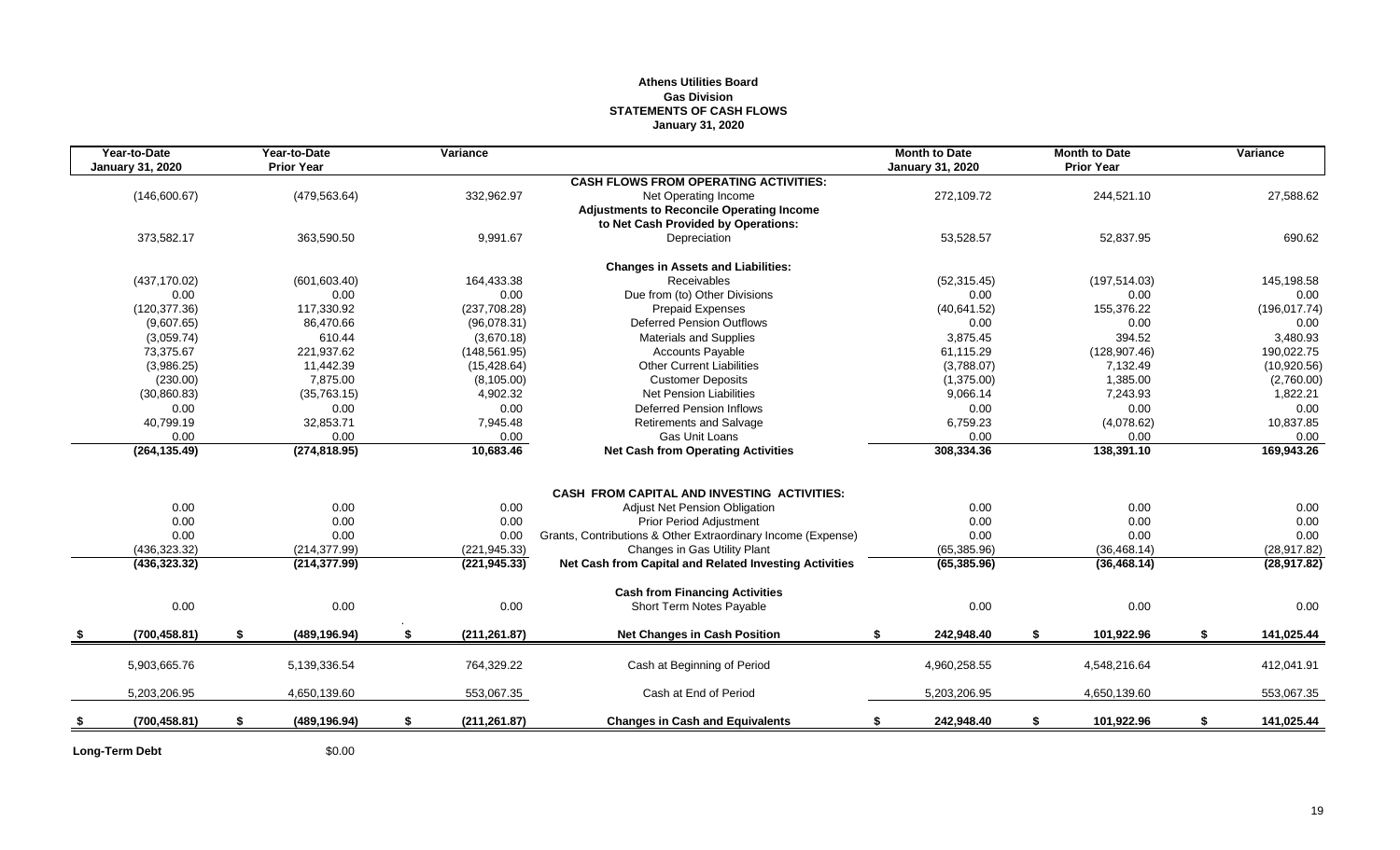# **Athens Utilities Board Gas Division STATEMENTS OF CASH FLOWS January 31, 2020**

| Year-to-Date<br><b>January 31, 2020</b> |    | Year-to-Date<br><b>Prior Year</b> | Variance            |                                                              | <b>Month to Date</b><br><b>January 31, 2020</b> | <b>Month to Date</b><br><b>Prior Year</b> | Variance         |
|-----------------------------------------|----|-----------------------------------|---------------------|--------------------------------------------------------------|-------------------------------------------------|-------------------------------------------|------------------|
|                                         |    |                                   |                     | <b>CASH FLOWS FROM OPERATING ACTIVITIES:</b>                 |                                                 |                                           |                  |
| (146,600.67)                            |    | (479, 563.64)                     | 332,962.97          | Net Operating Income                                         | 272,109.72                                      | 244,521.10                                | 27,588.62        |
|                                         |    |                                   |                     | <b>Adjustments to Reconcile Operating Income</b>             |                                                 |                                           |                  |
|                                         |    |                                   |                     | to Net Cash Provided by Operations:                          |                                                 |                                           |                  |
| 373,582.17                              |    | 363,590.50                        | 9,991.67            | Depreciation                                                 | 53,528.57                                       | 52,837.95                                 | 690.62           |
|                                         |    |                                   |                     | <b>Changes in Assets and Liabilities:</b>                    |                                                 |                                           |                  |
| (437, 170.02)                           |    | (601, 603.40)                     | 164,433.38          | Receivables                                                  | (52, 315.45)                                    | (197, 514.03)                             | 145,198.58       |
| 0.00                                    |    | 0.00                              | 0.00                | Due from (to) Other Divisions                                | 0.00                                            | 0.00                                      | 0.00             |
| (120, 377.36)                           |    | 117,330.92                        | (237, 708.28)       | <b>Prepaid Expenses</b>                                      | (40,641.52)                                     | 155,376.22                                | (196, 017.74)    |
| (9,607.65)                              |    | 86,470.66                         | (96,078.31)         | <b>Deferred Pension Outflows</b>                             | 0.00                                            | 0.00                                      | 0.00             |
| (3,059.74)                              |    | 610.44                            | (3,670.18)          | <b>Materials and Supplies</b>                                | 3,875.45                                        | 394.52                                    | 3,480.93         |
| 73,375.67                               |    | 221,937.62                        | (148, 561.95)       | Accounts Payable                                             | 61,115.29                                       | (128, 907.46)                             | 190,022.75       |
| (3,986.25)                              |    | 11,442.39                         | (15, 428.64)        | <b>Other Current Liabilities</b>                             | (3,788.07)                                      | 7,132.49                                  | (10,920.56)      |
| (230.00)                                |    | 7,875.00                          | (8, 105.00)         | <b>Customer Deposits</b>                                     | (1,375.00)                                      | 1,385.00                                  | (2,760.00)       |
| (30, 860.83)                            |    | (35, 763.15)                      | 4,902.32            | <b>Net Pension Liabilities</b>                               | 9,066.14                                        | 7,243.93                                  | 1,822.21         |
| 0.00                                    |    | 0.00                              | 0.00                | <b>Deferred Pension Inflows</b>                              | 0.00                                            | 0.00                                      | 0.00             |
| 40,799.19                               |    | 32,853.71                         | 7,945.48            | <b>Retirements and Salvage</b>                               | 6,759.23                                        | (4,078.62)                                | 10,837.85        |
| 0.00                                    |    | 0.00                              | 0.00                | <b>Gas Unit Loans</b>                                        | 0.00                                            | 0.00                                      | 0.00             |
| (264, 135.49)                           |    | (274, 818.95)                     | 10,683.46           | <b>Net Cash from Operating Activities</b>                    | 308,334.36                                      | 138,391.10                                | 169,943.26       |
|                                         |    |                                   |                     |                                                              |                                                 |                                           |                  |
|                                         |    |                                   |                     | CASH FROM CAPITAL AND INVESTING ACTIVITIES:                  |                                                 |                                           | 0.00             |
| 0.00                                    |    | 0.00                              | 0.00                | Adjust Net Pension Obligation                                | 0.00                                            | 0.00                                      |                  |
| 0.00                                    |    | 0.00                              | 0.00                | <b>Prior Period Adjustment</b>                               | 0.00                                            | 0.00                                      | 0.00             |
| 0.00                                    |    | 0.00                              | 0.00                | Grants, Contributions & Other Extraordinary Income (Expense) | 0.00                                            | 0.00                                      | 0.00             |
| (436, 323.32)                           |    | (214, 377.99)                     | (221, 945.33)       | Changes in Gas Utility Plant                                 | (65, 385.96)                                    | (36, 468.14)                              | (28, 917.82)     |
| (436, 323.32)                           |    | (214, 377.99)                     | (221, 945.33)       | Net Cash from Capital and Related Investing Activities       | (65, 385.96)                                    | (36, 468.14)                              | (28, 917.82)     |
|                                         |    |                                   |                     | <b>Cash from Financing Activities</b>                        |                                                 |                                           |                  |
| 0.00                                    |    | 0.00                              | 0.00                | Short Term Notes Payable                                     | 0.00                                            | 0.00                                      | 0.00             |
| (700, 458.81)                           | S. | (489, 196.94)                     | \$<br>(211, 261.87) | <b>Net Changes in Cash Position</b>                          | 242,948.40<br>\$                                | 101,922.96                                | \$<br>141,025.44 |
| 5,903,665.76                            |    | 5,139,336.54                      | 764,329.22          | Cash at Beginning of Period                                  | 4,960,258.55                                    | 4,548,216.64                              | 412,041.91       |
|                                         |    |                                   |                     |                                                              |                                                 |                                           |                  |
| 5,203,206.95                            |    | 4,650,139.60                      | 553,067.35          | Cash at End of Period                                        | 5,203,206.95                                    | 4,650,139.60                              | 553,067.35       |
| (700, 458.81)                           | \$ | (489, 196.94)                     | \$<br>(211, 261.87) | <b>Changes in Cash and Equivalents</b>                       | 242,948.40<br>\$                                | \$<br>101,922.96                          | \$<br>141,025.44 |
|                                         |    |                                   |                     |                                                              |                                                 |                                           |                  |

Long-Term Debt \$0.00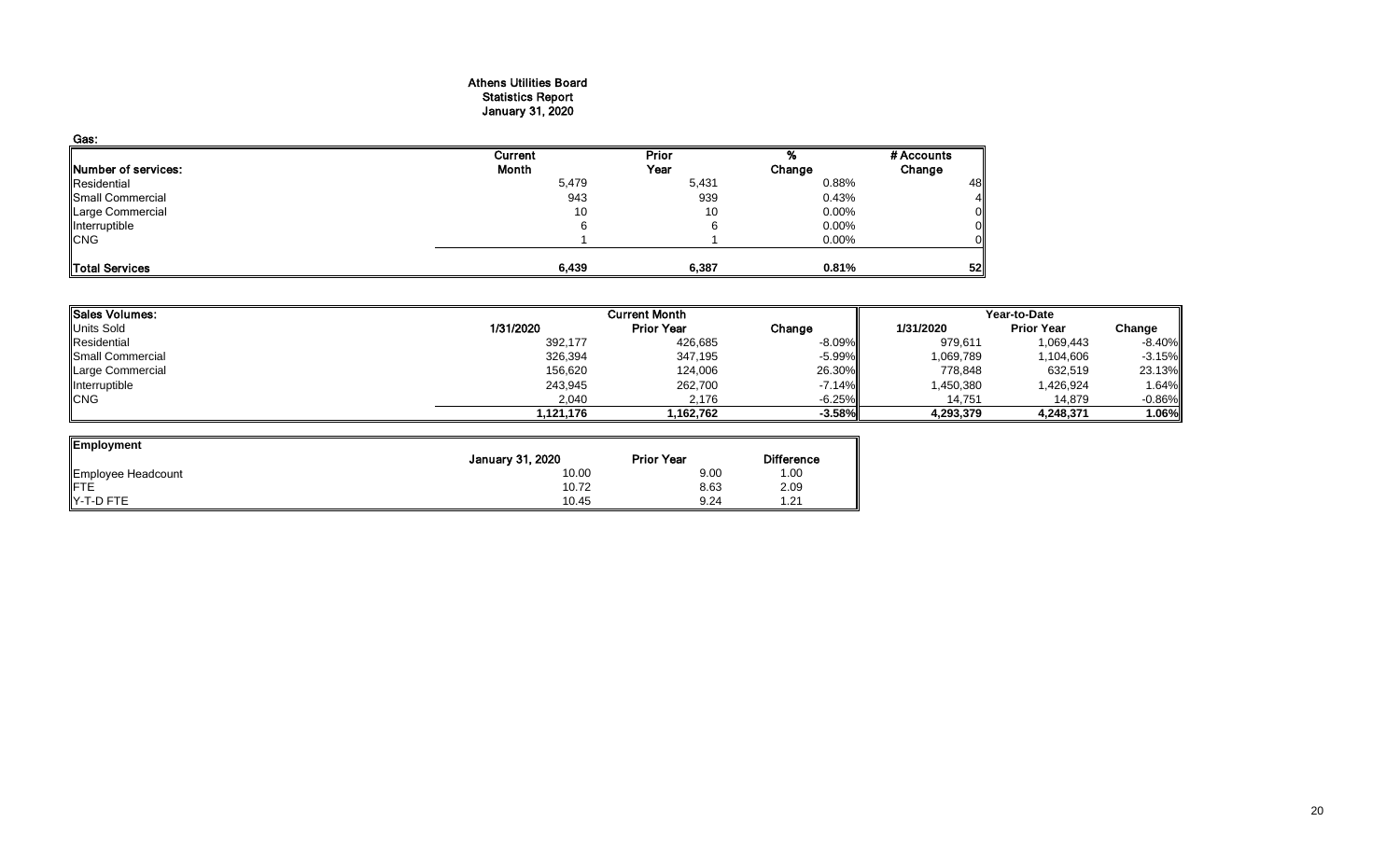#### Athens Utilities Board Statistics Report January 31, 2020

| Gas:                  |         |       |          |            |
|-----------------------|---------|-------|----------|------------|
|                       | Current | Prior |          | # Accounts |
| Number of services:   | Month   | Year  | Change   | Change     |
| Residential           | 5,479   | 5,431 | 0.88%    | 48         |
| Small Commercial      | 943     | 939   | 0.43%    |            |
| Large Commercial      | 10      | 10    | $0.00\%$ | 0          |
| Interruptible         | 6       |       | 0.00%    |            |
| <b>CNG</b>            |         |       | 0.00%    |            |
| <b>Total Services</b> | 6,439   | 6,387 | 0.81%    | 52         |

| Sales Volumes:   |           | <b>Current Month</b> | Year-to-Date |           |                   |          |
|------------------|-----------|----------------------|--------------|-----------|-------------------|----------|
| Units Sold       | 1/31/2020 | <b>Prior Year</b>    | Change       | 1/31/2020 | <b>Prior Year</b> | Change   |
| Residential      | 392,177   | 426,685              | $-8.09\%$    | 979,611   | 1,069,443         | $-8.40%$ |
| Small Commercial | 326,394   | 347,195              | $-5.99\%$    | 1,069,789 | 1,104,606         | $-3.15%$ |
| Large Commercial | 156,620   | 124,006              | 26.30%       | 778,848   | 632,519           | 23.13%   |
| Interruptible    | 243,945   | 262,700              | $-7.14\%$    | 1,450,380 | 1,426,924         | 1.64%    |
| <b>CNG</b>       | 2,040     | 2.176                | $-6.25\%$    | 14.751    | 14.879            | $-0.86%$ |
|                  | l.121.176 | 1,162,762            | $-3.58%$     | 4,293,379 | 4,248,371         | $1.06\%$ |

ᆋ

| Employment         |                  |                   |                   |
|--------------------|------------------|-------------------|-------------------|
|                    | January 31, 2020 | <b>Prior Year</b> | <b>Difference</b> |
| Employee Headcount | 10.00            | 9.00              | 1.00              |
| <b>IFTE</b>        | 10.72            | 8.63              | 2.09              |
| $Y-T-D$ FTE        | 10.45            | 9.24              | 21.،              |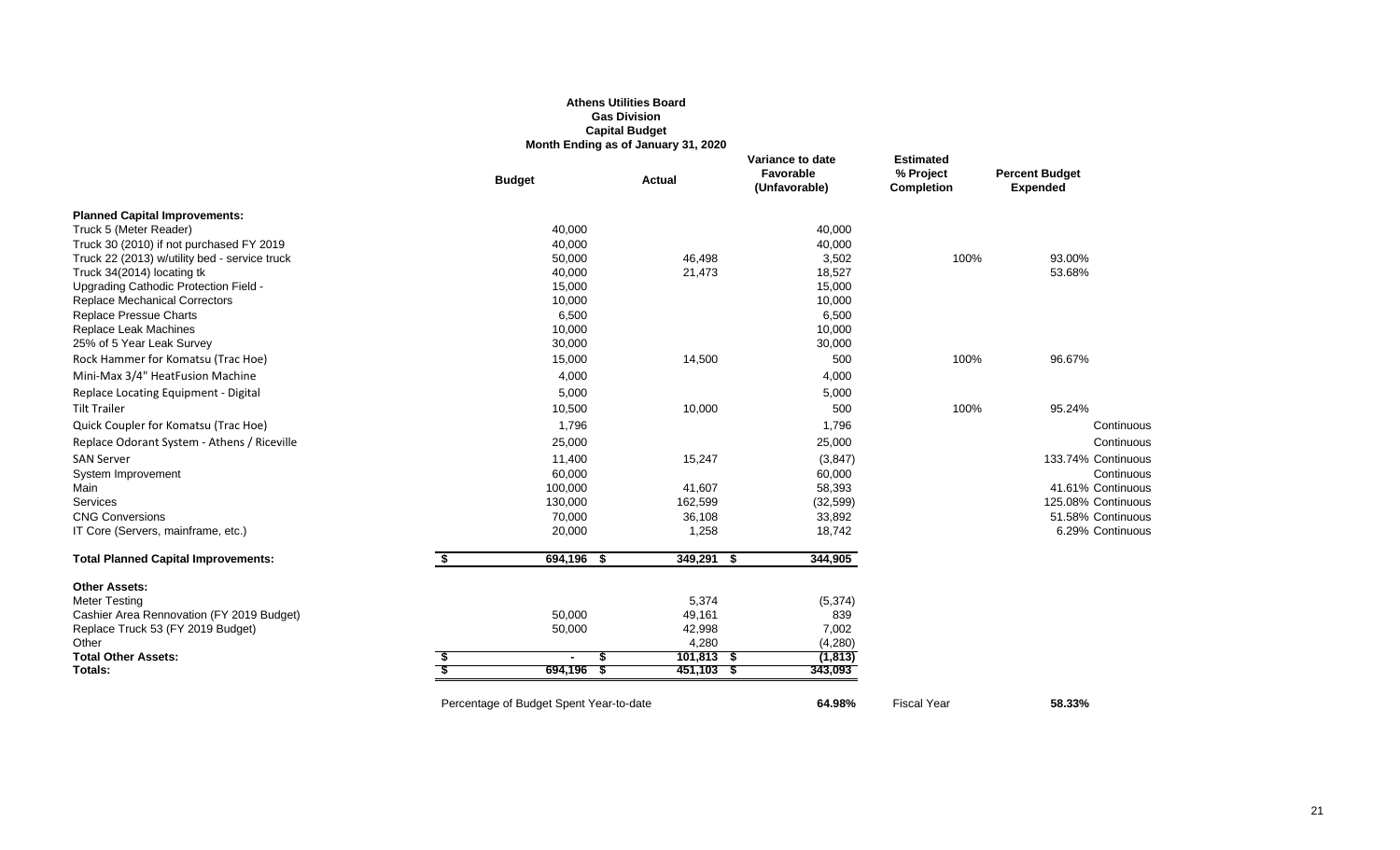# **Athens Utilities Board Gas Division Capital Budget Month Ending as of January 31, 2020**

|                                               |    | <b>Budget</b>                           | <b>Actual</b> | Variance to date<br>Favorable<br>(Unfavorable) | <b>Estimated</b><br>% Project<br><b>Completion</b> | <b>Percent Budget</b><br><b>Expended</b> |
|-----------------------------------------------|----|-----------------------------------------|---------------|------------------------------------------------|----------------------------------------------------|------------------------------------------|
| <b>Planned Capital Improvements:</b>          |    |                                         |               |                                                |                                                    |                                          |
| Truck 5 (Meter Reader)                        |    | 40,000                                  |               | 40,000                                         |                                                    |                                          |
| Truck 30 (2010) if not purchased FY 2019      |    | 40,000                                  |               | 40,000                                         |                                                    |                                          |
| Truck 22 (2013) w/utility bed - service truck |    | 50,000                                  | 46,498        | 3,502                                          | 100%                                               | 93.00%                                   |
| Truck 34(2014) locating tk                    |    | 40,000                                  | 21,473        | 18,527                                         |                                                    | 53.68%                                   |
| Upgrading Cathodic Protection Field -         |    | 15,000                                  |               | 15,000                                         |                                                    |                                          |
| <b>Replace Mechanical Correctors</b>          |    | 10,000                                  |               | 10,000                                         |                                                    |                                          |
| <b>Replace Pressue Charts</b>                 |    | 6,500                                   |               | 6,500                                          |                                                    |                                          |
| Replace Leak Machines                         |    | 10,000                                  |               | 10,000                                         |                                                    |                                          |
| 25% of 5 Year Leak Survey                     |    | 30,000                                  |               | 30,000                                         |                                                    |                                          |
| Rock Hammer for Komatsu (Trac Hoe)            |    | 15,000                                  | 14,500        | 500                                            | 100%                                               | 96.67%                                   |
| Mini-Max 3/4" HeatFusion Machine              |    | 4,000                                   |               | 4,000                                          |                                                    |                                          |
| Replace Locating Equipment - Digital          |    | 5,000                                   |               | 5,000                                          |                                                    |                                          |
| <b>Tilt Trailer</b>                           |    | 10,500                                  | 10,000        | 500                                            | 100%                                               | 95.24%                                   |
| Quick Coupler for Komatsu (Trac Hoe)          |    | 1,796                                   |               | 1,796                                          |                                                    | Continuous                               |
| Replace Odorant System - Athens / Riceville   |    | 25,000                                  |               | 25,000                                         |                                                    | Continuous                               |
| <b>SAN Server</b>                             |    | 11,400                                  | 15,247        | (3, 847)                                       |                                                    | 133.74% Continuous                       |
| System Improvement                            |    | 60,000                                  |               | 60,000                                         |                                                    | Continuous                               |
| Main                                          |    | 100,000                                 | 41,607        | 58,393                                         |                                                    | 41.61% Continuous                        |
| Services                                      |    | 130,000                                 | 162,599       | (32, 599)                                      |                                                    | 125.08% Continuous                       |
| <b>CNG Conversions</b>                        |    | 70,000                                  | 36,108        | 33,892                                         |                                                    | 51.58% Continuous                        |
| IT Core (Servers, mainframe, etc.)            |    | 20,000                                  | 1,258         | 18,742                                         |                                                    | 6.29% Continuous                         |
| <b>Total Planned Capital Improvements:</b>    | S. | 694,196<br>- \$                         | $349,291$ \$  | 344,905                                        |                                                    |                                          |
| <b>Other Assets:</b>                          |    |                                         |               |                                                |                                                    |                                          |
| <b>Meter Testing</b>                          |    |                                         | 5,374         | (5, 374)                                       |                                                    |                                          |
| Cashier Area Rennovation (FY 2019 Budget)     |    | 50,000                                  | 49,161        | 839                                            |                                                    |                                          |
| Replace Truck 53 (FY 2019 Budget)             |    | 50,000                                  | 42,998        | 7,002                                          |                                                    |                                          |
| Other                                         |    |                                         | 4,280         | (4,280)                                        |                                                    |                                          |
| <b>Total Other Assets:</b>                    |    | $\blacksquare$                          | $101,813$ \$  | (1, 813)                                       |                                                    |                                          |
| Totals:                                       |    | 694,196                                 | $451,103$ \$  | 343,093                                        |                                                    |                                          |
|                                               |    | Percentage of Budget Spent Year-to-date |               | 64.98%                                         | <b>Fiscal Year</b>                                 | 58.33%                                   |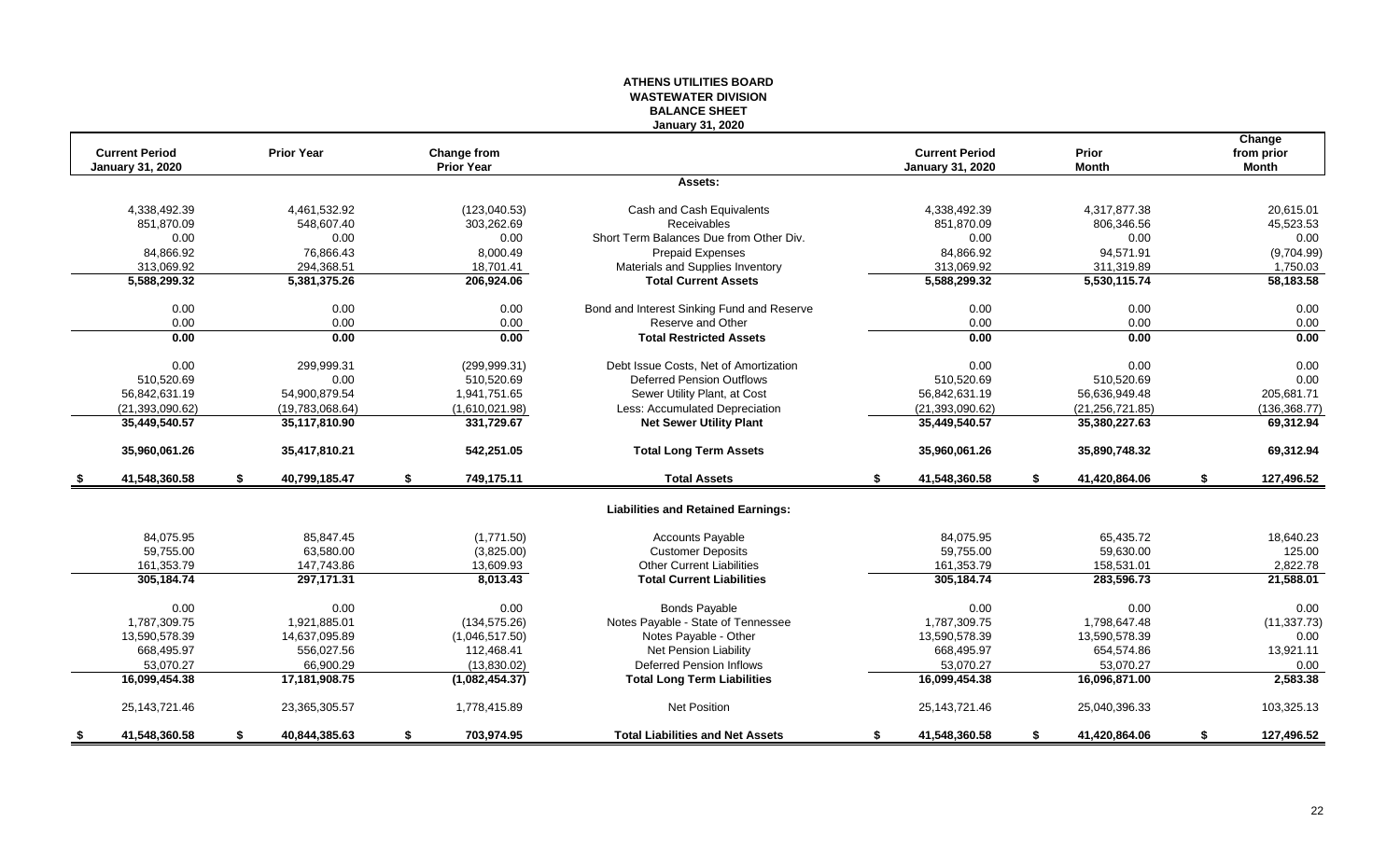# **ATHENS UTILITIES BOARD WASTEWATER DIVISION BALANCE SHEET January 31, 2020**

|      |                         |    |                   |                                  |                                            |    |                         |    |                              | Change                     |
|------|-------------------------|----|-------------------|----------------------------------|--------------------------------------------|----|-------------------------|----|------------------------------|----------------------------|
|      | <b>Current Period</b>   |    | <b>Prior Year</b> | Change from<br><b>Prior Year</b> |                                            |    | <b>Current Period</b>   |    | <b>Prior</b><br><b>Month</b> | from prior<br><b>Month</b> |
|      | <b>January 31, 2020</b> |    |                   |                                  | Assets:                                    |    | <b>January 31, 2020</b> |    |                              |                            |
|      |                         |    |                   |                                  |                                            |    |                         |    |                              |                            |
|      | 4,338,492.39            |    | 4,461,532.92      | (123,040.53)                     | Cash and Cash Equivalents                  |    | 4.338.492.39            |    | 4.317.877.38                 | 20.615.01                  |
|      | 851,870.09              |    | 548,607.40        | 303,262.69                       | Receivables                                |    | 851,870.09              |    | 806,346.56                   | 45,523.53                  |
|      | 0.00                    |    | 0.00              | 0.00                             | Short Term Balances Due from Other Div.    |    | 0.00                    |    | 0.00                         | 0.00                       |
|      | 84,866.92               |    | 76,866.43         | 8,000.49                         | Prepaid Expenses                           |    | 84,866.92               |    | 94,571.91                    | (9,704.99)                 |
|      | 313,069.92              |    | 294,368.51        | 18,701.41                        | Materials and Supplies Inventory           |    | 313,069.92              |    | 311,319.89                   | 1,750.03                   |
|      | 5,588,299.32            |    | 5,381,375.26      | 206,924.06                       | <b>Total Current Assets</b>                |    | 5,588,299.32            |    | 5,530,115.74                 | 58,183.58                  |
|      | 0.00                    |    | 0.00              | 0.00                             | Bond and Interest Sinking Fund and Reserve |    | 0.00                    |    | 0.00                         | 0.00                       |
|      | 0.00                    |    | 0.00              | 0.00                             | Reserve and Other                          |    | 0.00                    |    | 0.00                         | 0.00                       |
|      | 0.00                    |    | 0.00              | 0.00                             | <b>Total Restricted Assets</b>             |    | 0.00                    |    | 0.00                         | 0.00                       |
|      | 0.00                    |    | 299.999.31        | (299, 999.31)                    | Debt Issue Costs. Net of Amortization      |    | 0.00                    |    | 0.00                         | 0.00                       |
|      | 510,520.69              |    | 0.00              | 510,520.69                       | <b>Deferred Pension Outflows</b>           |    | 510,520.69              |    | 510,520.69                   | 0.00                       |
|      | 56,842,631.19           |    | 54,900,879.54     | 1,941,751.65                     | Sewer Utility Plant, at Cost               |    | 56,842,631.19           |    | 56,636,949.48                | 205,681.71                 |
|      | (21, 393, 090.62)       |    | (19,783,068.64)   | (1,610,021.98)                   | Less: Accumulated Depreciation             |    | (21, 393, 090.62)       |    | (21, 256, 721.85)            | (136, 368.77)              |
|      | 35,449,540.57           |    | 35,117,810.90     | 331,729.67                       | <b>Net Sewer Utility Plant</b>             |    | 35,449,540.57           |    | 35,380,227.63                | 69,312.94                  |
|      | 35,960,061.26           |    | 35,417,810.21     | 542,251.05                       | <b>Total Long Term Assets</b>              |    | 35,960,061.26           |    | 35,890,748.32                | 69,312.94                  |
| - \$ | 41,548,360.58           | \$ | 40,799,185.47     | \$<br>749,175.11                 | <b>Total Assets</b>                        | \$ | 41,548,360.58           | \$ | 41,420,864.06                | \$<br>127,496.52           |
|      |                         |    |                   |                                  | <b>Liabilities and Retained Earnings:</b>  |    |                         |    |                              |                            |
|      | 84.075.95               |    | 85.847.45         | (1,771.50)                       | <b>Accounts Payable</b>                    |    | 84.075.95               |    | 65.435.72                    | 18,640.23                  |
|      | 59,755.00               |    | 63,580.00         | (3,825.00)                       | <b>Customer Deposits</b>                   |    | 59,755.00               |    | 59,630.00                    | 125.00                     |
|      | 161,353.79              |    | 147,743.86        | 13,609.93                        | <b>Other Current Liabilities</b>           |    | 161,353.79              |    | 158,531.01                   | 2,822.78                   |
|      | 305,184.74              |    | 297,171.31        | 8,013.43                         | <b>Total Current Liabilities</b>           |    | 305,184.74              |    | 283,596.73                   | 21,588.01                  |
|      | 0.00                    |    | 0.00              | 0.00                             | <b>Bonds Payable</b>                       |    | 0.00                    |    | 0.00                         | 0.00                       |
|      | 1,787,309.75            |    | 1,921,885.01      | (134, 575.26)                    | Notes Payable - State of Tennessee         |    | 1,787,309.75            |    | 1,798,647.48                 | (11, 337.73)               |
|      | 13,590,578.39           |    | 14,637,095.89     | (1,046,517.50)                   | Notes Payable - Other                      |    | 13,590,578.39           |    | 13,590,578.39                | 0.00                       |
|      | 668,495.97              |    | 556,027.56        | 112,468.41                       | Net Pension Liability                      |    | 668,495.97              |    | 654,574.86                   | 13,921.11                  |
|      | 53,070.27               |    | 66,900.29         | (13,830.02)                      | <b>Deferred Pension Inflows</b>            |    | 53,070.27               |    | 53,070.27                    | 0.00                       |
|      | 16,099,454.38           |    | 17,181,908.75     | (1,082,454.37)                   | <b>Total Long Term Liabilities</b>         |    | 16,099,454.38           |    | 16,096,871.00                | 2,583.38                   |
|      | 25, 143, 721. 46        |    | 23,365,305.57     | 1,778,415.89                     | <b>Net Position</b>                        |    | 25, 143, 721. 46        |    | 25,040,396.33                | 103,325.13                 |
| -S   | 41,548,360.58           | S. | 40,844,385.63     | \$<br>703,974.95                 | <b>Total Liabilities and Net Assets</b>    | S. | 41,548,360.58           | S. | 41,420,864.06                | \$<br>127,496.52           |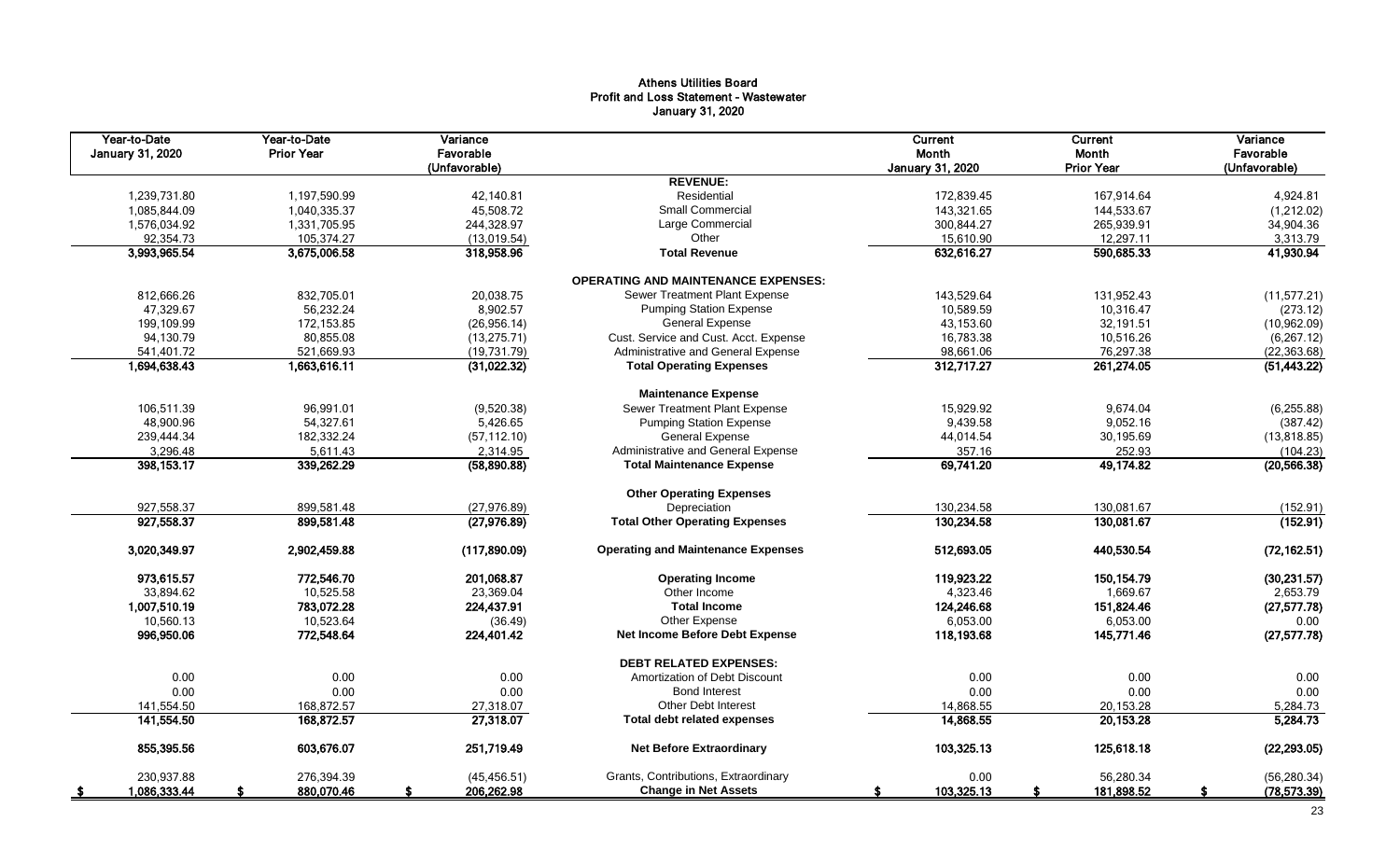# Athens Utilities Board Profit and Loss Statement - Wastewater January 31, 2020

| Year-to-Date<br>January 31, 2020 | Year-to-Date<br><b>Prior Year</b> | Variance<br>Favorable<br>(Unfavorable) |                                            | Current<br>Month<br><b>January 31, 2020</b> | <b>Current</b><br>Month<br><b>Prior Year</b> | Variance<br>Favorable<br>(Unfavorable) |
|----------------------------------|-----------------------------------|----------------------------------------|--------------------------------------------|---------------------------------------------|----------------------------------------------|----------------------------------------|
|                                  |                                   |                                        | <b>REVENUE:</b>                            |                                             |                                              |                                        |
| 1,239,731.80                     | 1,197,590.99                      | 42,140.81                              | Residential                                | 172,839.45                                  | 167,914.64                                   | 4,924.81                               |
| 1,085,844.09                     | 1,040,335.37                      | 45,508.72                              | Small Commercial                           | 143,321.65                                  | 144,533.67                                   | (1,212.02)                             |
| 1,576,034.92                     | 1,331,705.95                      | 244,328.97                             | Large Commercial                           | 300,844.27                                  | 265,939.91                                   | 34,904.36                              |
| 92,354.73                        | 105,374.27                        | (13,019.54)                            | Other                                      | 15,610.90                                   | 12,297.11                                    | 3,313.79                               |
| 3,993,965.54                     | 3,675,006.58                      | 318,958.96                             | <b>Total Revenue</b>                       | 632,616.27                                  | 590,685.33                                   | 41,930.94                              |
|                                  |                                   |                                        | <b>OPERATING AND MAINTENANCE EXPENSES:</b> |                                             |                                              |                                        |
| 812,666.26                       | 832,705.01                        | 20,038.75                              | Sewer Treatment Plant Expense              | 143,529.64                                  | 131,952.43                                   | (11, 577.21)                           |
| 47,329.67                        | 56,232.24                         | 8,902.57                               | <b>Pumping Station Expense</b>             | 10,589.59                                   | 10,316.47                                    | (273.12)                               |
| 199,109.99                       | 172,153.85                        | (26,956.14)                            | General Expense                            | 43,153.60                                   | 32,191.51                                    | (10, 962.09)                           |
| 94,130.79                        | 80,855.08                         | (13, 275.71)                           | Cust. Service and Cust. Acct. Expense      | 16,783.38                                   | 10,516.26                                    | (6, 267.12)                            |
| 541,401.72                       | 521,669.93                        | (19, 731.79)                           | Administrative and General Expense         | 98,661.06                                   | 76,297.38                                    | (22, 363.68)                           |
| 1,694,638.43                     | 1,663,616.11                      | (31, 022.32)                           | <b>Total Operating Expenses</b>            | 312,717.27                                  | 261,274.05                                   | (51, 443.22)                           |
|                                  |                                   |                                        | <b>Maintenance Expense</b>                 |                                             |                                              |                                        |
| 106,511.39                       | 96,991.01                         | (9,520.38)                             | Sewer Treatment Plant Expense              | 15,929.92                                   | 9,674.04                                     | (6, 255.88)                            |
| 48,900.96                        | 54,327.61                         | 5,426.65                               | <b>Pumping Station Expense</b>             | 9,439.58                                    | 9,052.16                                     | (387.42)                               |
| 239,444.34                       | 182,332.24                        | (57, 112.10)                           | <b>General Expense</b>                     | 44,014.54                                   | 30,195.69                                    | (13, 818.85)                           |
| 3,296.48                         | 5,611.43                          | 2,314.95                               | Administrative and General Expense         | 357.16                                      | 252.93                                       | (104.23)                               |
| 398, 153. 17                     | 339,262.29                        | (58,890.88)                            | <b>Total Maintenance Expense</b>           | 69,741.20                                   | 49,174.82                                    | (20, 566.38)                           |
|                                  |                                   |                                        | <b>Other Operating Expenses</b>            |                                             |                                              |                                        |
| 927,558.37                       | 899,581.48                        | (27, 976.89)                           | Depreciation                               | 130,234.58                                  | 130,081.67                                   | (152.91)                               |
| 927,558.37                       | 899,581.48                        | (27, 976.89)                           | <b>Total Other Operating Expenses</b>      | 130,234.58                                  | 130,081.67                                   | (152.91)                               |
| 3,020,349.97                     | 2,902,459.88                      | (117, 890.09)                          | <b>Operating and Maintenance Expenses</b>  | 512,693.05                                  | 440,530.54                                   | (72, 162.51)                           |
| 973,615.57                       | 772,546.70                        | 201,068.87                             | <b>Operating Income</b>                    | 119,923.22                                  | 150, 154.79                                  | (30, 231.57)                           |
| 33,894.62                        | 10,525.58                         | 23,369.04                              | Other Income                               | 4,323.46                                    | 1,669.67                                     | 2,653.79                               |
| 1,007,510.19                     | 783,072.28                        | 224,437.91                             | <b>Total Income</b>                        | 124,246.68                                  | 151,824.46                                   | (27, 577.78)                           |
| 10,560.13                        | 10,523.64                         | (36.49)                                | Other Expense                              | 6,053.00                                    | 6,053.00                                     | 0.00                                   |
| 996,950.06                       | 772,548.64                        | 224,401.42                             | <b>Net Income Before Debt Expense</b>      | 118,193.68                                  | 145,771.46                                   | (27, 577.78)                           |
|                                  |                                   |                                        | <b>DEBT RELATED EXPENSES:</b>              |                                             |                                              |                                        |
| 0.00                             | 0.00                              | 0.00                                   | Amortization of Debt Discount              | 0.00                                        | 0.00                                         | 0.00                                   |
| 0.00                             | 0.00                              | 0.00                                   | <b>Bond Interest</b>                       | 0.00                                        | 0.00                                         | 0.00                                   |
| 141,554.50                       | 168.872.57                        | 27,318.07                              | Other Debt Interest                        | 14,868.55                                   | 20,153.28                                    | 5,284.73                               |
| 141,554.50                       | 168,872.57                        | 27,318.07                              | <b>Total debt related expenses</b>         | 14,868.55                                   | 20, 153.28                                   | 5,284.73                               |
| 855,395.56                       | 603,676.07                        | 251,719.49                             | <b>Net Before Extraordinary</b>            | 103,325.13                                  | 125,618.18                                   | (22, 293.05)                           |
| 230,937.88                       | 276,394.39                        | (45, 456.51)                           | Grants, Contributions, Extraordinary       | 0.00                                        | 56,280.34                                    | (56, 280.34)                           |
| 1,086,333.44<br>- \$             | 880,070.46                        | 206,262.98<br>£.                       | <b>Change in Net Assets</b>                | 103,325.13<br>s                             | 181,898.52                                   | (78, 573.39)<br>S                      |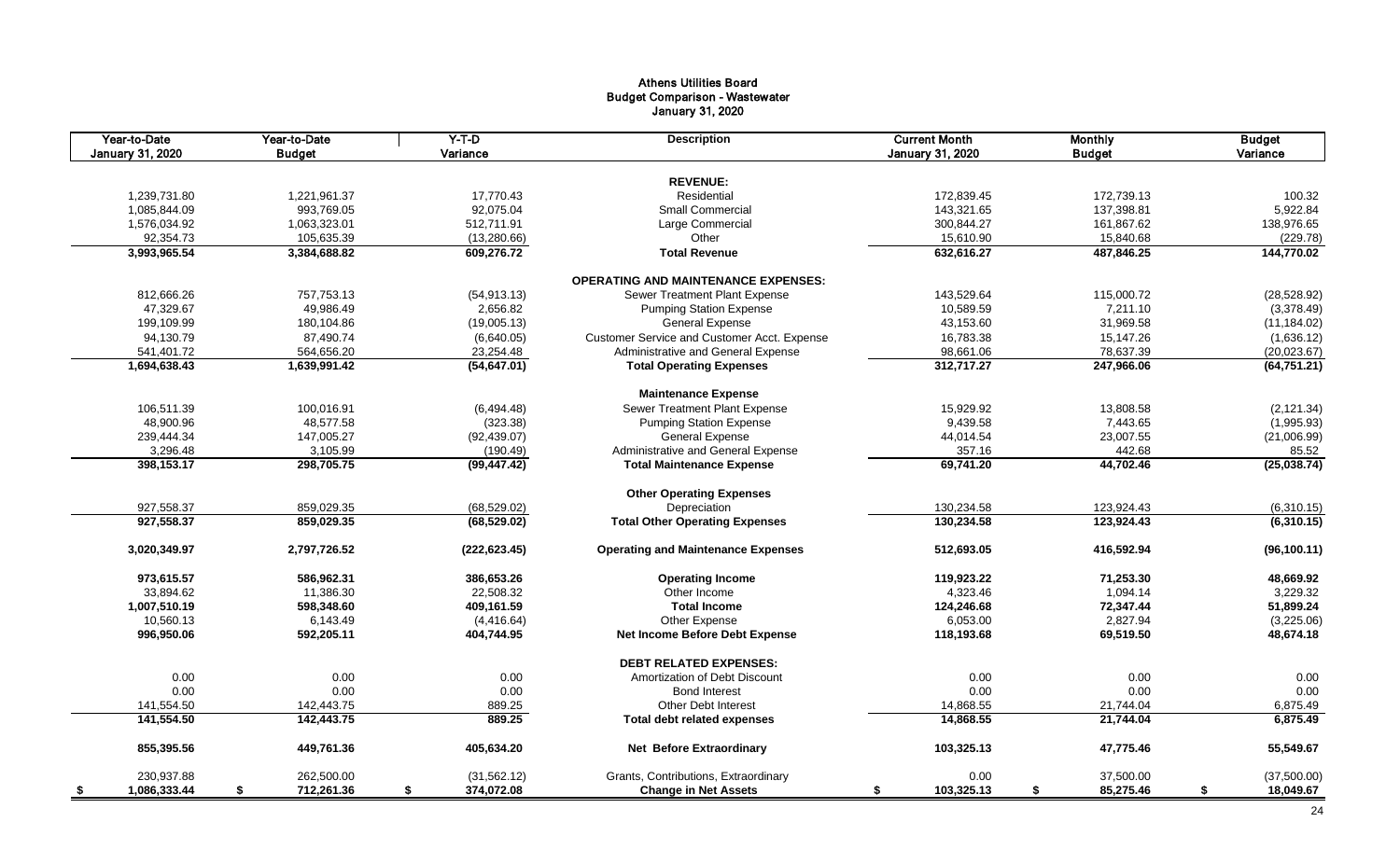# Athens Utilities Board Budget Comparison - Wastewater January 31, 2020

| Year-to-Date<br>January 31, 2020 | Year-to-Date<br><b>Budget</b> | $Y-T-D$<br>Variance | <b>Description</b>                          | <b>Current Month</b><br>January 31, 2020 | <b>Monthly</b><br><b>Budget</b> | <b>Budget</b><br>Variance |
|----------------------------------|-------------------------------|---------------------|---------------------------------------------|------------------------------------------|---------------------------------|---------------------------|
|                                  |                               |                     |                                             |                                          |                                 |                           |
|                                  |                               |                     | <b>REVENUE:</b>                             |                                          |                                 |                           |
| 1,239,731.80                     | 1,221,961.37                  | 17,770.43           | Residential                                 | 172,839.45                               | 172,739.13                      | 100.32                    |
| 1,085,844.09                     | 993,769.05                    | 92,075.04           | <b>Small Commercial</b>                     | 143,321.65                               | 137,398.81                      | 5,922.84                  |
| 1,576,034.92                     | 1,063,323.01                  | 512,711.91          | Large Commercial                            | 300,844.27                               | 161,867.62                      | 138,976.65                |
| 92,354.73                        | 105,635.39                    | (13, 280.66)        | Other                                       | 15,610.90                                | 15,840.68                       | (229.78)                  |
| 3,993,965.54                     | 3,384,688.82                  | 609,276.72          | <b>Total Revenue</b>                        | 632,616.27                               | 487,846.25                      | 144,770.02                |
|                                  |                               |                     | <b>OPERATING AND MAINTENANCE EXPENSES:</b>  |                                          |                                 |                           |
| 812,666.26                       | 757,753.13                    | (54, 913.13)        | Sewer Treatment Plant Expense               | 143,529.64                               | 115,000.72                      | (28, 528.92)              |
| 47,329.67                        | 49,986.49                     | 2,656.82            | <b>Pumping Station Expense</b>              | 10,589.59                                | 7.211.10                        | (3,378.49)                |
| 199,109.99                       | 180,104.86                    | (19,005.13)         | <b>General Expense</b>                      | 43,153.60                                | 31,969.58                       | (11, 184.02)              |
| 94,130.79                        | 87,490.74                     | (6,640.05)          | Customer Service and Customer Acct. Expense | 16,783.38                                | 15,147.26                       | (1,636.12)                |
| 541,401.72                       | 564,656.20                    | 23,254.48           | Administrative and General Expense          | 98,661.06                                | 78,637.39                       | (20,023.67)               |
| 1,694,638.43                     | 1,639,991.42                  | (54, 647.01)        | <b>Total Operating Expenses</b>             | 312,717.27                               | 247,966.06                      | (64, 751.21)              |
|                                  |                               |                     | <b>Maintenance Expense</b>                  |                                          |                                 |                           |
| 106,511.39                       | 100,016.91                    | (6,494.48)          | Sewer Treatment Plant Expense               | 15,929.92                                | 13,808.58                       | (2, 121.34)               |
| 48,900.96                        | 48,577.58                     | (323.38)            | <b>Pumping Station Expense</b>              | 9,439.58                                 | 7,443.65                        | (1,995.93)                |
| 239,444.34                       | 147,005.27                    | (92, 439.07)        | <b>General Expense</b>                      | 44,014.54                                | 23,007.55                       | (21,006.99)               |
| 3,296.48                         | 3,105.99                      | (190.49)            | Administrative and General Expense          | 357.16                                   | 442.68                          | 85.52                     |
| 398,153.17                       | 298,705.75                    | (99, 447.42)        | <b>Total Maintenance Expense</b>            | 69,741.20                                | 44,702.46                       | (25,038.74)               |
|                                  |                               |                     |                                             |                                          |                                 |                           |
|                                  |                               |                     | <b>Other Operating Expenses</b>             |                                          |                                 |                           |
| 927,558.37                       | 859,029.35                    | (68, 529.02)        | Depreciation                                | 130,234.58                               | 123,924.43                      | (6,310.15)                |
| 927,558.37                       | 859,029.35                    | (68, 529.02)        | <b>Total Other Operating Expenses</b>       | 130,234.58                               | 123,924.43                      | (6,310.15)                |
| 3,020,349.97                     | 2,797,726.52                  | (222, 623.45)       | <b>Operating and Maintenance Expenses</b>   | 512,693.05                               | 416,592.94                      | (96, 100.11)              |
| 973,615.57                       | 586,962.31                    | 386,653.26          | <b>Operating Income</b>                     | 119,923.22                               | 71,253.30                       | 48,669.92                 |
| 33,894.62                        | 11,386.30                     | 22,508.32           | Other Income                                | 4,323.46                                 | 1,094.14                        | 3,229.32                  |
| 1,007,510.19                     | 598,348.60                    | 409,161.59          | <b>Total Income</b>                         | 124,246.68                               | 72,347.44                       | 51,899.24                 |
| 10,560.13                        | 6,143.49                      | (4, 416.64)         | Other Expense                               | 6,053.00                                 | 2,827.94                        | (3,225.06)                |
| 996,950.06                       | 592,205.11                    | 404,744.95          | Net Income Before Debt Expense              | 118,193.68                               | 69,519.50                       | 48,674.18                 |
|                                  |                               |                     | <b>DEBT RELATED EXPENSES:</b>               |                                          |                                 |                           |
| 0.00                             | 0.00                          | 0.00                | Amortization of Debt Discount               | 0.00                                     | 0.00                            | 0.00                      |
| 0.00                             | 0.00                          | 0.00                | <b>Bond Interest</b>                        | 0.00                                     | 0.00                            | 0.00                      |
| 141,554.50                       | 142,443.75                    | 889.25              | Other Debt Interest                         | 14,868.55                                | 21,744.04                       | 6,875.49                  |
| 141,554.50                       | 142,443.75                    | 889.25              | <b>Total debt related expenses</b>          | 14,868.55                                | 21,744.04                       | 6,875.49                  |
| 855,395.56                       | 449,761.36                    | 405,634.20          | <b>Net Before Extraordinary</b>             | 103,325.13                               | 47,775.46                       | 55,549.67                 |
| 230,937.88                       | 262,500.00                    | (31, 562.12)        | Grants, Contributions, Extraordinary        | 0.00                                     | 37,500.00                       | (37,500.00)               |
| 1,086,333.44<br>- \$             | 712,261.36<br>\$              | \$<br>374,072.08    | <b>Change in Net Assets</b>                 | 103,325.13<br>\$                         | \$<br>85,275.46                 | \$<br>18,049.67           |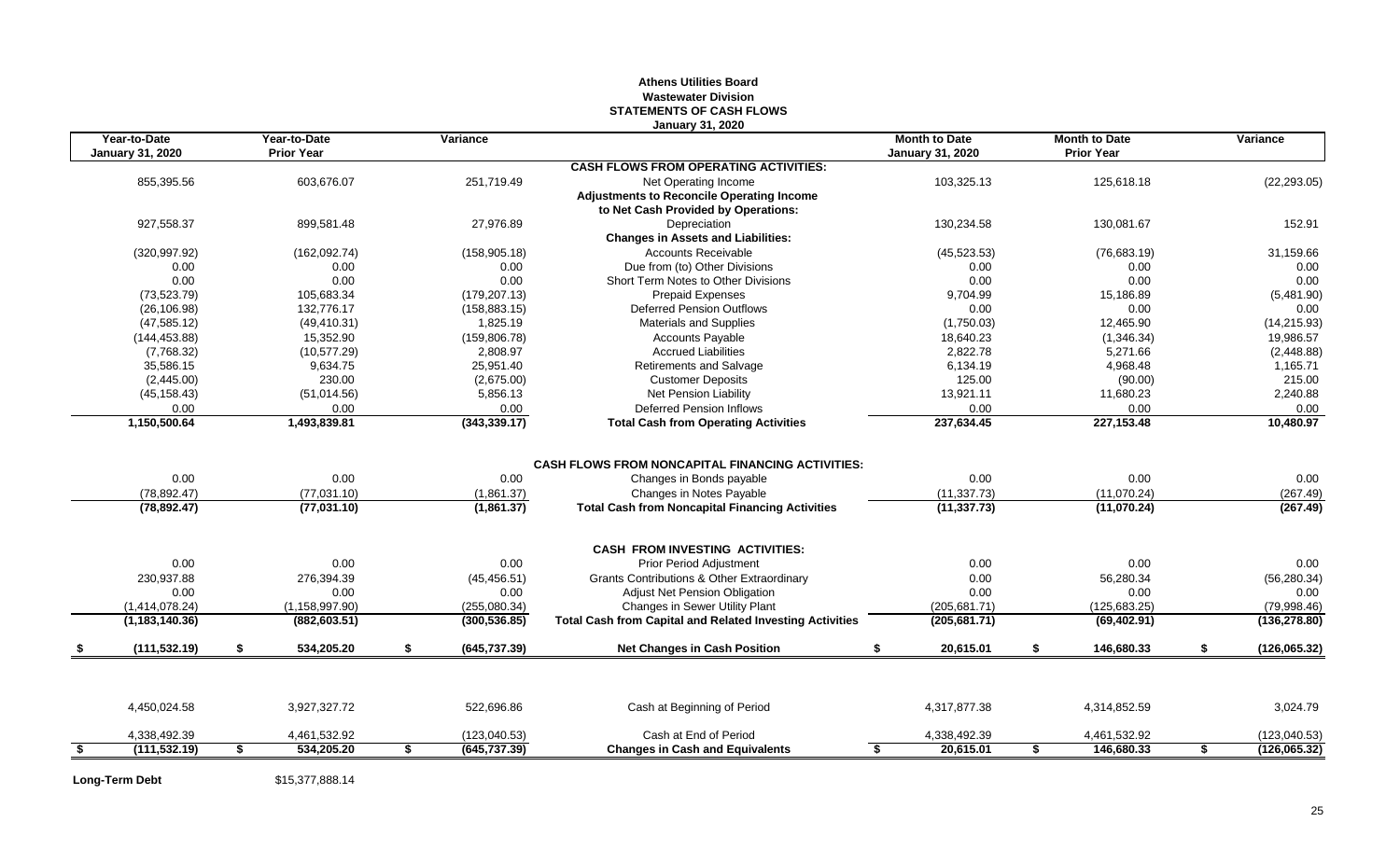## **Athens Utilities Board Wastewater Division STATEMENTS OF CASH FLOWS January 31, 2020**

|      | Year-to-Date<br><b>January 31, 2020</b> |    | Year-to-Date<br>Variance<br><b>Prior Year</b> |    |               |                                                                 |                  | <b>Month to Date</b><br><b>January 31, 2020</b> |               | <b>Month to Date</b><br><b>Prior Year</b> |               | Variance |  |
|------|-----------------------------------------|----|-----------------------------------------------|----|---------------|-----------------------------------------------------------------|------------------|-------------------------------------------------|---------------|-------------------------------------------|---------------|----------|--|
|      |                                         |    |                                               |    |               | <b>CASH FLOWS FROM OPERATING ACTIVITIES:</b>                    |                  |                                                 |               |                                           |               |          |  |
|      | 855,395.56                              |    | 603,676.07                                    |    | 251,719.49    | Net Operating Income                                            | 103,325.13       |                                                 | 125,618.18    |                                           | (22, 293.05)  |          |  |
|      |                                         |    |                                               |    |               | <b>Adjustments to Reconcile Operating Income</b>                |                  |                                                 |               |                                           |               |          |  |
|      |                                         |    |                                               |    |               | to Net Cash Provided by Operations:                             |                  |                                                 |               |                                           |               |          |  |
|      | 927,558.37                              |    | 899,581.48                                    |    | 27,976.89     | Depreciation                                                    | 130,234.58       |                                                 | 130,081.67    |                                           | 152.91        |          |  |
|      |                                         |    |                                               |    |               | <b>Changes in Assets and Liabilities:</b>                       |                  |                                                 |               |                                           |               |          |  |
|      | (320, 997.92)                           |    | (162,092.74)                                  |    | (158, 905.18) | <b>Accounts Receivable</b>                                      | (45, 523.53)     |                                                 | (76,683.19)   |                                           | 31,159.66     |          |  |
|      | 0.00                                    |    | 0.00                                          |    | 0.00          | Due from (to) Other Divisions                                   | 0.00             |                                                 | 0.00          |                                           | 0.00          |          |  |
|      | 0.00                                    |    | 0.00                                          |    | 0.00          | Short Term Notes to Other Divisions                             | 0.00             |                                                 | 0.00          |                                           | 0.00          |          |  |
|      | (73, 523.79)                            |    | 105,683.34                                    |    | (179, 207.13) | <b>Prepaid Expenses</b>                                         | 9,704.99         |                                                 | 15,186.89     |                                           | (5,481.90)    |          |  |
|      | (26, 106.98)                            |    | 132,776.17                                    |    | (158, 883.15) | <b>Deferred Pension Outflows</b>                                | 0.00             |                                                 | 0.00          |                                           | 0.00          |          |  |
|      | (47, 585.12)                            |    | (49, 410.31)                                  |    | 1,825.19      | <b>Materials and Supplies</b>                                   | (1,750.03)       |                                                 | 12,465.90     |                                           | (14, 215.93)  |          |  |
|      | (144, 453.88)                           |    | 15,352.90                                     |    | (159, 806.78) | <b>Accounts Payable</b>                                         | 18,640.23        |                                                 | (1,346.34)    |                                           | 19,986.57     |          |  |
|      | (7,768.32)                              |    | (10, 577.29)                                  |    | 2,808.97      | <b>Accrued Liabilities</b>                                      | 2,822.78         |                                                 | 5,271.66      |                                           | (2,448.88)    |          |  |
|      | 35,586.15                               |    | 9,634.75                                      |    | 25,951.40     | Retirements and Salvage                                         | 6,134.19         |                                                 | 4,968.48      |                                           | 1,165.71      |          |  |
|      | (2,445.00)                              |    | 230.00                                        |    | (2,675.00)    | <b>Customer Deposits</b>                                        | 125.00           |                                                 | (90.00)       |                                           | 215.00        |          |  |
|      | (45, 158.43)                            |    | (51,014.56)                                   |    | 5,856.13      | Net Pension Liability                                           | 13,921.11        |                                                 | 11,680.23     |                                           | 2,240.88      |          |  |
|      | 0.00                                    |    | 0.00                                          |    | 0.00          | <b>Deferred Pension Inflows</b>                                 | 0.00             |                                                 | 0.00          |                                           | 0.00          |          |  |
|      | 1,150,500.64                            |    | 1,493,839.81                                  |    | (343, 339.17) | <b>Total Cash from Operating Activities</b>                     | 237,634.45       |                                                 | 227, 153.48   |                                           | 10,480.97     |          |  |
|      |                                         |    |                                               |    |               |                                                                 |                  |                                                 |               |                                           |               |          |  |
|      |                                         |    |                                               |    |               | <b>CASH FLOWS FROM NONCAPITAL FINANCING ACTIVITIES:</b>         |                  |                                                 |               |                                           |               |          |  |
|      | 0.00                                    |    | 0.00                                          |    | 0.00          | Changes in Bonds payable                                        | 0.00             |                                                 | 0.00          |                                           | 0.00          |          |  |
|      | (78, 892.47)                            |    | (77,031.10)                                   |    | (1,861.37)    | Changes in Notes Payable                                        | (11, 337.73)     |                                                 | (11,070.24)   |                                           | (267.49)      |          |  |
|      | (78, 892.47)                            |    | (77,031.10)                                   |    | (1,861.37)    | <b>Total Cash from Noncapital Financing Activities</b>          | (11, 337.73)     |                                                 | (11,070.24)   |                                           | (267.49)      |          |  |
|      |                                         |    |                                               |    |               | <b>CASH FROM INVESTING ACTIVITIES:</b>                          |                  |                                                 |               |                                           |               |          |  |
|      | 0.00                                    |    | 0.00                                          |    | 0.00          | Prior Period Adjustment                                         | 0.00             |                                                 | 0.00          |                                           | 0.00          |          |  |
|      | 230.937.88                              |    | 276.394.39                                    |    | (45, 456.51)  | <b>Grants Contributions &amp; Other Extraordinary</b>           | 0.00             |                                                 | 56,280.34     |                                           | (56, 280.34)  |          |  |
|      | 0.00                                    |    | 0.00                                          |    | 0.00          | <b>Adjust Net Pension Obligation</b>                            | 0.00             |                                                 | 0.00          |                                           | 0.00          |          |  |
|      | (1,414,078.24)                          |    | (1, 158, 997.90)                              |    | (255,080.34)  | Changes in Sewer Utility Plant                                  | (205, 681.71)    |                                                 | (125, 683.25) |                                           | (79,998.46)   |          |  |
|      | (1, 183, 140.36)                        |    | (882, 603.51)                                 |    | (300, 536.85) | <b>Total Cash from Capital and Related Investing Activities</b> | (205, 681.71)    |                                                 | (69, 402.91)  |                                           | (136, 278.80) |          |  |
|      | (111, 532.19)                           | \$ | 534,205.20                                    | \$ | (645, 737.39) | <b>Net Changes in Cash Position</b>                             | 20,615.01<br>\$. | s.                                              | 146,680.33    | S.                                        | (126,065.32)  |          |  |
|      |                                         |    |                                               |    |               |                                                                 |                  |                                                 |               |                                           |               |          |  |
|      | 4,450,024.58                            |    | 3,927,327.72                                  |    | 522.696.86    | Cash at Beginning of Period                                     | 4.317.877.38     |                                                 | 4,314,852.59  |                                           | 3,024.79      |          |  |
|      | 4,338,492.39                            |    | 4,461,532.92                                  |    | (123,040.53)  | Cash at End of Period                                           | 4,338,492.39     |                                                 | 4,461,532.92  |                                           | (123,040.53)  |          |  |
| - \$ | (111, 532.19)                           | \$ | 534,205.20                                    | \$ | (645, 737.39) | <b>Changes in Cash and Equivalents</b>                          | 20,615.01<br>S.  | \$                                              | 146,680.33    | \$                                        | (126,065.32)  |          |  |

Long-Term Debt \$15,377,888.14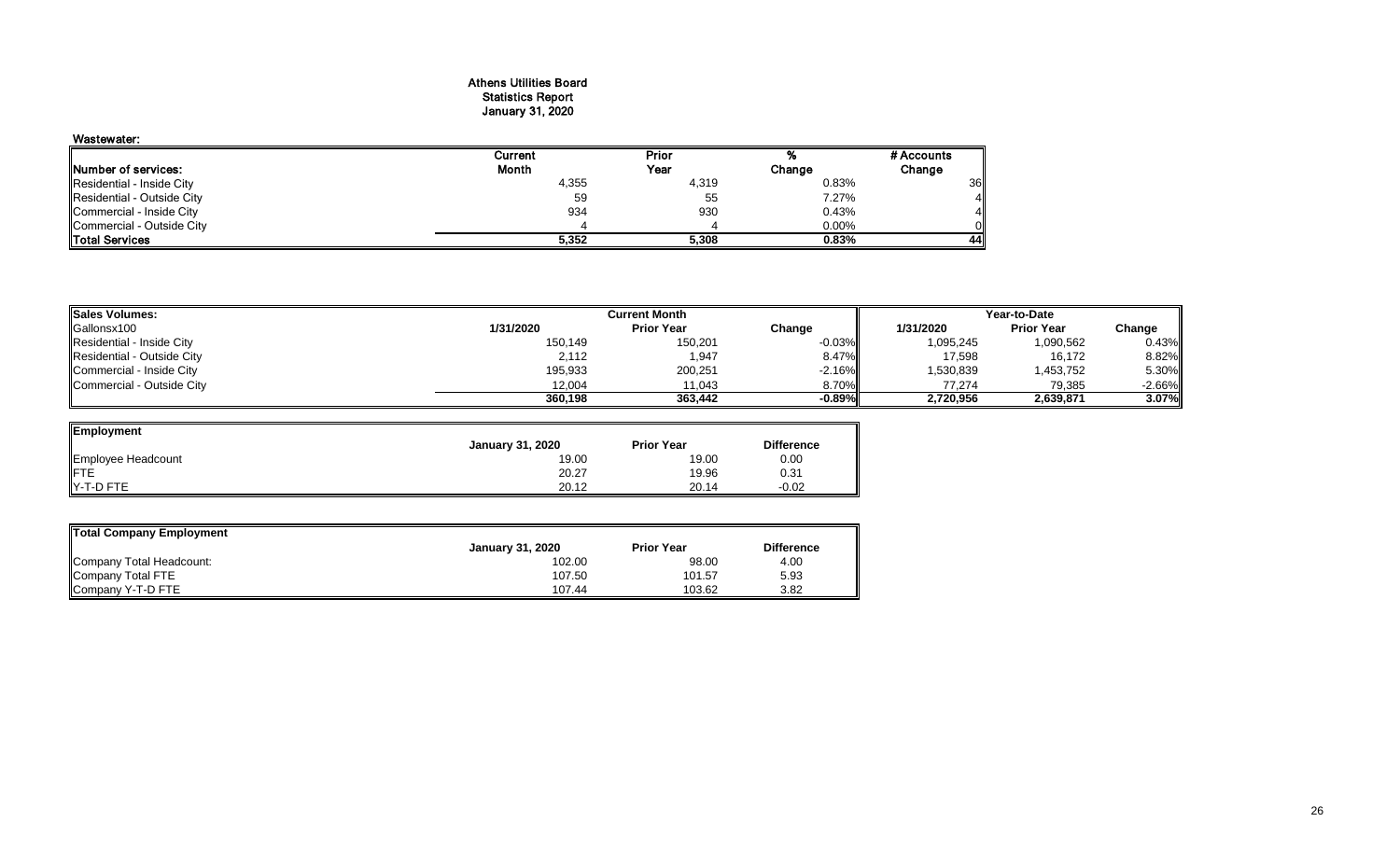# Athens Utilities Board Statistics Report January 31, 2020

# Wastewater: Current Prior % #Accounts<br>
Month Year Change Change Prior **Number of services:** Change Change Change Change Change Change Change Change Change Change Change Change Change Change Change Change Change Change Change Change Change Change Change Change Change Change Change Change Chan Residential - Inside City 4,355 4,319 0.83% 36<br>Residential - Outside City 59 55 7.27% 4 Residential - Outside City 59 55 7.27% 4 Commercial - Inside City 934 930 0.43% 4 Commercial - Outside City 4 4 0.00% 0 Total Services **5,352 5,308 0.83% 44**

| <b>ISales Volumes:</b>     |           | Current Month     | Year-to-Date |           |                   |           |  |
|----------------------------|-----------|-------------------|--------------|-----------|-------------------|-----------|--|
| Gallonsx100                | 1/31/2020 | <b>Prior Year</b> | Change       | 1/31/2020 | <b>Prior Year</b> | Change    |  |
| Residential - Inside City  | 150,149   | 150,201           | $-0.03\%$    | 1,095,245 | 1,090,562         | 0.43%     |  |
| Residential - Outside City | 2,112     | 1,947             | 8.47%        | 17,598    | 16,172            | 8.82%     |  |
| Commercial - Inside City   | 195,933   | 200,251           | $-2.16%$     | 1,530,839 | 1,453,752         | 5.30%     |  |
| Commercial - Outside City  | 12.004    | 11,043            | 8.70%        | 77,274    | 79,385            | $-2.66\%$ |  |
|                            | 360.198   | 363,442           | $-0.89\%$    | 2,720,956 | 2.639.871         | 3.07%     |  |

| Employment         |                         |                   |                   |
|--------------------|-------------------------|-------------------|-------------------|
|                    | <b>January 31, 2020</b> | <b>Prior Year</b> | <b>Difference</b> |
| Employee Headcount | 19.00                   | 19.00             | 0.00              |
|                    | 20.27                   | 19.96             | 0.31              |
| Y-T-D FTE          | 20.12                   | 20.14             | $-0.02$           |

| <b>Total Company Employment</b> |                         |                   |                   |
|---------------------------------|-------------------------|-------------------|-------------------|
|                                 | <b>January 31, 2020</b> | <b>Prior Year</b> | <b>Difference</b> |
| Company Total Headcount:        | 102.00                  | 98.00             | 4.00              |
| Company Total FTE               | 107.50                  | 101.57            | 5.93              |
| Company Y-T-D FTE               | 107.44                  | 103.62            | 3.82              |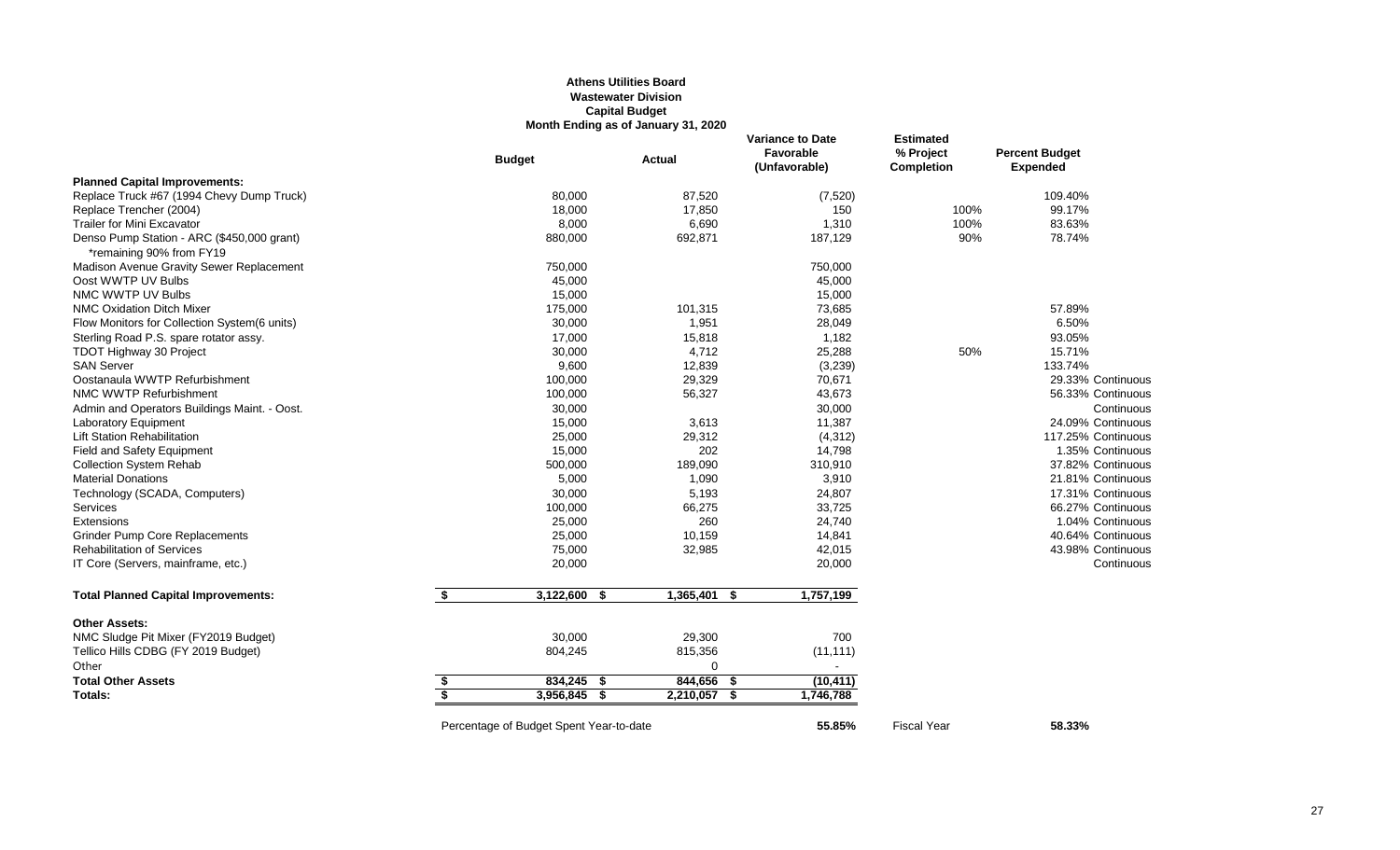# **Athens Utilities Board Wastewater Division Capital Budget Month Ending as of January 31, 2020**

|                                                                        |                         | <b>Budget</b>                           | <b>Actual</b>     | <b>Variance to Date</b><br>Favorable<br>(Unfavorable) | <b>Estimated</b><br>% Project<br><b>Completion</b> | <b>Percent Budget</b><br><b>Expended</b> |
|------------------------------------------------------------------------|-------------------------|-----------------------------------------|-------------------|-------------------------------------------------------|----------------------------------------------------|------------------------------------------|
| <b>Planned Capital Improvements:</b>                                   |                         |                                         |                   |                                                       |                                                    |                                          |
| Replace Truck #67 (1994 Chevy Dump Truck)                              |                         | 80,000                                  | 87,520            | (7, 520)                                              |                                                    | 109.40%                                  |
| Replace Trencher (2004)                                                |                         | 18,000                                  | 17,850            | 150                                                   | 100%                                               | 99.17%                                   |
| <b>Trailer for Mini Excavator</b>                                      |                         | 8,000                                   | 6,690             | 1,310                                                 | 100%                                               | 83.63%                                   |
| Denso Pump Station - ARC (\$450,000 grant)<br>*remaining 90% from FY19 |                         | 880,000                                 | 692,871           | 187,129                                               | 90%                                                | 78.74%                                   |
| Madison Avenue Gravity Sewer Replacement                               |                         | 750,000                                 |                   | 750,000                                               |                                                    |                                          |
| Oost WWTP UV Bulbs                                                     |                         | 45,000                                  |                   | 45,000                                                |                                                    |                                          |
| NMC WWTP UV Bulbs                                                      |                         | 15,000                                  |                   | 15,000                                                |                                                    |                                          |
| <b>NMC Oxidation Ditch Mixer</b>                                       |                         | 175,000                                 | 101,315           | 73,685                                                |                                                    | 57.89%                                   |
| Flow Monitors for Collection System(6 units)                           |                         | 30,000                                  | 1,951             | 28,049                                                |                                                    | 6.50%                                    |
| Sterling Road P.S. spare rotator assy.                                 |                         | 17,000                                  | 15,818            | 1,182                                                 |                                                    | 93.05%                                   |
| <b>TDOT Highway 30 Project</b>                                         |                         | 30,000                                  | 4,712             | 25,288                                                | 50%                                                | 15.71%                                   |
| <b>SAN Server</b>                                                      |                         | 9,600                                   | 12,839            | (3,239)                                               |                                                    | 133.74%                                  |
| Oostanaula WWTP Refurbishment                                          |                         | 100,000                                 | 29,329            | 70,671                                                |                                                    | 29.33% Continuous                        |
| NMC WWTP Refurbishment                                                 |                         | 100,000                                 | 56,327            | 43,673                                                |                                                    | 56.33% Continuous                        |
| Admin and Operators Buildings Maint. - Oost.                           |                         | 30,000                                  |                   | 30,000                                                |                                                    | Continuous                               |
| Laboratory Equipment                                                   |                         | 15,000                                  | 3,613             | 11,387                                                |                                                    | 24.09% Continuous                        |
| <b>Lift Station Rehabilitation</b>                                     |                         | 25,000                                  | 29,312            | (4, 312)                                              |                                                    | 117.25% Continuous                       |
| <b>Field and Safety Equipment</b>                                      |                         | 15,000                                  | 202               | 14,798                                                |                                                    | 1.35% Continuous                         |
| <b>Collection System Rehab</b>                                         |                         | 500,000                                 | 189,090           | 310,910                                               |                                                    | 37.82% Continuous                        |
| <b>Material Donations</b>                                              |                         | 5,000                                   | 1,090             | 3,910                                                 |                                                    | 21.81% Continuous                        |
| Technology (SCADA, Computers)                                          |                         | 30,000                                  | 5,193             | 24,807                                                |                                                    | 17.31% Continuous                        |
| Services                                                               |                         | 100,000                                 | 66,275            | 33,725                                                |                                                    | 66.27% Continuous                        |
| Extensions                                                             |                         | 25,000                                  | 260               | 24,740                                                |                                                    | 1.04% Continuous                         |
| <b>Grinder Pump Core Replacements</b>                                  |                         | 25,000                                  | 10,159            | 14,841                                                |                                                    | 40.64% Continuous                        |
| <b>Rehabilitation of Services</b>                                      |                         | 75,000                                  | 32,985            | 42,015                                                |                                                    | 43.98% Continuous                        |
| IT Core (Servers, mainframe, etc.)                                     |                         | 20,000                                  |                   | 20,000                                                |                                                    | Continuous                               |
| <b>Total Planned Capital Improvements:</b>                             | \$                      | $3,122,600$ \$                          | $1,365,401$ \$    | 1,757,199                                             |                                                    |                                          |
| <b>Other Assets:</b>                                                   |                         |                                         |                   |                                                       |                                                    |                                          |
| NMC Sludge Pit Mixer (FY2019 Budget)                                   |                         | 30,000                                  | 29,300            | 700                                                   |                                                    |                                          |
| Tellico Hills CDBG (FY 2019 Budget)                                    |                         | 804,245                                 | 815,356           | (11, 111)                                             |                                                    |                                          |
| Other                                                                  |                         |                                         | $\Omega$          | $\sim$                                                |                                                    |                                          |
| <b>Total Other Assets</b>                                              | \$                      | 834,245 \$                              | 844,656<br>- \$   | (10, 411)                                             |                                                    |                                          |
| Totals:                                                                | $\overline{\mathbf{s}}$ | 3,956,845<br>- \$                       | 2,210,057<br>- \$ | 1,746,788                                             |                                                    |                                          |
|                                                                        |                         | Percentage of Budget Spent Year-to-date |                   | 55.85%                                                | <b>Fiscal Year</b>                                 | 58.33%                                   |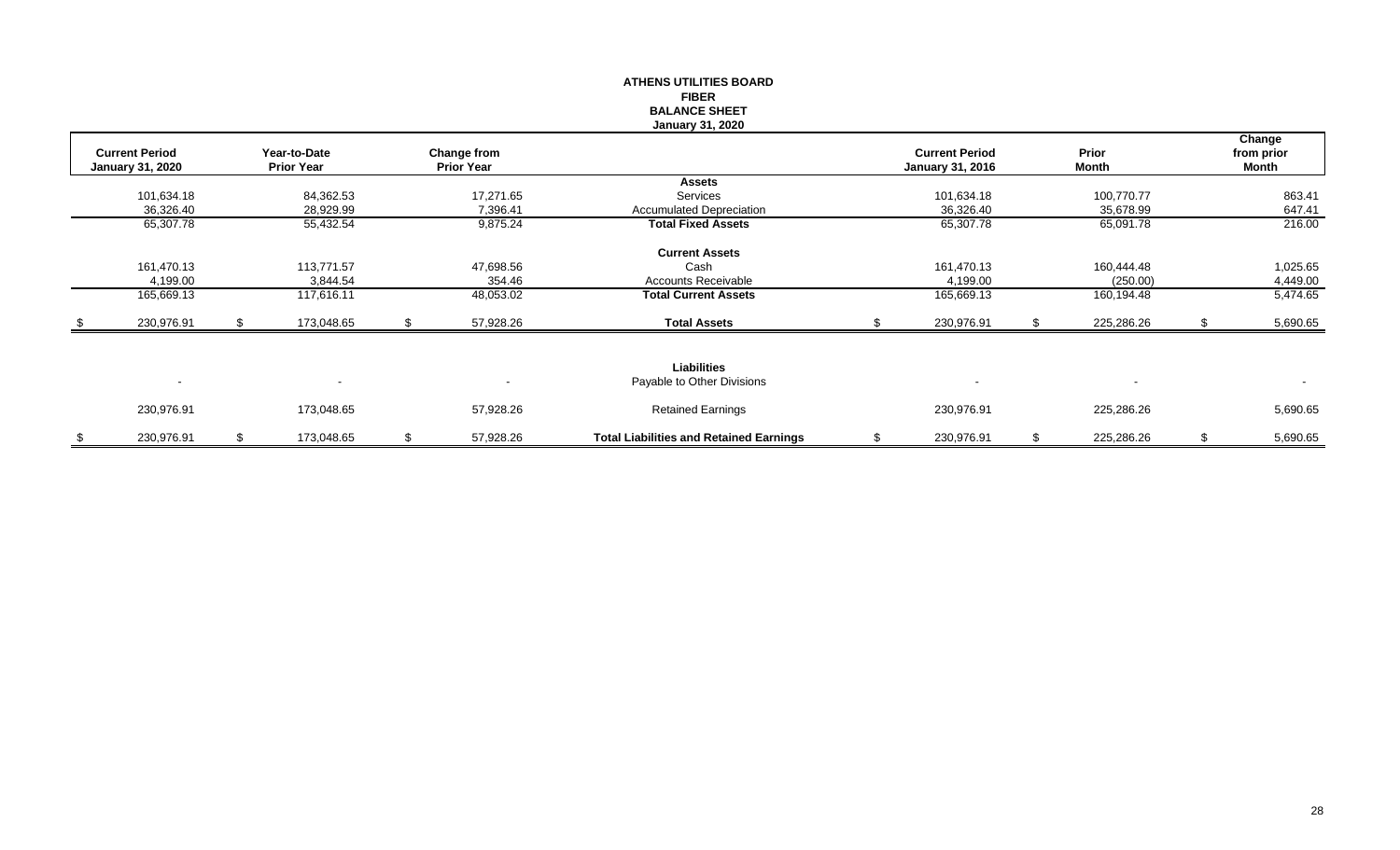|     |                         |      |                   |    |                   | <b>ATHENS UTILITIES BOARD</b>                  |                         |    |                          |                |
|-----|-------------------------|------|-------------------|----|-------------------|------------------------------------------------|-------------------------|----|--------------------------|----------------|
|     |                         |      |                   |    |                   | <b>FIBER</b>                                   |                         |    |                          |                |
|     |                         |      |                   |    |                   | <b>BALANCE SHEET</b>                           |                         |    |                          |                |
|     |                         |      |                   |    |                   | <b>January 31, 2020</b>                        |                         |    |                          |                |
|     |                         |      |                   |    |                   |                                                |                         |    |                          | Change         |
|     | <b>Current Period</b>   |      | Year-to-Date      |    | Change from       |                                                | <b>Current Period</b>   |    | Prior                    | from prior     |
|     | <b>January 31, 2020</b> |      | <b>Prior Year</b> |    | <b>Prior Year</b> |                                                | <b>January 31, 2016</b> |    | Month                    | Month          |
|     |                         |      |                   |    |                   | <b>Assets</b>                                  |                         |    |                          |                |
|     | 101,634.18              |      | 84,362.53         |    | 17,271.65         | Services                                       | 101,634.18              |    | 100,770.77               | 863.41         |
|     | 36,326.40               |      | 28,929.99         |    | 7,396.41          | <b>Accumulated Depreciation</b>                | 36,326.40               |    | 35,678.99                | 647.41         |
|     | 65,307.78               |      | 55,432.54         |    | 9,875.24          | <b>Total Fixed Assets</b>                      | 65,307.78               |    | 65,091.78                | 216.00         |
|     |                         |      |                   |    |                   | <b>Current Assets</b>                          |                         |    |                          |                |
|     | 161,470.13              |      | 113,771.57        |    | 47,698.56         | Cash                                           | 161,470.13              |    | 160,444.48               | 1,025.65       |
|     | 4,199.00                |      | 3,844.54          |    | 354.46            | <b>Accounts Receivable</b>                     | 4,199.00                |    | (250.00)                 | 4,449.00       |
|     | 165,669.13              |      | 117,616.11        |    | 48,053.02         | <b>Total Current Assets</b>                    | 165,669.13              |    | 160,194.48               | 5,474.65       |
| -\$ | 230,976.91              | - 96 | 173,048.65        | S. | 57,928.26         | <b>Total Assets</b>                            | 230,976.91              | R  | 225,286.26               | 5,690.65       |
|     |                         |      |                   |    |                   |                                                |                         |    |                          |                |
|     |                         |      |                   |    |                   | <b>Liabilities</b>                             |                         |    |                          |                |
|     | $\sim$                  |      |                   |    |                   | Payable to Other Divisions                     |                         |    | $\overline{\phantom{a}}$ | $\sim$         |
|     | 230,976.91              |      | 173,048.65        |    | 57,928.26         | <b>Retained Earnings</b>                       | 230,976.91              |    | 225,286.26               | 5,690.65       |
| \$  | 230,976.91              | \$   | 173,048.65        | \$ | 57,928.26         | <b>Total Liabilities and Retained Earnings</b> | \$<br>230,976.91        | \$ | 225,286.26               | \$<br>5,690.65 |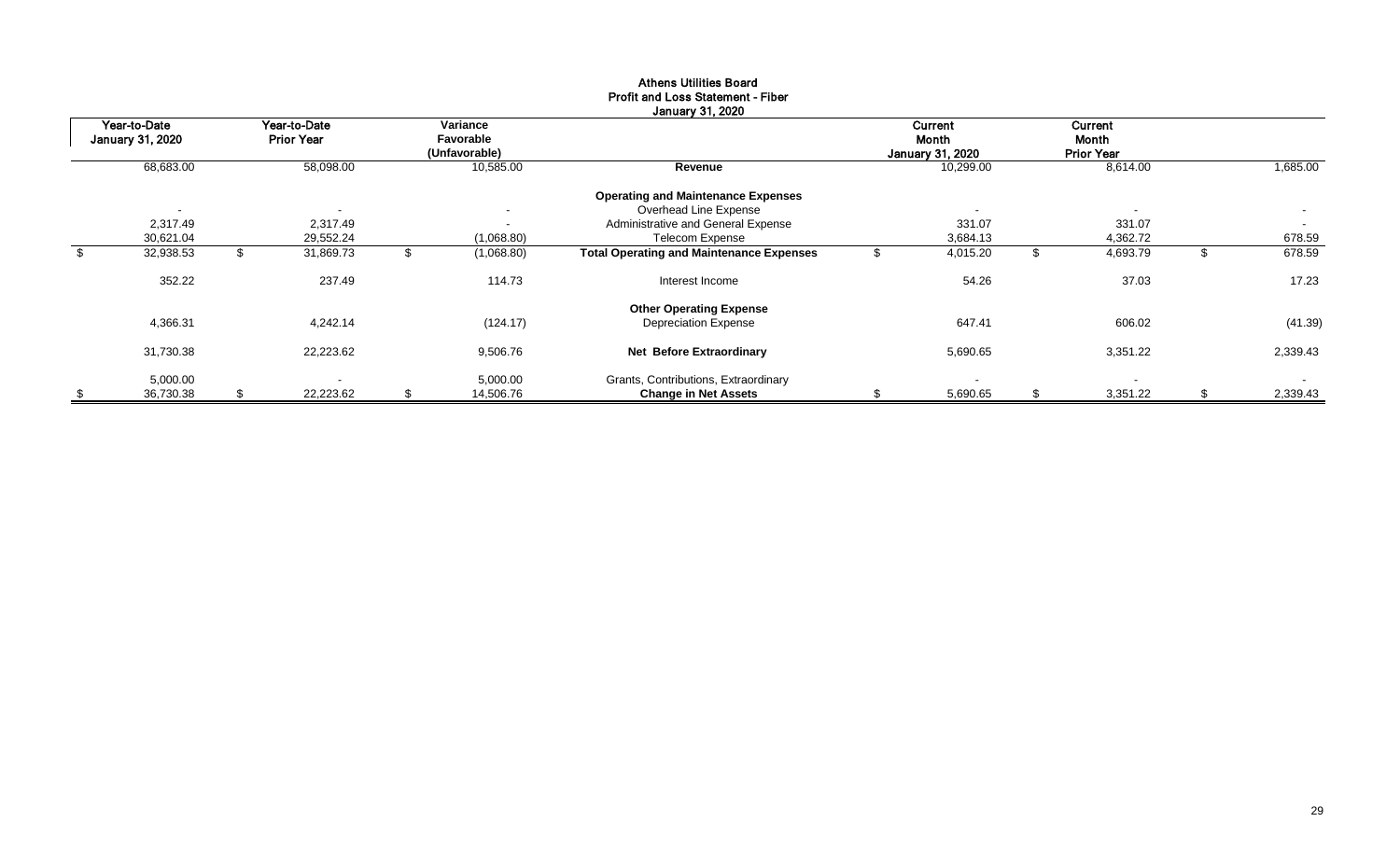|     | Year-to-Date             |    | Year-to-Date             |                            | Variance       |                                                 |                           | <b>Current</b>           |                            | Current  |                          |
|-----|--------------------------|----|--------------------------|----------------------------|----------------|-------------------------------------------------|---------------------------|--------------------------|----------------------------|----------|--------------------------|
|     | <b>January 31, 2020</b>  |    | <b>Prior Year</b>        | Favorable<br>(Unfavorable) |                |                                                 | Month<br>January 31, 2020 |                          | Month<br><b>Prior Year</b> |          |                          |
|     | 68,683.00                |    | 58,098.00                |                            | 10,585.00      | Revenue                                         |                           | 10,299.00                |                            | 8,614.00 | 1,685.00                 |
|     |                          |    |                          |                            |                |                                                 |                           |                          |                            |          |                          |
|     |                          |    |                          |                            |                | <b>Operating and Maintenance Expenses</b>       |                           |                          |                            |          |                          |
|     | $\overline{\phantom{a}}$ |    | $\overline{\phantom{a}}$ |                            | $\blacksquare$ | Overhead Line Expense                           |                           | $\overline{\phantom{0}}$ |                            |          | $\overline{\phantom{0}}$ |
|     | 2,317.49                 |    | 2,317.49                 |                            | $\blacksquare$ | Administrative and General Expense              |                           | 331.07                   |                            | 331.07   | $\sim$                   |
|     | 30,621.04                |    | 29,552.24                |                            | (1,068.80)     | Telecom Expense                                 |                           | 3,684.13                 |                            | 4,362.72 | 678.59                   |
| \$  | 32,938.53                |    | 31,869.73                |                            | (1,068.80)     | <b>Total Operating and Maintenance Expenses</b> |                           | 4,015.20                 |                            | 4,693.79 | 678.59                   |
|     | 352.22                   |    | 237.49                   |                            | 114.73         | Interest Income                                 |                           | 54.26                    |                            | 37.03    | 17.23                    |
|     |                          |    |                          |                            |                | <b>Other Operating Expense</b>                  |                           |                          |                            |          |                          |
|     | 4,366.31                 |    | 4,242.14                 |                            | (124.17)       | <b>Depreciation Expense</b>                     |                           | 647.41                   |                            | 606.02   | (41.39)                  |
|     | 31,730.38                |    | 22,223.62                |                            | 9,506.76       | Net Before Extraordinary                        |                           | 5,690.65                 |                            | 3,351.22 | 2,339.43                 |
|     | 5,000.00                 |    | $\overline{\phantom{0}}$ |                            | 5,000.00       | Grants, Contributions, Extraordinary            |                           |                          |                            |          | $\sim$                   |
| -\$ | 36,730.38                | S. | 22,223.62                | \$                         | 14,506.76      | <b>Change in Net Assets</b>                     |                           | 5,690.65                 |                            | 3,351.22 | 2,339.43                 |

#### Athens Utilities Board Profit and Loss Statement - Fiber January 31, 2020